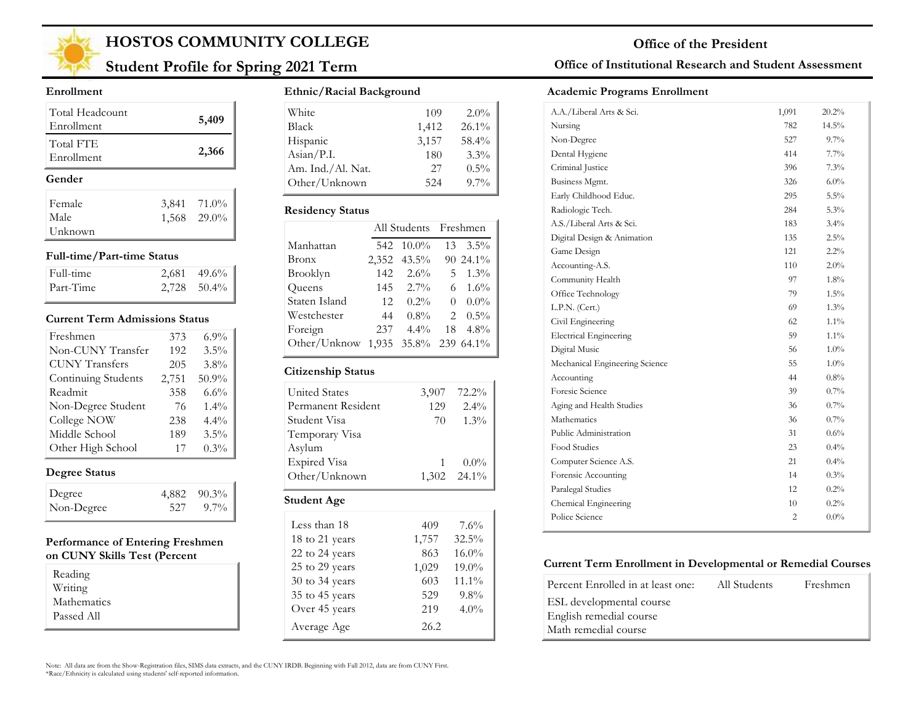

## **Student Profile for Spring 2021 Term**

#### **Enrollment**

| Total Headcount<br>Enrollment | 5,409       |
|-------------------------------|-------------|
| Total FTE<br>Enrollment       | 2,366       |
| Gender                        |             |
| Female                        | 3,841 71.0% |
| Male                          | 1,568 29.0% |
| Unknown                       |             |

#### **Full-time/Part-time Status**

| Full-time | $2,681$ 49.6% |
|-----------|---------------|
| Part-Time | $2,728$ 50.4% |

#### **Current Term Admissions Status**

| Freshmen              | 373   | $6.9\%$ |
|-----------------------|-------|---------|
| Non-CUNY Transfer     | 192   | $3.5\%$ |
| <b>CUNY</b> Transfers | 205   | $3.8\%$ |
| Continuing Students   | 2,751 | 50.9%   |
| Readmit               | 358   | 6.6%    |
| Non-Degree Student    | 76    | $1.4\%$ |
| College NOW           | 238   | 4.4%    |
| Middle School         | 189   | $3.5\%$ |
| Other High School     | 17    | $0.3\%$ |

### **Degree Status**

| Degree     | $4,882$ $90.3\%$ |
|------------|------------------|
| Non-Degree | 527 9.7%         |

#### **Performance of Entering Freshmen on CUNY Skills Test (Percent**

| Reading     |  |
|-------------|--|
| Writing     |  |
| Mathematics |  |
| Passed All  |  |

#### **Ethnic/Racial Background**

| White             | 109   | $2.0\%$  |
|-------------------|-------|----------|
| <b>Black</b>      | 1,412 | $26.1\%$ |
| Hispanic          | 3,157 | 58.4%    |
| Asian/P.I.        | 180   | $3.3\%$  |
| Am. Ind./Al. Nat. | 27    | $0.5\%$  |
| Other/Unknown     | 52.4  | $9.7\%$  |

#### **Residency Status**

|                                    |     | All Students Freshmen |    |                  |
|------------------------------------|-----|-----------------------|----|------------------|
| Manhattan                          |     | 542 10.0%             | 13 | $3.5\%$          |
| Bronx                              |     | 2,352 43.5%           |    | 90 24.1%         |
| Brooklyn                           | 142 | $2.6\%$               |    | 5 $1.3\%$        |
| Queens                             | 145 | $2.7\%$               | 6  | $1.6\%$          |
| Staten Island                      | 12  | $0.2\%$               | 0  | $0.0\%$          |
| Westchester                        | 44  | $0.8\%$               |    | $2 \quad 0.5\%$  |
| Foreign                            | 237 | $4.4\%$               |    | $18 \quad 4.8\%$ |
| Other/Unknow 1,935 35.8% 239 64.1% |     |                       |    |                  |

#### **Citizenship Status**

| <b>United States</b> | 3,907 | 72.2%       |
|----------------------|-------|-------------|
| Permanent Resident   | 129   | $2.4\%$     |
| Student Visa         | 70    | $1.3\%$     |
| Temporary Visa       |       |             |
| Asylum               |       |             |
| Expired Visa         |       | $0.0\%$     |
| Other/Unknown        |       | 1,302 24.1% |
| <b>Student Age</b>   |       |             |
| T 1 40               |       | $-1$        |

| Less than 18   | 409   | 7.6%     |
|----------------|-------|----------|
| 18 to 21 years | 1,757 | 32.5%    |
| 22 to 24 years | 863   | $16.0\%$ |
| 25 to 29 years | 1,029 | 19.0%    |
| 30 to 34 years | 603   | 11.1%    |
| 35 to 45 years | 529   | $9.8\%$  |
| Over 45 years  | 219   | $4.0\%$  |
| Average Age    | 26.2  |          |

### **Office of Institutional Research and Student Assessment**

#### **Academic Programs Enrollment**

| A.A./Liberal Arts & Sci.       | 1,091          | 20.2%    |  |
|--------------------------------|----------------|----------|--|
| Nursing                        | 782            | $14.5\%$ |  |
| Non-Degree                     | 527            | 9.7%     |  |
| Dental Hygiene                 | 414            | $7.7\%$  |  |
| Criminal Justice               | 396            | 7.3%     |  |
| Business Mgmt.                 | 326            | $6.0\%$  |  |
| Early Childhood Educ.          | 295            | 5.5%     |  |
| Radiologic Tech.               | 284            | 5.3%     |  |
| A.S./Liberal Arts & Sci.       | 183            | $3.4\%$  |  |
| Digital Design & Animation     | 135            | 2.5%     |  |
| Game Design                    | 121            | 2.2%     |  |
| Accounting-A.S.                | 110            | $2.0\%$  |  |
| Community Health               | 97             | $1.8\%$  |  |
| Office Technology              | 79             | $1.5\%$  |  |
| L.P.N. (Cert.)                 | 69             | $1.3\%$  |  |
| Civil Engineering              | 62             | $1.1\%$  |  |
| <b>Electrical Engineering</b>  | 59             | $1.1\%$  |  |
| Digital Music                  | 56             | $1.0\%$  |  |
| Mechanical Engineering Science | 55             | 1.0%     |  |
| Accounting                     | 44             | $0.8\%$  |  |
| Foresic Science                | 39             | $0.7\%$  |  |
| Aging and Health Studies       | 36             | $0.7\%$  |  |
| Mathematics                    | 36             | $0.7\%$  |  |
| Public Administration          | 31             | 0.6%     |  |
| Food Studies                   | 23             | $0.4\%$  |  |
| Computer Science A.S.          | 21             | $0.4\%$  |  |
| Forensic Accounting            | 14             | 0.3%     |  |
| Paralegal Studies              | 12             | 0.2%     |  |
| Chemical Engineering           | 10             | 0.2%     |  |
| Police Science                 | $\overline{c}$ | $0.0\%$  |  |
|                                |                |          |  |

#### **Current Term Enrollment in Developmental or Remedial Courses**

| Percent Enrolled in at least one: | All Students | Freshmen |
|-----------------------------------|--------------|----------|
| ESL developmental course          |              |          |
| English remedial course           |              |          |
| Math remedial course              |              |          |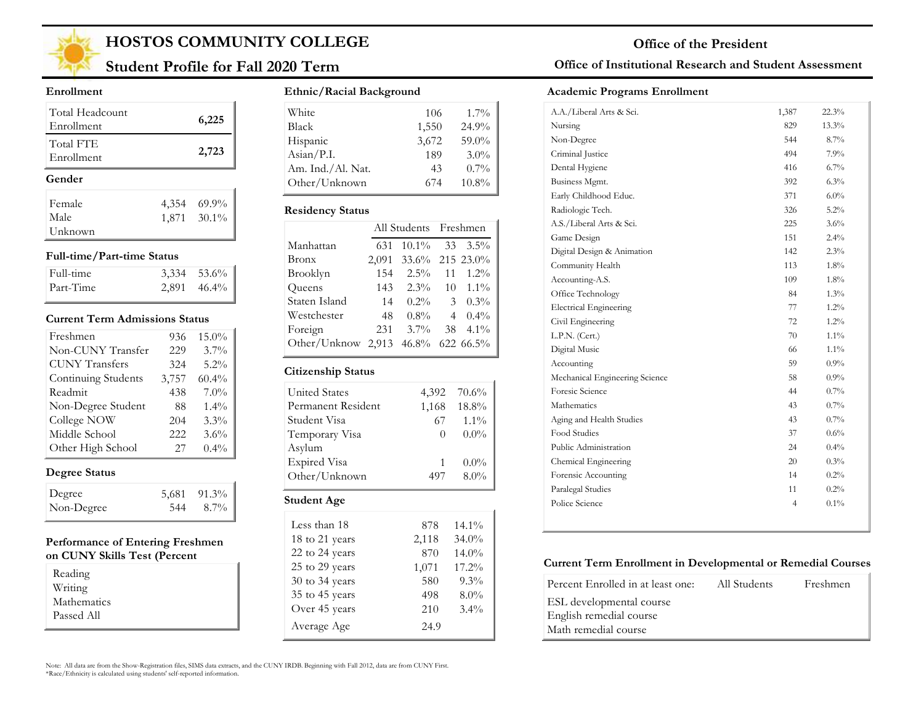

## **Student Profile for Fall 2020 Term**

#### **Enrollment**

| Total Headcount<br>Enrollment |       | 6,225                |
|-------------------------------|-------|----------------------|
| Total FTE<br>Enrollment       |       | 2,723                |
|                               |       |                      |
| Gender                        |       |                      |
| Female                        | 4,354 |                      |
| Male                          |       | 69.9%<br>1,871 30.1% |

#### **Full-time/Part-time Status**

| Full-time | $3,334$ $53.6\%$ |
|-----------|------------------|
| Part-Time | $2,891$ 46.4%    |

#### **Current Term Admissions Status**

| Freshmen              | 936   | 15.0%    |
|-----------------------|-------|----------|
| Non-CUNY Transfer     | 229   | $3.7\%$  |
| <b>CUNY Transfers</b> | 324   | $5.2\%$  |
| Continuing Students   | 3,757 | $60.4\%$ |
| Readmit               | 438   | $7.0\%$  |
| Non-Degree Student    | 88    | $1.4\%$  |
| College NOW           | 204   | $3.3\%$  |
| Middle School         | 222   | $3.6\%$  |
| Other High School     | 27    | $0.4\%$  |

### **Degree Status**

| Degree     |     | 5,681 91.3% |
|------------|-----|-------------|
| Non-Degree | 544 | 8.7%        |

#### **Performance of Entering Freshmen on CUNY Skills Test (Percent**

| Reading     |  |
|-------------|--|
| Writing     |  |
| Mathematics |  |
| Passed All  |  |

#### **Ethnic/Racial Background**

| White                        | 106   | $1.7\%$  |
|------------------------------|-------|----------|
| Black                        | 1,550 | 24.9%    |
| Hispanic                     | 3,672 | 59.0%    |
| $\text{Asian} / \text{P.I.}$ | 189   | 3.0%     |
| Am. Ind./Al. Nat.            | 43    | $0.7\%$  |
| Other/Unknown                | 674   | $10.8\%$ |

#### **Residency Status**

|                                    | All Students Freshmen |                  |  |                    |
|------------------------------------|-----------------------|------------------|--|--------------------|
| Manhattan                          | 631                   | $10.1\%$ 33 3.5% |  |                    |
| Bronx                              | 2,091                 | 33.6% 215 23.0%  |  |                    |
| Brooklyn                           | 154                   | $2.5\%$ 11       |  | $1.2\%$            |
| Queens                             | 143                   |                  |  | $2.3\%$ 10 $1.1\%$ |
| Staten Island                      | 14                    | $0.2\%$          |  | $3 \quad 0.3\%$    |
| Westchester                        | 48                    | $0.8\%$          |  | $40.4\%$           |
| Foreign                            | 231                   | $3.7\%$          |  | $38 \quad 4.1\%$   |
| Other/Unknow 2,913 46.8% 622 66.5% |                       |                  |  |                    |

#### **Citizenship Status**

| <b>United States</b> | 4,392            | 70.6%    |
|----------------------|------------------|----------|
| Permanent Resident   | 1,168            | 18.8%    |
| Student Visa         | 67.              | $1.1\%$  |
| Temporary Visa       | $\left( \right)$ | $0.0\%$  |
| Asylum               |                  |          |
| <b>Expired Visa</b>  | 1                | $0.0\%$  |
| Other/Unknown        | 497              | $8.0\%$  |
| Student Age          |                  |          |
| Less than 18         | 878              | 14.1%    |
| 18 to 21 years       | 2,118            | $34.0\%$ |

14.0% 17.2% 9.3% 8.0% 3.4%

22 to 24 years 870 25 to 29 years 1,071 30 to 34 years 580 35 to 45 years 498 Over 45 years 210

Average Age 24.9

### **Office of Institutional Research and Student Assessment**

#### **Academic Programs Enrollment**

| A.A./Liberal Arts & Sci.       | 1,387 | 22.3%   |  |
|--------------------------------|-------|---------|--|
| Nursing                        | 829   | 13.3%   |  |
| Non-Degree                     | 544   | $8.7\%$ |  |
| Criminal Justice               | 494   | 7.9%    |  |
| Dental Hygiene                 | 416   | 6.7%    |  |
| Business Mgmt.                 | 392   | 6.3%    |  |
| Early Childhood Educ.          | 371   | $6.0\%$ |  |
| Radiologic Tech.               | 326   | 5.2%    |  |
| A.S./Liberal Arts & Sci.       | 225   | 3.6%    |  |
| Game Design                    | 151   | 2.4%    |  |
| Digital Design & Animation     | 142   | 2.3%    |  |
| Community Health               | 113   | 1.8%    |  |
| Accounting-A.S.                | 109   | 1.8%    |  |
| Office Technology              | 84    | 1.3%    |  |
| <b>Electrical Engineering</b>  | 77    | 1.2%    |  |
| Civil Engineering              | 72    | 1.2%    |  |
| L.P.N. (Cert.)                 | 70    | $1.1\%$ |  |
| Digital Music                  | 66    | $1.1\%$ |  |
| Accounting                     | 59    | 0.9%    |  |
| Mechanical Engineering Science | 58    | $0.9\%$ |  |
| Foresic Science                | 44    | 0.7%    |  |
| Mathematics                    | 43    | 0.7%    |  |
| Aging and Health Studies       | 43    | 0.7%    |  |
| Food Studies                   | 37    | 0.6%    |  |
| Public Administration          | 24    | 0.4%    |  |
| Chemical Engineering           | 20    | 0.3%    |  |
| Forensic Accounting            | 14    | 0.2%    |  |
| Paralegal Studies              | 11    | 0.2%    |  |
| Police Science                 | 4     | 0.1%    |  |
|                                |       |         |  |

#### **Current Term Enrollment in Developmental or Remedial Courses**

| Percent Enrolled in at least one: | All Students | Freshmen |
|-----------------------------------|--------------|----------|
| ESL developmental course          |              |          |
| English remedial course           |              |          |
| Math remedial course              |              |          |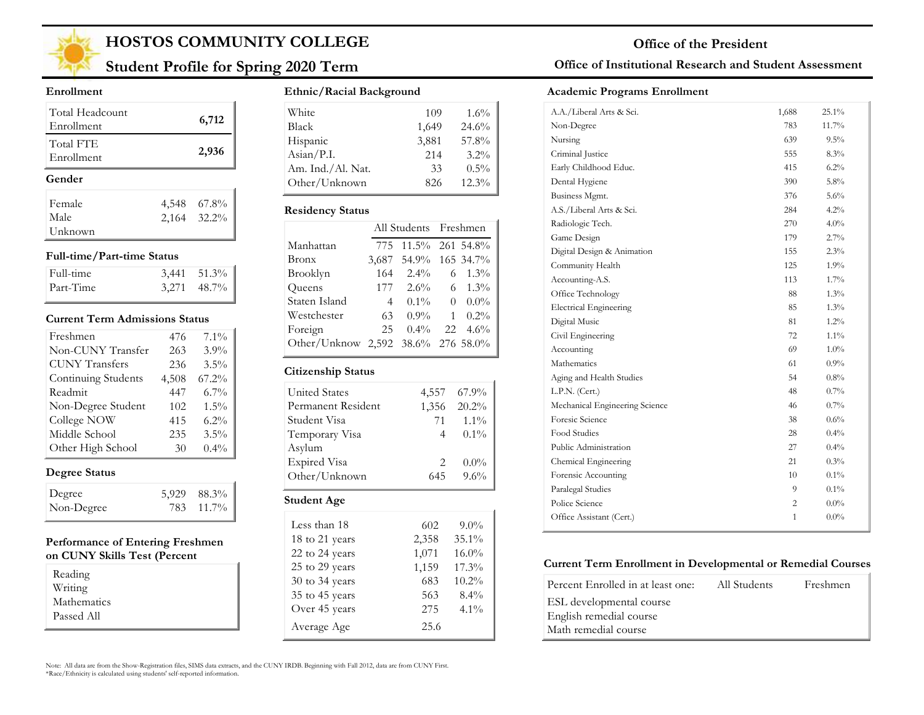

## **Student Profile for Spring 2020 Term**

#### **Enrollment**

| Total Headcount<br>Enrollment | 6,712       |
|-------------------------------|-------------|
| Total FTE<br>Enrollment       | 2,936       |
| Gender                        |             |
| Female                        | 4,548 67.8% |
| Male                          | 2,164 32.2% |
| Unknown                       |             |

#### **Full-time/Part-time Status**

| Full-time | $3,441$ $51.3\%$ |
|-----------|------------------|
| Part-Time | $3,271$ 48.7%    |

#### **Current Term Admissions Status**

| Freshmen              | 476   | $7.1\%$ |
|-----------------------|-------|---------|
| Non-CUNY Transfer     | 263   | 3.9%    |
| <b>CUNY Transfers</b> | 236   | 3.5%    |
| Continuing Students   | 4,508 | 67.2%   |
| Readmit               | 447   | 6.7%    |
| Non-Degree Student    | 102   | 1.5%    |
| College NOW           | 415   | 6.2%    |
| Middle School         | 235   | 3.5%    |
| Other High School     | 30    | $0.4\%$ |

### **Degree Status**

| Degree     | 5,929 88.3% |
|------------|-------------|
| Non-Degree | 783 11.7%   |

#### **Performance of Entering Freshmen on CUNY Skills Test (Percent**

| Reading     |  |
|-------------|--|
| Writing     |  |
| Mathematics |  |
| Passed All  |  |

#### **Ethnic/Racial Background**

| White                        | 109   | $1.6\%$  |
|------------------------------|-------|----------|
| <b>Black</b>                 | 1,649 | 24.6%    |
| Hispanic                     | 3,881 | 57.8%    |
| $\text{Asian} / \text{P.I.}$ | 214   | $3.2\%$  |
| Am. Ind./Al. Nat.            | 33    | $0.5\%$  |
| Other/Unknown                | 826   | $12.3\%$ |

#### **Residency Status**

|                                    |                | All Students Freshmen |              |                  |
|------------------------------------|----------------|-----------------------|--------------|------------------|
| Manhattan                          |                | 775 11.5% 261 54.8%   |              |                  |
| <b>Bronx</b>                       |                | 3,687 54.9% 165 34.7% |              |                  |
| Brooklyn                           | 164            | $2.4\%$               |              | $6 \quad 1.3\%$  |
| Queens                             |                | $177 \quad 2.6\%$     |              | $6 \quad 1.3\%$  |
| Staten Island                      | $\overline{4}$ | $0.1\%$               | $\Omega$     | $0.0\%$          |
| Westchester                        | 63             | $0.9\%$               | $\mathbf{1}$ | $0.2\%$          |
| Foreign                            | 25             | $0.4\%$               |              | $22 \quad 4.6\%$ |
| Other/Unknow 2,592 38.6% 276 58.0% |                |                       |              |                  |

#### **Citizenship Status**

| <b>United States</b> | 4,557                         | 67.9%    |
|----------------------|-------------------------------|----------|
| Permanent Resident   | 1,356                         | 20.2%    |
| Student Visa         | 71                            | $1.1\%$  |
| Temporary Visa       | 4                             | $0.1\%$  |
| Asylum               |                               |          |
| <b>Expired Visa</b>  | $\mathfrak{D}_{\mathfrak{p}}$ | $0.0\%$  |
| Other/Unknown        | 645                           | 9.6%     |
| Student Age          |                               |          |
| Less than 18         | 602                           | $9.0\%$  |
| 18 to 21 years       | 2,358                         | $35.1\%$ |
| 22 to 24 years       | 1,071                         | $16.0\%$ |

17.3% 10.2% 8.4% 4.1%

25 to 29 years 1,159 30 to 34 years 683 35 to 45 years 563 Over 45 years 275

Average Age 25.6

### **Office of Institutional Research and Student Assessment**

#### **Academic Programs Enrollment**

| A.A./Liberal Arts & Sci.       | 1,688 | $25.1\%$ |  |
|--------------------------------|-------|----------|--|
| Non-Degree                     | 783   | 11.7%    |  |
| Nursing                        | 639   | $9.5\%$  |  |
| Criminal Justice               | 555   | 8.3%     |  |
| Early Childhood Educ.          | 415   | $6.2\%$  |  |
| Dental Hygiene                 | 390   | 5.8%     |  |
| Business Mgmt.                 | 376   | 5.6%     |  |
| A.S./Liberal Arts & Sci.       | 284   | 4.2%     |  |
| Radiologic Tech.               | 270   | $4.0\%$  |  |
| Game Design                    | 179   | 2.7%     |  |
| Digital Design & Animation     | 155   | 2.3%     |  |
| Community Health               | 125   | $1.9\%$  |  |
| Accounting-A.S.                | 113   | $1.7\%$  |  |
| Office Technology              | 88    | 1.3%     |  |
| <b>Electrical Engineering</b>  | 85    | $1.3\%$  |  |
| Digital Music                  | 81    | $1.2\%$  |  |
| Civil Engineering              | 72    | $1.1\%$  |  |
| Accounting                     | 69    | $1.0\%$  |  |
| Mathematics                    | 61    | $0.9\%$  |  |
| Aging and Health Studies       | 54    | $0.8\%$  |  |
| L.P.N. (Cert.)                 | 48    | $0.7\%$  |  |
| Mechanical Engineering Science | 46    | $0.7\%$  |  |
| Foresic Science                | 38    | 0.6%     |  |
| Food Studies                   | 28    | $0.4\%$  |  |
| Public Administration          | 27    | $0.4\%$  |  |
| Chemical Engineering           | 21    | 0.3%     |  |
| Forensic Accounting            | 10    | $0.1\%$  |  |
| Paralegal Studies              | 9     | $0.1\%$  |  |
| Police Science                 | 2     | $0.0\%$  |  |
| Office Assistant (Cert.)       | 1     | $0.0\%$  |  |
|                                |       |          |  |

#### **Current Term Enrollment in Developmental or Remedial Courses**

| Percent Enrolled in at least one: | All Students | Freshmen |
|-----------------------------------|--------------|----------|
| ESL developmental course          |              |          |
| English remedial course           |              |          |
| Math remedial course              |              |          |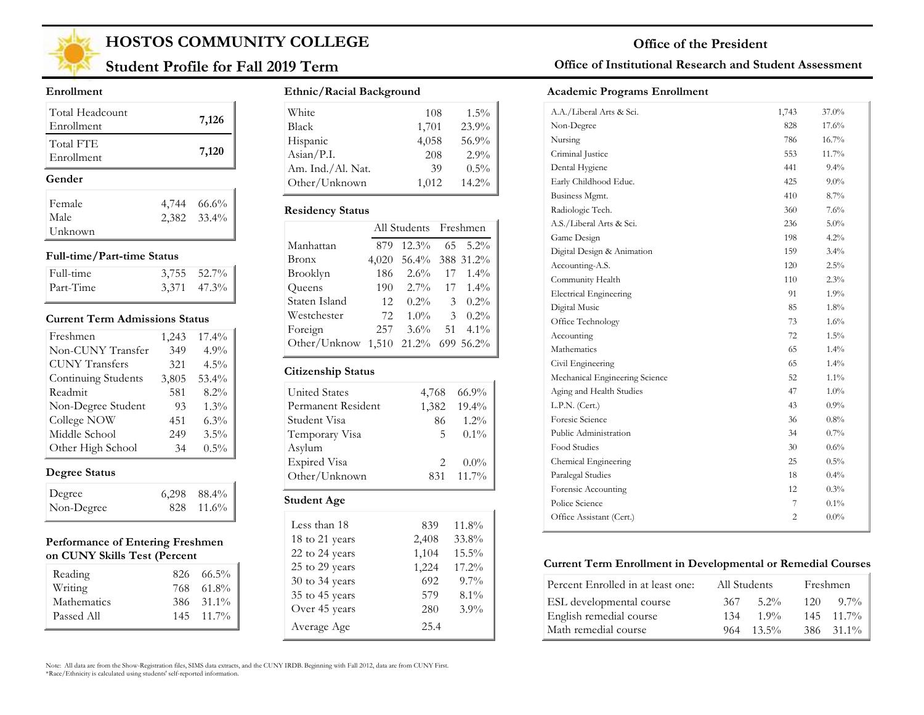

## **Student Profile for Fall 2019 Term**

#### **Enrollment**

| Total Headcount<br>Enrollment | 7,126                      |
|-------------------------------|----------------------------|
| Total FTE<br>Enrollment       | 7,120                      |
|                               |                            |
| Gender                        |                            |
| Female                        |                            |
| Male                          | 4,744 66.6%<br>2,382 33.4% |

#### **Full-time/Part-time Status**

| Full-time | $3,755$ $52.7\%$ |
|-----------|------------------|
| Part-Time | $3,371$ $47.3\%$ |

#### **Current Term Admissions Status**

| Freshmen              | 1,243 | 17.4%    |
|-----------------------|-------|----------|
| Non-CUNY Transfer     | 349   | $4.9\%$  |
| <b>CUNY Transfers</b> | 321   | $4.5\%$  |
| Continuing Students   | 3,805 | $53.4\%$ |
| Readmit               | 581   | 8.2%     |
| Non-Degree Student    | 93    | 1.3%     |
| College NOW           | 451   | $6.3\%$  |
| Middle School         | 249   | $3.5\%$  |
| Other High School     | 34    | $0.5\%$  |

### **Degree Status**

| Degree     | $6,298$ $88.4\%$ |
|------------|------------------|
| Non-Degree | 828 11.6%        |

#### **Performance of Entering Freshmen on CUNY Skills Test (Percent**

| Reading<br>Writing | $826 \quad 66.5\%$<br>768 61.8% |
|--------------------|---------------------------------|
| Mathematics        | 386 31.1%                       |
| Passed All         | $145$ $11.7\%$                  |

#### **Ethnic/Racial Background**

| White             | 108   | $1.5\%$ |
|-------------------|-------|---------|
| Black             | 1,701 | 23.9%   |
| Hispanic          | 4,058 | 56.9%   |
| Asian/P.I.        | 208   | $2.9\%$ |
| Am. Ind./Al. Nat. | 39    | $0.5\%$ |
| Other/Unknown     | 1,012 | 14.2%   |

#### **Residency Status**

|                                    |       | All Students Freshmen |                |                  |
|------------------------------------|-------|-----------------------|----------------|------------------|
| Manhattan                          | 879   | $12.3\%$ 65 5.2%      |                |                  |
| Bronx                              | 4,020 | 56.4% 388 31.2%       |                |                  |
| Brooklyn                           | 186   |                       |                | $2.6\%$ 17 1.4%  |
| Queens                             | 190   |                       |                | $2.7\%$ 17 1.4%  |
| Staten Island                      | -12   | $0.2\%$               |                | 3 $0.2\%$        |
| Westchester                        | 72    | $1.0\%$               | $\mathfrak{Z}$ | $0.2\%$          |
| Foreign                            | 257   | $3.6\%$               |                | $51 \quad 4.1\%$ |
| Other/Unknow 1,510 21.2% 699 56.2% |       |                       |                |                  |

#### **Citizenship Status**

| <b>United States</b> | 4,768                         | 66.9%    |
|----------------------|-------------------------------|----------|
| Permanent Resident   | 1,382                         | $19.4\%$ |
| Student Visa         | 86                            | $1.2\%$  |
| Temporary Visa       | 5                             | $0.1\%$  |
| Asylum               |                               |          |
| <b>Expired Visa</b>  | $\mathfrak{D}_{\mathfrak{p}}$ | $0.0\%$  |
| Other/Unknown        | 831                           | 11.7%    |
| <b>Student Age</b>   |                               |          |

| Less than 18   | 839   | 11.8%    |
|----------------|-------|----------|
| 18 to 21 years | 2,408 | 33.8%    |
| 22 to 24 years | 1,104 | $15.5\%$ |
| 25 to 29 years | 1,224 | 17.2%    |
| 30 to 34 years | 692   | $9.7\%$  |
| 35 to 45 years | 579   | $8.1\%$  |
| Over 45 years  | 280   | $3.9\%$  |
| Average Age    | 25.4  |          |

### **Office of Institutional Research and Student Assessment**

#### **Academic Programs Enrollment**

| A.A./Liberal Arts & Sci.       | 1,743          | 37.0%   |  |
|--------------------------------|----------------|---------|--|
| Non-Degree                     | 828            | 17.6%   |  |
| Nursing                        | 786            | 16.7%   |  |
| Criminal Justice               | 553            | 11.7%   |  |
| Dental Hygiene                 | 441            | $9.4\%$ |  |
| Early Childhood Educ.          | 425            | $9.0\%$ |  |
| Business Mgmt.                 | 410            | 8.7%    |  |
| Radiologic Tech.               | 360            | 7.6%    |  |
| A.S./Liberal Arts & Sci.       | 236            | $5.0\%$ |  |
| Game Design                    | 198            | 4.2%    |  |
| Digital Design & Animation     | 159            | 3.4%    |  |
| Accounting-A.S.                | 120            | $2.5\%$ |  |
| Community Health               | 110            | $2.3\%$ |  |
| <b>Electrical Engineering</b>  | 91             | 1.9%    |  |
| Digital Music                  | 85             | 1.8%    |  |
| Office Technology              | 73             | 1.6%    |  |
| Accounting                     | 72             | $1.5\%$ |  |
| Mathematics                    | 65             | 1.4%    |  |
| Civil Engineering              | 65             | 1.4%    |  |
| Mechanical Engineering Science | 52             | $1.1\%$ |  |
| Aging and Health Studies       | 47             | $1.0\%$ |  |
| L.P.N. (Cert.)                 | 43             | 0.9%    |  |
| Foresic Science                | 36             | $0.8\%$ |  |
| Public Administration          | 34             | $0.7\%$ |  |
| Food Studies                   | 30             | $0.6\%$ |  |
| Chemical Engineering           | 25             | $0.5\%$ |  |
| Paralegal Studies              | 18             | $0.4\%$ |  |
| Forensic Accounting            | 12             | 0.3%    |  |
| Police Science                 | 7              | $0.1\%$ |  |
| Office Assistant (Cert.)       | $\overline{c}$ | $0.0\%$ |  |
|                                |                |         |  |

#### **Current Term Enrollment in Developmental or Remedial Courses**

| Percent Enrolled in at least one: | All Students    | Freshmen           |
|-----------------------------------|-----------------|--------------------|
| ESL developmental course          | $5.2\%$<br>367  | $9.7\%$<br>120     |
| English remedial course           | 1.9%<br>134     | $145 \quad 11.7\%$ |
| Math remedial course              | $13.5\%$<br>964 | 386 31.1%          |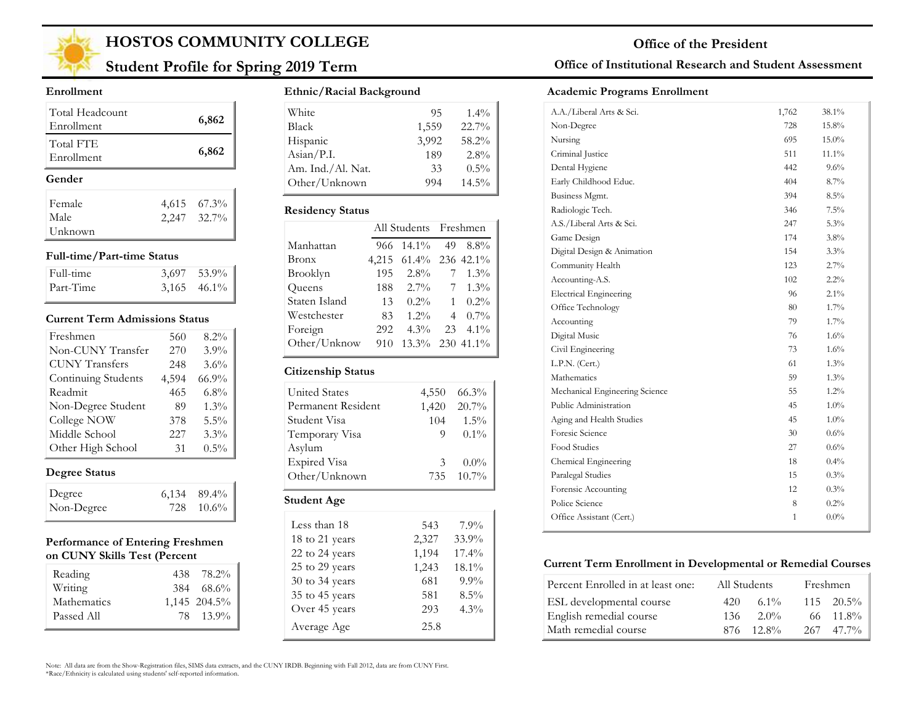

## **Student Profile for Spring 2019 Term**

#### **Enrollment**

| Total Headcount<br>Enrollment | 6,862       |
|-------------------------------|-------------|
| Total FTE<br>Enrollment       | 6,862       |
| Gender                        |             |
| Female                        | 4,615 67.3% |
|                               |             |
| Male                          | 2,247 32.7% |

#### **Full-time/Part-time Status**

| Full-time | $3,697$ $53.9\%$ |
|-----------|------------------|
| Part-Time | $3,165$ 46.1%    |

#### **Current Term Admissions Status**

| Freshmen              | 560   | 8.2%    |
|-----------------------|-------|---------|
| Non-CUNY Transfer     | 270   | 3.9%    |
| <b>CUNY Transfers</b> | 248   | 3.6%    |
| Continuing Students   | 4,594 | 66.9%   |
| Readmit               | 465   | 6.8%    |
| Non-Degree Student    | 89    | 1.3%    |
| College NOW           | 378   | 5.5%    |
| Middle School         | 227   | 3.3%    |
| Other High School     | 31    | $0.5\%$ |

### **Degree Status**

| Degree     | $6,134$ $89.4\%$ |
|------------|------------------|
| Non-Degree | 728 10.6%        |

#### **Performance of Entering Freshmen on CUNY Skills Test (Percent**

| Reading     | 438 78.2%      |
|-------------|----------------|
| Writing     | $384$ $68.6\%$ |
| Mathematics | 1,145 204.5%   |
| Passed All  | 78 13.9%       |

#### **Ethnic/Racial Background**

| White                        | 95    | $1.4\%$  |
|------------------------------|-------|----------|
| <b>Black</b>                 | 1,559 | 22.7%    |
| Hispanic                     | 3,992 | 58.2%    |
| $\text{Asian} / \text{P.I.}$ | 189   | $2.8\%$  |
| Am. Ind./Al. Nat.            | 33    | $0.5\%$  |
| Other/Unknown                | 994   | $14.5\%$ |

#### **Residency Status**

| 966 |         | 49          | $8.8\%$                                                                                  |
|-----|---------|-------------|------------------------------------------------------------------------------------------|
|     |         |             |                                                                                          |
| 195 | $2.8\%$ |             | $1.3\%$                                                                                  |
| 188 | $2.7\%$ | $7^{\circ}$ | $1.3\%$                                                                                  |
| 13  |         | 1           | $0.2\%$                                                                                  |
| 83  | $1.2\%$ |             | $40.7\%$                                                                                 |
| 292 | $4.3\%$ |             | $23 \quad 4.1\%$                                                                         |
| 910 |         |             |                                                                                          |
|     |         |             | All Students Freshmen<br>$14.1\%$<br>4,215 61.4% 236 42.1%<br>$0.2\%$<br>13.3% 230 41.1% |

#### **Citizenship Status**

| <b>United States</b> | 4,550 | $66.3\%$  |
|----------------------|-------|-----------|
| Permanent Resident   | 1,420 | $20.7\%$  |
| Student Visa         | 104   | $1.5\%$   |
| Temporary Visa       | 9     | $0.1\%$   |
| Asylum               |       |           |
| <b>Expired Visa</b>  | 3     | $0.0\%$   |
| Other/Unknown        |       | 735 10.7% |
| Student Age          |       |           |

| Less than 18   | 543   | 7.9%     |
|----------------|-------|----------|
| 18 to 21 years | 2,327 | 33.9%    |
| 22 to 24 years | 1,194 | $17.4\%$ |
| 25 to 29 years | 1,243 | 18.1%    |
| 30 to 34 years | 681   | $9.9\%$  |
| 35 to 45 years | 581   | $8.5\%$  |
| Over 45 years  | 293   | $4.3\%$  |
| Average Age    | 25.8  |          |

### **Office of Institutional Research and Student Assessment**

#### **Academic Programs Enrollment**

| A.A./Liberal Arts & Sci.       | 1,762        | 38.1%    |
|--------------------------------|--------------|----------|
| Non-Degree                     | 728          | 15.8%    |
| Nursing                        | 695          | $15.0\%$ |
| Criminal Justice               | 511          | 11.1%    |
| Dental Hygiene                 | 442          | $9.6\%$  |
| Early Childhood Educ.          | 404          | 8.7%     |
| Business Mgmt.                 | 394          | $8.5\%$  |
| Radiologic Tech.               | 346          | $7.5\%$  |
| A.S./Liberal Arts & Sci.       | 247          | 5.3%     |
| Game Design                    | 174          | 3.8%     |
| Digital Design & Animation     | 154          | $3.3\%$  |
| Community Health               | 123          | 2.7%     |
| Accounting-A.S.                | 102          | $2.2\%$  |
| <b>Electrical Engineering</b>  | 96           | $2.1\%$  |
| Office Technology              | 80           | 1.7%     |
| Accounting                     | 79           | 1.7%     |
| Digital Music                  | 76           | $1.6\%$  |
| Civil Engineering              | 73           | $1.6\%$  |
| L.P.N. (Cert.)                 | 61           | $1.3\%$  |
| Mathematics                    | 59           | 1.3%     |
| Mechanical Engineering Science | 55           | $1.2\%$  |
| Public Administration          | 45           | 1.0%     |
| Aging and Health Studies       | 45           | 1.0%     |
| Foresic Science                | 30           | $0.6\%$  |
| Food Studies                   | 27           | $0.6\%$  |
| Chemical Engineering           | 18           | $0.4\%$  |
| Paralegal Studies              | 15           | 0.3%     |
| Forensic Accounting            | 12           | 0.3%     |
| Police Science                 | 8            | 0.2%     |
| Office Assistant (Cert.)       | $\mathbf{1}$ | $0.0\%$  |
|                                |              |          |

#### **Current Term Enrollment in Developmental or Remedial Courses**

| Percent Enrolled in at least one: | All Students |             | Freshmen           |  |
|-----------------------------------|--------------|-------------|--------------------|--|
| ESL developmental course          | 420          | 6.1%        | $115 \quad 20.5\%$ |  |
| English remedial course           | 136.         | $2.0\%$     | $66 \quad 11.8\%$  |  |
| Math remedial course              |              | $876$ 12.8% | $267$ 47.7%        |  |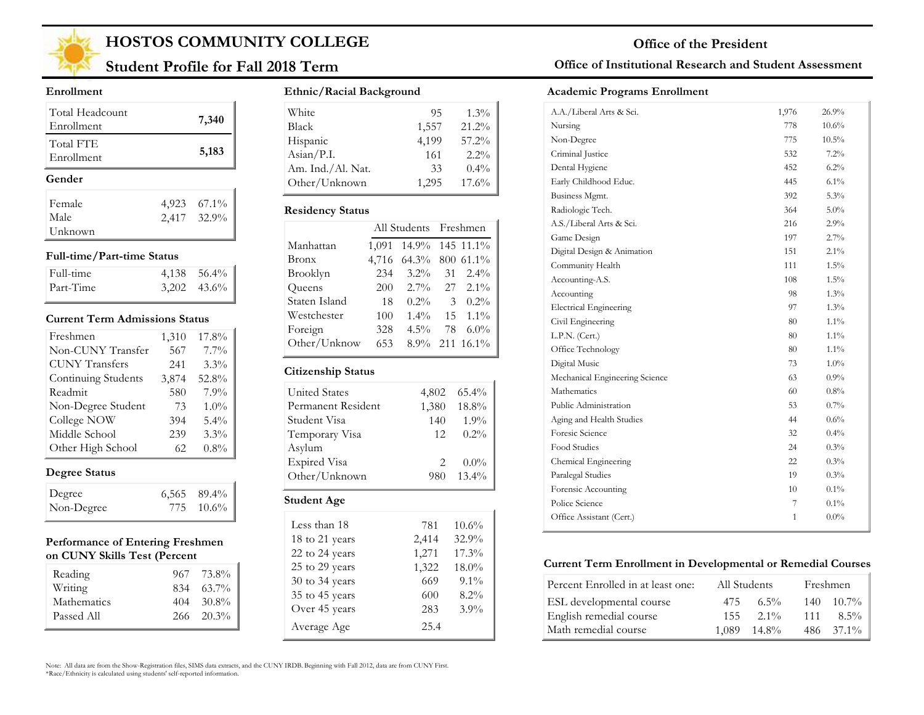

## **Student Profile for Fall 2018 Term**

#### **Enrollment**

| Total Headcount<br>Enrollment |       | 7,340       |
|-------------------------------|-------|-------------|
| Total FTE<br>Enrollment       |       | 5,183       |
| Gender                        |       |             |
| Female                        | 4,923 | $67.1\%$    |
| Male                          |       | 2,417 32.9% |
|                               |       |             |

#### **Full-time/Part-time Status**

| Full-time | $4,138$ $56.4\%$ |
|-----------|------------------|
| Part-Time | $3,202$ $43.6\%$ |

#### **Current Term Admissions Status**

| Freshmen              | 1,310 | 17.8%   |
|-----------------------|-------|---------|
| Non-CUNY Transfer     | 567   | $7.7\%$ |
| <b>CUNY Transfers</b> | 241   | 3.3%    |
| Continuing Students   | 3,874 | 52.8%   |
| Readmit               | 580   | 7.9%    |
| Non-Degree Student    | 73    | $1.0\%$ |
| College NOW           | 394   | $5.4\%$ |
| Middle School         | 239   | $3.3\%$ |
| Other High School     | 62.   | $0.8\%$ |

### **Degree Status**

| Degree     | $6,565$ 89.4% |
|------------|---------------|
| Non-Degree | 775 10.6%     |

#### **Performance of Entering Freshmen on CUNY Skills Test (Percent**

| Reading     | 967 73.8%          |
|-------------|--------------------|
| Writing     | $834 \quad 63.7\%$ |
| Mathematics | $404 - 30.8\%$     |
| Passed All  | $266 - 20.3\%$     |
|             |                    |

#### **Ethnic/Racial Background**

| White             | 95    | $1.3\%$ |
|-------------------|-------|---------|
| <b>Black</b>      | 1,557 | 21.2%   |
| Hispanic          | 4,199 | 57.2%   |
| Asian/P.I.        | 161   | $2.2\%$ |
| Am. Ind./Al. Nat. | 33    | $0.4\%$ |
| Other/Unknown     | 1.295 | 17.6%   |

#### **Residency Status**

|               | All Students Freshmen |                 |    |                  |
|---------------|-----------------------|-----------------|----|------------------|
| Manhattan     | 1,091                 | 14.9% 145 11.1% |    |                  |
| Bronx         | 4,716                 | 64.3% 800 61.1% |    |                  |
| Brooklyn      | 234                   | $3.2\%$         | 31 | $2.4\%$          |
| Queens        | 200                   | $2.7\%$         |    | $27\quad 2.1\%$  |
| Staten Island | 18                    | $0.2\%$         | 3  | $0.2\%$          |
| Westchester   | 100                   | $1.4\%$         |    | $15 \quad 1.1\%$ |
| Foreign       | 328                   | $4.5\%$         | 78 | $6.0\%$          |
| Other/Unknow  | 653                   |                 |    | 8.9% 211 16.1%   |
|               |                       |                 |    |                  |

#### **Citizenship Status**

| United States       | 4,802 | $65.4\%$ |
|---------------------|-------|----------|
| Permanent Resident  | 1,380 | 18.8%    |
| Student Visa        | 140   | 1.9%     |
| Temporary Visa      | 12    | 0.2%     |
| Asylum              |       |          |
| <b>Expired Visa</b> | 2.    | $0.0\%$  |
| Other/Unknown       | 980   | $13.4\%$ |
| <b>Student Age</b>  |       |          |

| Less than 18   | 781   | 10.6%   |
|----------------|-------|---------|
| 18 to 21 years | 2,414 | 32.9%   |
| 22 to 24 years | 1,271 | 17.3%   |
| 25 to 29 years | 1,322 | 18.0%   |
| 30 to 34 years | 669   | $9.1\%$ |
| 35 to 45 years | 600   | 8.2%    |
| Over 45 years  | 283   | $3.9\%$ |
| Average Age    | 25.4  |         |

### **Office of Institutional Research and Student Assessment**

#### **Academic Programs Enrollment**

| A.A./Liberal Arts & Sci.       | 1,976 | 26.9%    |
|--------------------------------|-------|----------|
| Nursing                        | 778   | $10.6\%$ |
| Non-Degree                     | 775   | $10.5\%$ |
| Criminal Justice               | 532   | $7.2\%$  |
| Dental Hygiene                 | 452   | $6.2\%$  |
| Early Childhood Educ.          | 445   | 6.1%     |
| Business Mgmt.                 | 392   | 5.3%     |
| Radiologic Tech.               | 364   | 5.0%     |
| A.S./Liberal Arts & Sci.       | 216   | 2.9%     |
| Game Design                    | 197   | 2.7%     |
| Digital Design & Animation     | 151   | $2.1\%$  |
| Community Health               | 111   | $1.5\%$  |
| Accounting-A.S.                | 108   | 1.5%     |
| Accounting                     | 98    | $1.3\%$  |
| <b>Electrical Engineering</b>  | 97    | $1.3\%$  |
| Civil Engineering              | 80    | $1.1\%$  |
| L.P.N. (Cert.)                 | 80    | $1.1\%$  |
| Office Technology              | 80    | $1.1\%$  |
| Digital Music                  | 73    | $1.0\%$  |
| Mechanical Engineering Science | 63    | 0.9%     |
| Mathematics                    | 60    | 0.8%     |
| Public Administration          | 53    | $0.7\%$  |
| Aging and Health Studies       | 44    | 0.6%     |
| Foresic Science                | 32    | 0.4%     |
| Food Studies                   | 24    | 0.3%     |
| Chemical Engineering           | 22    | 0.3%     |
| Paralegal Studies              | 19    | 0.3%     |
| Forensic Accounting            | 10    | $0.1\%$  |
| Police Science                 | 7     | $0.1\%$  |
| Office Assistant (Cert.)       | 1     | $0.0\%$  |
|                                |       |          |

#### **Current Term Enrollment in Developmental or Remedial Courses**

| Percent Enrolled in at least one: | All Students |                  | Freshmen |                |
|-----------------------------------|--------------|------------------|----------|----------------|
| ESL developmental course          | 475          | $6.5\%$          |          | $140 - 10.7\%$ |
| English remedial course           | 155          | $2.1\%$          | 111      | $8.5\%$        |
| Math remedial course              |              | $1.089$ $14.8\%$ |          | 486 37.1%      |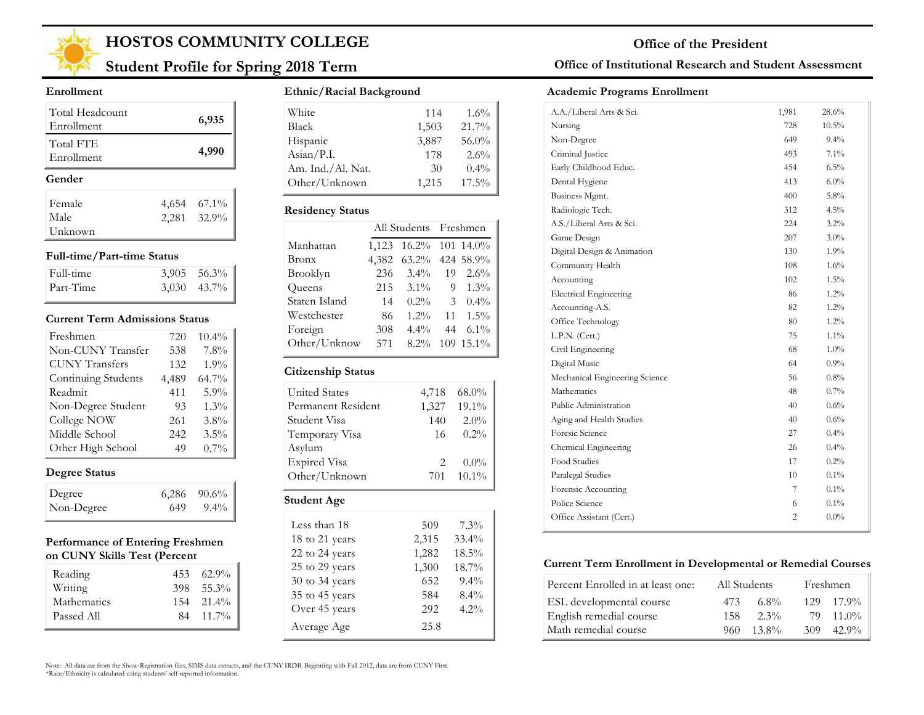

## **Student Profile for Spring 2018 Term**

#### **Enrollment**

| Total Headcount<br>Enrollment | 6,935                      |
|-------------------------------|----------------------------|
| Total FTE<br>Enrollment       | 4,990                      |
|                               |                            |
| Gender                        |                            |
| Female                        | $67.1\%$                   |
| Male                          | 4,654 67.1%<br>2,281 32.9% |

#### **Full-time/Part-time Status**

| Full-time | $3,905$ $56.3\%$ |
|-----------|------------------|
| Part-Time | $3,030$ $43.7\%$ |

#### **Current Term Admissions Status**

| Freshmen              | 720   | 10.4%   |
|-----------------------|-------|---------|
| Non-CUNY Transfer     | 538   | 7.8%    |
| <b>CUNY</b> Transfers | 132   | 1.9%    |
| Continuing Students   | 4,489 | 64.7%   |
| Readmit               | 411   | 5.9%    |
| Non-Degree Student    | 93    | 1.3%    |
| College NOW           | 261   | 3.8%    |
| Middle School         | 242   | 3.5%    |
| Other High School     | 49    | $0.7\%$ |

### **Degree Status**

| Degree     |      | $6,286$ $90.6\%$ |
|------------|------|------------------|
| Non-Degree | 649. | $9.4\%$          |

#### **Performance of Entering Freshmen on CUNY Skills Test (Percent**

| Reading     | $453\quad 62.9\%$ |
|-------------|-------------------|
| Writing     | 398 55.3%         |
| Mathematics | $154$ $21.4\%$    |
| Passed All  | 84 11.7%          |
|             |                   |

#### **Ethnic/Racial Background**

| White                        | 114   | $1.6\%$  |
|------------------------------|-------|----------|
| <b>Black</b>                 | 1,503 | 21.7%    |
| Hispanic                     | 3,887 | 56.0%    |
| $\text{Asian} / \text{P.I.}$ | 178   | $2.6\%$  |
| Am. Ind./Al. Nat.            | 30    | $0.4\%$  |
| Other/Unknown                | 1,215 | $17.5\%$ |

#### **Residency Status**

|               |       | All Students Freshmen |    |           |
|---------------|-------|-----------------------|----|-----------|
| Manhattan     | 1,123 | $16.2\%$              |    | 101 14.0% |
| Bronx         | 4,382 | 63.2% 424 58.9%       |    |           |
| Brooklyn      | 236   | $3.4\%$               | 19 | $2.6\%$   |
| Queens        | 215   | $3.1\%$               | 9  | $1.3\%$   |
| Staten Island | 14    | $0.2\%$               | 3  | $0.4\%$   |
| Westchester   | 86    | $1.2\%$               | 11 | $1.5\%$   |
| Foreign       | 308   | $4.4\%$               | 44 | $6.1\%$   |
| Other/Unknow  | 571   | $8.2\%$               |    | 109 15.1% |
|               |       |                       |    |           |

#### **Citizenship Status**

| <b>United States</b> | 4,718                         | $68.0\%$ |
|----------------------|-------------------------------|----------|
| Permanent Resident   | 1,327                         | 19.1%    |
| Student Visa         | 140                           | $2.0\%$  |
| Temporary Visa       | 16                            | $0.2\%$  |
| Asylum               |                               |          |
| <b>Expired Visa</b>  | $\mathfrak{D}_{\mathfrak{p}}$ | $0.0\%$  |
| Other/Unknown        | 701                           | $10.1\%$ |
| <b>Student Age</b>   |                               |          |

| Less than 18       | 509   | 7.3%    |
|--------------------|-------|---------|
| 18 to 21 years     | 2,315 | 33.4%   |
| 22 to 24 years     | 1,282 | 18.5%   |
| 25 to 29 years     | 1,300 | 18.7%   |
| $30$ to $34$ years | 652   | $9.4\%$ |
| 35 to 45 years     | 584   | $8.4\%$ |
| Over 45 years      | 292   | $4.2\%$ |
| Average Age        | 25.8  |         |

### **Office of Institutional Research and Student Assessment**

#### **Academic Programs Enrollment**

| A.A./Liberal Arts & Sci.       | 1,981 | 28.6%    |
|--------------------------------|-------|----------|
| Nursing                        | 728   | $10.5\%$ |
| Non-Degree                     | 649   | $9.4\%$  |
| Criminal Justice               | 493   | $7.1\%$  |
| Early Childhood Educ.          | 454   | $6.5\%$  |
| Dental Hygiene                 | 413   | $6.0\%$  |
| Business Mgmt.                 | 400   | $5.8\%$  |
| Radiologic Tech.               | 312   | $4.5\%$  |
| A.S./Liberal Arts & Sci.       | 224   | $3.2\%$  |
| Game Design                    | 207   | $3.0\%$  |
| Digital Design & Animation     | 130   | $1.9\%$  |
| Community Health               | 108   | $1.6\%$  |
| Accounting                     | 102   | $1.5\%$  |
| <b>Electrical Engineering</b>  | 86    | $1.2\%$  |
| Accounting-A.S.                | 82    | $1.2\%$  |
| Office Technology              | 80    | $1.2\%$  |
| L.P.N. (Cert.)                 | 75    | $1.1\%$  |
| Civil Engineering              | 68    | $1.0\%$  |
| Digital Music                  | 64    | 0.9%     |
| Mechanical Engineering Science | 56    | $0.8\%$  |
| Mathematics                    | 48    | $0.7\%$  |
| Public Administration          | 40    | $0.6\%$  |
| Aging and Health Studies       | 40    | $0.6\%$  |
| Foresic Science                | 27    | $0.4\%$  |
| Chemical Engineering           | 26    | $0.4\%$  |
| Food Studies                   | 17    | $0.2\%$  |
| Paralegal Studies              | 10    | $0.1\%$  |
| Forensic Accounting            | 7     | $0.1\%$  |
| Police Science                 | 6     | $0.1\%$  |
| Office Assistant (Cert.)       | 2     | $0.0\%$  |
|                                |       |          |

#### **Current Term Enrollment in Developmental or Remedial Courses**

| Percent Enrolled in at least one: | All Students     | Freshmen         |
|-----------------------------------|------------------|------------------|
| ESL developmental course          | $6.8\%$<br>473   | $129 - 17.9\%$   |
| English remedial course           | $2.3\%$<br>158.  | 79 11.0%         |
| Math remedial course              | $13.8\%$<br>960. | $42.9\%$<br>309. |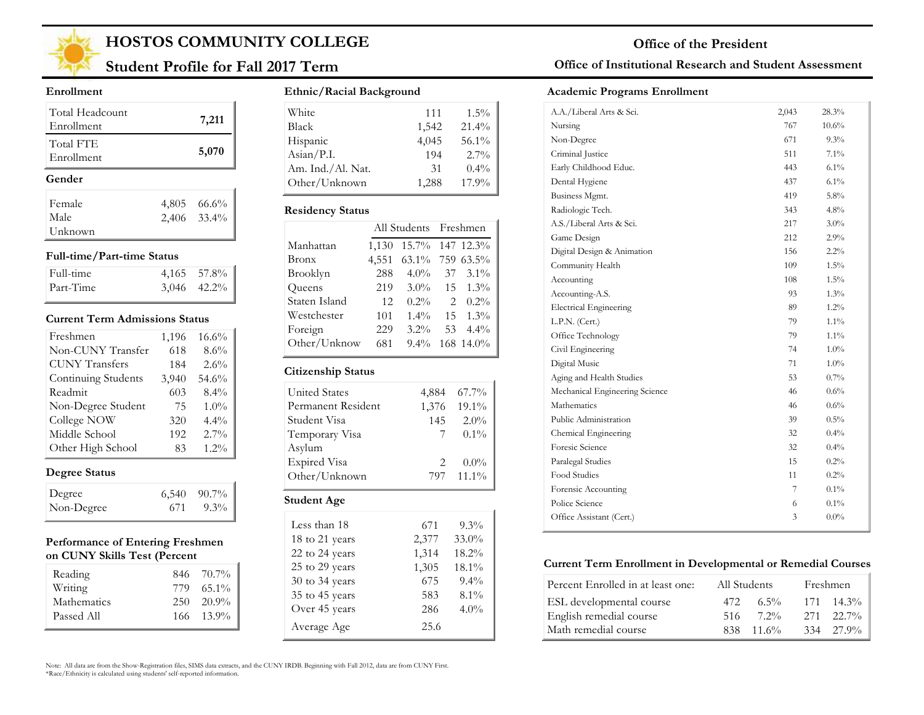

## **Student Profile for Fall 2017 Term**

#### **Enrollment**

| Total Headcount<br>Enrollment |       | 7,211       |
|-------------------------------|-------|-------------|
| Total FTE<br>Enrollment       |       | 5,070       |
| Gender                        |       |             |
| Female                        | 4,805 | 66.6%       |
| Male                          |       | 2,406 33.4% |
| Unknown                       |       |             |

#### **Full-time/Part-time Status**

| Full-time | $4,165$ 57.8%    |
|-----------|------------------|
| Part-Time | $3,046$ $42.2\%$ |

#### **Current Term Admissions Status**

| Freshmen              | 1,196 | 16.6%   |
|-----------------------|-------|---------|
| Non-CUNY Transfer     | 618   | 8.6%    |
| <b>CUNY Transfers</b> | 184   | 2.6%    |
| Continuing Students   | 3,940 | 54.6%   |
| Readmit               | 603   | 8.4%    |
| Non-Degree Student    | 75    | $1.0\%$ |
| College NOW           | 320   | 4.4%    |
| Middle School         | 192   | $2.7\%$ |
| Other High School     | 83    | $1.2\%$ |

### **Degree Status**

| Degree     |     | $6,540$ $90.7\%$ |
|------------|-----|------------------|
| Non-Degree | 671 | $9.3\%$          |

#### **Performance of Entering Freshmen on CUNY Skills Test (Percent**

| Reading     | 846 70.7%      |
|-------------|----------------|
| Writing     | 779 65.1%      |
| Mathematics | $250 - 20.9\%$ |
| Passed All  | $166 - 13.9\%$ |

#### **Ethnic/Racial Background**

| White             | 111   | $1.5\%$ |
|-------------------|-------|---------|
| <b>Black</b>      | 1,542 | 21.4%   |
| Hispanic          | 4,045 | 56.1%   |
| Asian/P.I.        | 194   | $2.7\%$ |
| Am. Ind./Al. Nat. | 31    | $0.4\%$ |
| Other/Unknown     | 1,288 | 17.9%   |

#### **Residency Status**

|               | All Students Freshmen |                 |                |                  |
|---------------|-----------------------|-----------------|----------------|------------------|
| Manhattan     | 1,130                 | 15.7% 147 12.3% |                |                  |
| Bronx         | 4,551                 | 63.1% 759 63.5% |                |                  |
| Brooklyn      | 288                   | $4.0\%$         | 37             | $3.1\%$          |
| Queens        | 219                   | $3.0\%$         |                | $15 \quad 1.3\%$ |
| Staten Island | 12                    | $0.2\%$         | $\mathfrak{D}$ | $0.2\%$          |
| Westchester   | 101                   | $1.4\%$         | 15             | $1.3\%$          |
| Foreign       | 229                   | $3.2\%$         | 53             | $4.4\%$          |
| Other/Unknow  | 681                   | $9.4\%$         |                | 168 14.0%        |
|               |                       |                 |                |                  |

#### **Citizenship Status**

| <b>United States</b> | 4,884                       | $67.7\%$ |
|----------------------|-----------------------------|----------|
| Permanent Resident   | 1,376                       | $19.1\%$ |
| Student Visa         | 145                         | $2.0\%$  |
| Temporary Visa       | 7                           | $0.1\%$  |
| Asylum               |                             |          |
| <b>Expired Visa</b>  | $\mathcal{D}_{\mathcal{L}}$ | $0.0\%$  |
| Other/Unknown        | 797                         | $11.1\%$ |
| Student Age          |                             |          |

| Less than 18       | 671   | $9.3\%$ |
|--------------------|-------|---------|
| 18 to 21 years     | 2,377 | 33.0%   |
| 22 to 24 years     | 1,314 | 18.2%   |
| 25 to 29 years     | 1,305 | 18.1%   |
| $30$ to $34$ years | 675   | $9.4\%$ |
| 35 to 45 years     | 583   | $8.1\%$ |
| Over 45 years      | 286   | $4.0\%$ |
| Average Age        | 25.6  |         |

#### Note: All data are from the Show-Registration files, SIMS data extracts, and the CUNY IRDB. Beginning with Fall 2012, data are from CUNY First. \*Race/Ethnicity is calculated using students' self-reported information.

### **Office of Institutional Research and Student Assessment**

#### **Academic Programs Enrollment**

| A.A./Liberal Arts & Sci.       | 2,043 | 28.3%    |  |
|--------------------------------|-------|----------|--|
| Nursing                        | 767   | $10.6\%$ |  |
| Non-Degree                     | 671   | $9.3\%$  |  |
| Criminal Justice               | 511   | $7.1\%$  |  |
| Early Childhood Educ.          | 443   | $6.1\%$  |  |
| Dental Hygiene                 | 437   | 6.1%     |  |
| Business Mgmt.                 | 419   | 5.8%     |  |
| Radiologic Tech.               | 343   | 4.8%     |  |
| A.S./Liberal Arts & Sci.       | 217   | 3.0%     |  |
| Game Design                    | 212   | 2.9%     |  |
| Digital Design & Animation     | 156   | $2.2\%$  |  |
| Community Health               | 109   | $1.5\%$  |  |
| Accounting                     | 108   | $1.5\%$  |  |
| Accounting-A.S.                | 93    | 1.3%     |  |
| <b>Electrical Engineering</b>  | 89    | 1.2%     |  |
| L.P.N. (Cert.)                 | 79    | $1.1\%$  |  |
| Office Technology              | 79    | $1.1\%$  |  |
| Civil Engineering              | 74    | 1.0%     |  |
| Digital Music                  | 71    | $1.0\%$  |  |
| Aging and Health Studies       | 53    | 0.7%     |  |
| Mechanical Engineering Science | 46    | $0.6\%$  |  |
| Mathematics                    | 46    | $0.6\%$  |  |
| Public Administration          | 39    | $0.5\%$  |  |
| Chemical Engineering           | 32    | $0.4\%$  |  |
| Foresic Science                | 32    | $0.4\%$  |  |
| Paralegal Studies              | 15    | 0.2%     |  |
| Food Studies                   | 11    | 0.2%     |  |
| Forensic Accounting            | 7     | $0.1\%$  |  |
| Police Science                 | 6     | $0.1\%$  |  |
| Office Assistant (Cert.)       | 3     | $0.0\%$  |  |
|                                |       |          |  |

#### **Current Term Enrollment in Developmental or Remedial Courses**

| Percent Enrolled in at least one: |      | All Students | Freshmen           |
|-----------------------------------|------|--------------|--------------------|
| ESL developmental course          | 472  | $6.5\%$      | $171 \quad 14.3\%$ |
| English remedial course           | -516 | $7.2\%$      | $271$ $22.7\%$     |
| Math remedial course              | 838. | $-11.6\%$    | 334 27.9%          |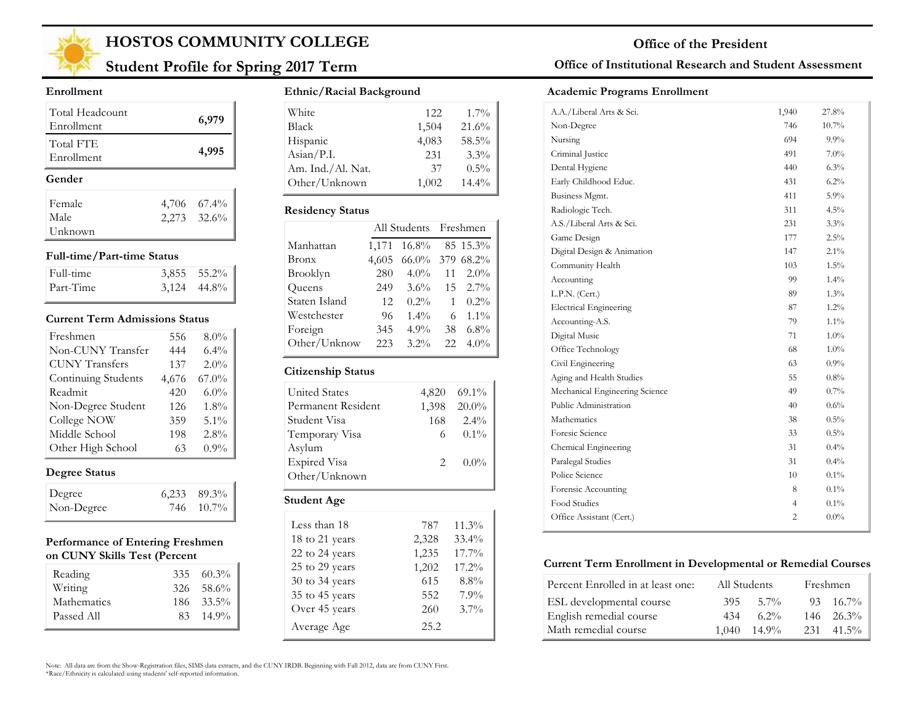

## **Student Profile for Spring 2017 Term**

#### **Enrollment**

| Total Headcount<br>Enrollment |  | 6,979       |  |  |
|-------------------------------|--|-------------|--|--|
| Total FTE<br>Enrollment       |  | 4,995       |  |  |
| Gender                        |  |             |  |  |
| Female                        |  | 4,706 67.4% |  |  |
|                               |  |             |  |  |
| Male                          |  | 2,273 32.6% |  |  |

#### **Full-time/Part-time Status**

| Full-time | $3,855$ $55.2\%$ |
|-----------|------------------|
| Part-Time | $3,124$ 44.8%    |

#### **Current Term Admissions Status**

| Freshmen              | 556   | $8.0\%$  |
|-----------------------|-------|----------|
| Non-CUNY Transfer     | 444   | 6.4%     |
| <b>CUNY Transfers</b> | 137   | 2.0%     |
| Continuing Students   | 4,676 | $67.0\%$ |
| Readmit               | 420   | 6.0%     |
| Non-Degree Student    | 126   | 1.8%     |
| College NOW           | 359   | 5.1%     |
| Middle School         | 198   | 2.8%     |
| Other High School     | 63    | 0.9%     |

### **Degree Status**

| Degree     | $6,233$ $89.3\%$ |
|------------|------------------|
| Non-Degree | 746 10.7%        |

#### **Performance of Entering Freshmen on CUNY Skills Test (Percent**

| Reading                | $335\quad 60.3\%$                |
|------------------------|----------------------------------|
| Writing<br>Mathematics | $326 - 58.6\%$<br>$186 - 33.5\%$ |
| Passed All             | $83 \quad 14.9\%$                |

#### **Ethnic/Racial Background**

| White                        | 12.2. | $1.7\%$  |
|------------------------------|-------|----------|
| <b>Black</b>                 | 1,504 | 21.6%    |
| Hispanic                     | 4,083 | 58.5%    |
| $\text{Asian} / \text{P.I.}$ | 231   | $3.3\%$  |
| Am. Ind./Al. Nat.            | 37    | $0.5\%$  |
| Other/Unknown                | 1,002 | $14.4\%$ |

#### **Residency Status**

| Manhattan<br>16.8%<br>85 15.3%<br>1,171         |  |
|-------------------------------------------------|--|
|                                                 |  |
| 379 68.2%<br>$66.0\%$<br>Bronx<br>4,605         |  |
| Brooklyn<br>$4.0\%$<br>$2.0\%$<br>280<br>11     |  |
| Queens<br>$15 \quad 2.7\%$<br>$3.6\%$<br>249    |  |
| Staten Island<br>$0.2\%$<br>$0.2\%$<br>12       |  |
| Westchester<br>$1.4\%$<br>$1.1\%$<br>96<br>6    |  |
| Foreign<br>4.9%<br>$6.8\%$<br>345<br>38         |  |
| Other/Unknow<br>$3.2\%$<br>$4.0\%$<br>223<br>22 |  |

#### **Citizenship Status**

| United States       |             | 4,820 69.1% |
|---------------------|-------------|-------------|
| Permanent Resident  |             | 1,398 20.0% |
| Student Visa        |             | 168 2.4%    |
| Temporary Visa      | 6           | $0.1\%$     |
| Asylum              |             |             |
| <b>Expired Visa</b> | $2^{\circ}$ | $0.0\%$     |
| Other/Unknown       |             |             |
|                     |             |             |

#### **Student Age**

| Less than 18   | 787   | $11.3\%$ |
|----------------|-------|----------|
| 18 to 21 years | 2,328 | 33.4%    |
| 22 to 24 years | 1,235 | 17.7%    |
| 25 to 29 years | 1,202 | 17.2%    |
| 30 to 34 years | 615   | 8.8%     |
| 35 to 45 years | 552   | 7.9%     |
| Over 45 years  | 260   | $3.7\%$  |
| Average Age    | 25.2  |          |

### **Office of Institutional Research and Student Assessment**

#### **Academic Programs Enrollment**

| A.A./Liberal Arts & Sci.       | 1,940          | 27.8%   |  |
|--------------------------------|----------------|---------|--|
| Non-Degree                     | 746            | 10.7%   |  |
| Nursing                        | 694            | $9.9\%$ |  |
| Criminal Justice               | 491            | $7.0\%$ |  |
| Dental Hygiene                 | 440            | 6.3%    |  |
| Early Childhood Educ.          | 431            | 6.2%    |  |
| Business Mgmt.                 | 411            | $5.9\%$ |  |
| Radiologic Tech.               | 311            | 4.5%    |  |
| A.S./Liberal Arts & Sci.       | 231            | $3.3\%$ |  |
| Game Design                    | 177            | 2.5%    |  |
| Digital Design & Animation     | 147            | $2.1\%$ |  |
| Community Health               | 103            | $1.5\%$ |  |
| Accounting                     | 99             | $1.4\%$ |  |
| L.P.N. (Cert.)                 | 89             | 1.3%    |  |
| <b>Electrical Engineering</b>  | 87             | $1.2\%$ |  |
| Accounting-A.S.                | 79             | $1.1\%$ |  |
| Digital Music                  | 71             | $1.0\%$ |  |
| Office Technology              | 68             | $1.0\%$ |  |
| Civil Engineering              | 63             | $0.9\%$ |  |
| Aging and Health Studies       | 55             | $0.8\%$ |  |
| Mechanical Engineering Science | 49             | $0.7\%$ |  |
| Public Administration          | 40             | $0.6\%$ |  |
| Mathematics                    | 38             | 0.5%    |  |
| Foresic Science                | 33             | $0.5\%$ |  |
| Chemical Engineering           | 31             | $0.4\%$ |  |
| Paralegal Studies              | 31             | $0.4\%$ |  |
| Police Science                 | 10             | $0.1\%$ |  |
| Forensic Accounting            | 8              | $0.1\%$ |  |
| Food Studies                   | $\overline{4}$ | $0.1\%$ |  |
| Office Assistant (Cert.)       | $\overline{2}$ | $0.0\%$ |  |
|                                |                |         |  |

#### **Current Term Enrollment in Developmental or Remedial Courses**

| Percent Enrolled in at least one: |       | All Students | Freshmen           |
|-----------------------------------|-------|--------------|--------------------|
| ESL developmental course          | 395.  | $-5.7\%$     | $93 \quad 16.7\%$  |
| English remedial course           | 434   | $6.2\%$      | $146 - 26.3\%$     |
| Math remedial course              | 1.040 | $14.9\%$     | $231 \quad 41.5\%$ |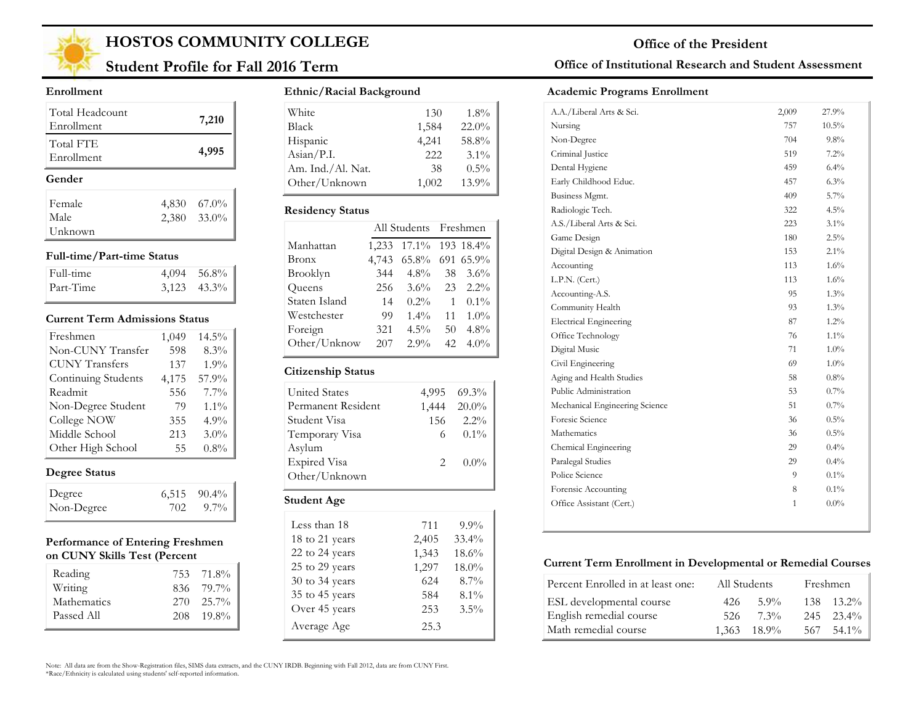

## **Student Profile for Fall 2016 Term**

#### **Enrollment**

| Total Headcount<br>Enrollment |       | 7,210       |
|-------------------------------|-------|-------------|
| Total FTE<br>Enrollment       |       | 4,995       |
| Gender                        |       |             |
|                               |       |             |
| Female                        | 4,830 | $67.0\%$    |
| Male                          |       | 2,380 33.0% |

#### **Full-time/Part-time Status**

| Full-time | $4,094$ 56.8%    |
|-----------|------------------|
| Part-Time | $3,123$ $43.3\%$ |

#### **Current Term Admissions Status**

| Freshmen              | 1,049 | $14.5\%$ |
|-----------------------|-------|----------|
| Non-CUNY Transfer     | 598   | 8.3%     |
| <b>CUNY</b> Transfers | 137   | 1.9%     |
| Continuing Students   | 4,175 | 57.9%    |
| Readmit               | 556   | $7.7\%$  |
| Non-Degree Student    | 79    | $1.1\%$  |
| College NOW           | 355   | 4.9%     |
| Middle School         | 213   | 3.0%     |
| Other High School     | 55    | $0.8\%$  |

### **Degree Status**

| Degree     |     | $6,515$ $90.4\%$ |
|------------|-----|------------------|
| Non-Degree | 702 | $9.7\%$          |

#### **Performance of Entering Freshmen on CUNY Skills Test (Percent**

| Reading                | 753 71.8%                   |
|------------------------|-----------------------------|
| Writing<br>Mathematics | 836 79.7%<br>$270 - 25.7\%$ |
| Passed All             | $208$ 19.8%                 |

#### **Ethnic/Racial Background**

| White             | 130   | $1.8\%$ |
|-------------------|-------|---------|
| <b>Black</b>      | 1,584 | 22.0%   |
| Hispanic          | 4,241 | 58.8%   |
| Asian/P.I.        | 222   | $3.1\%$ |
| Am. Ind./Al. Nat. | 38    | $0.5\%$ |
| Other/Unknown     | 1,002 | 13.9%   |

#### **Residency Status**

|               | All Students Freshmen |                 |    |         |
|---------------|-----------------------|-----------------|----|---------|
| Manhattan     | 1,233                 | 17.1% 193 18.4% |    |         |
| Bronx         | 4,743                 | 65.8% 691 65.9% |    |         |
| Brooklyn      | 344                   | $4.8\%$         | 38 | $3.6\%$ |
| Queens        | 256                   | $3.6\%$         | 23 | $2.2\%$ |
| Staten Island | 14                    | $0.2\%$         | 1  | $0.1\%$ |
| Westchester   | 99                    | $1.4\%$         | 11 | $1.0\%$ |
| Foreign       | 321                   | $4.5\%$         | 50 | 4.8%    |
| Other/Unknow  | 207                   | 2.9%            | 42 | $4.0\%$ |
|               |                       |                 |    |         |

#### **Citizenship Status**

| <b>United States</b> |   | 4,995 69.3% |
|----------------------|---|-------------|
| Permanent Resident   |   | 1,444 20.0% |
| Student Visa         |   | 156 2.2%    |
| Temporary Visa       | 6 | $0.1\%$     |
| Asylum               |   |             |
| <b>Expired Visa</b>  | 2 | $0.0\%$     |
| Other/Unknown        |   |             |
|                      |   |             |

#### **Student Age**

| Less than 18   | 711   | $9.9\%$ |
|----------------|-------|---------|
| 18 to 21 years | 2,405 | 33.4%   |
| 22 to 24 years | 1,343 | 18.6%   |
| 25 to 29 years | 1,297 | 18.0%   |
| 30 to 34 years | 624   | $8.7\%$ |
| 35 to 45 years | 584   | $8.1\%$ |
| Over 45 years  | 253   | $3.5\%$ |
| Average Age    | 25.3  |         |

### **Office of Institutional Research and Student Assessment**

#### **Academic Programs Enrollment**

| A.A./Liberal Arts & Sci.       | 2,009 | 27.9%    |
|--------------------------------|-------|----------|
| Nursing                        | 757   | $10.5\%$ |
| Non-Degree                     | 704   | $9.8\%$  |
| Criminal Justice               | 519   | 7.2%     |
| Dental Hygiene                 | 459   | $6.4\%$  |
| Early Childhood Educ.          | 457   | 6.3%     |
| Business Mgmt.                 | 409   | $5.7\%$  |
| Radiologic Tech.               | 322   | 4.5%     |
| A.S./Liberal Arts & Sci.       | 223   | 3.1%     |
| Game Design                    | 180   | 2.5%     |
| Digital Design & Animation     | 153   | 2.1%     |
| Accounting                     | 113   | 1.6%     |
| L.P.N. (Cert.)                 | 113   | $1.6\%$  |
| Accounting-A.S.                | 95    | 1.3%     |
| Community Health               | 93    | $1.3\%$  |
| <b>Electrical Engineering</b>  | 87    | 1.2%     |
| Office Technology              | 76    | $1.1\%$  |
| Digital Music                  | 71    | 1.0%     |
| Civil Engineering              | 69    | $1.0\%$  |
| Aging and Health Studies       | 58    | $0.8\%$  |
| Public Administration          | 53    | 0.7%     |
| Mechanical Engineering Science | 51    | $0.7\%$  |
| Foresic Science                | 36    | 0.5%     |
| Mathematics                    | 36    | $0.5\%$  |
| Chemical Engineering           | 29    | 0.4%     |
| Paralegal Studies              | 29    | $0.4\%$  |
| Police Science                 | 9     | 0.1%     |
| Forensic Accounting            | 8     | $0.1\%$  |
| Office Assistant (Cert.)       | 1     | $0.0\%$  |
|                                |       |          |

#### **Current Term Enrollment in Developmental or Remedial Courses**

| Percent Enrolled in at least one: | All Students |             |      | Freshmen       |
|-----------------------------------|--------------|-------------|------|----------------|
| ESL developmental course          | 426          | $5.9\%$     |      | $138$ $13.2\%$ |
| English remedial course           | -526         | $7.3\%$     |      | $245$ $23.4\%$ |
| Math remedial course              |              | 1.363 18.9% | 567. | 54.1%          |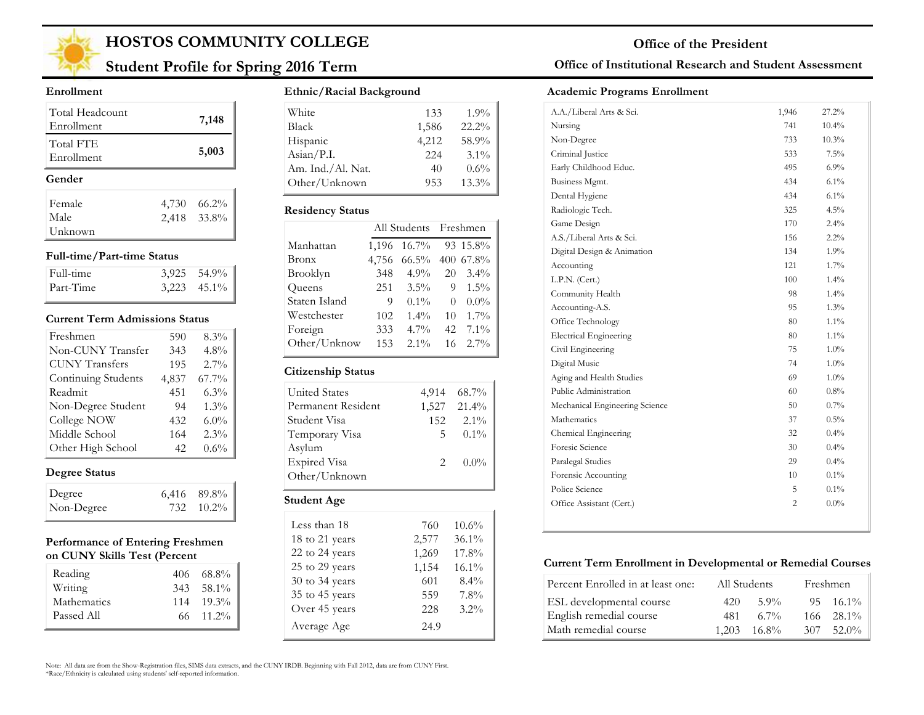

## **Student Profile for Spring 2016 Term**

#### **Enrollment**

| Total Headcount<br>Enrollment |       | 7,148       |
|-------------------------------|-------|-------------|
| Total FTE<br>Enrollment       |       | 5,003       |
| Gender                        |       |             |
| Female                        | 4,730 | 66.2%       |
|                               |       |             |
| Male                          |       | 2,418 33.8% |

#### **Full-time/Part-time Status**

| Full-time | $3.925$ $54.9\%$ |
|-----------|------------------|
| Part-Time | $3,223$ $45.1\%$ |

#### **Current Term Admissions Status**

| Freshmen              | 590   | 8.3%    |
|-----------------------|-------|---------|
| Non-CUNY Transfer     | 343   | 4.8%    |
| <b>CUNY Transfers</b> | 195   | 2.7%    |
| Continuing Students   | 4,837 | 67.7%   |
| Readmit               | 451   | 6.3%    |
| Non-Degree Student    | 94    | 1.3%    |
| College NOW           | 432   | $6.0\%$ |
| Middle School         | 164   | 2.3%    |
| Other High School     | 42    | 0.6%    |

### **Degree Status**

| Degree     | $6,416$ 89.8% |
|------------|---------------|
| Non-Degree | 732 10.2%     |

#### **Performance of Entering Freshmen on CUNY Skills Test (Percent**

| Reading<br>Writing        | $406 \quad 68.8\%$<br>343 58.1%         |
|---------------------------|-----------------------------------------|
| Mathematics<br>Passed All | $114 \quad 19.3\%$<br>$66 \quad 11.2\%$ |

#### **Ethnic/Racial Background**

| White             | 133   | $1.9\%$  |
|-------------------|-------|----------|
| <b>Black</b>      | 1,586 | $22.2\%$ |
| Hispanic          | 4,212 | 58.9%    |
| Asian/P.I.        | 224   | $3.1\%$  |
| Am. Ind./Al. Nat. | 40    | 0.6%     |
| Other/Unknown     | 953   | $13.3\%$ |

#### **Residency Status**

|               | All Students Freshmen |          |          |           |
|---------------|-----------------------|----------|----------|-----------|
| Manhattan     | 1,196                 | $16.7\%$ |          | 93 15.8%  |
| <b>Bronx</b>  | 4,756                 | $66.5\%$ |          | 400 67.8% |
| Brooklyn      | 348                   | $4.9\%$  | 20       | $3.4\%$   |
| Queens        | 251                   | $3.5\%$  | 9        | $1.5\%$   |
| Staten Island | 9                     | $0.1\%$  | $\theta$ | $0.0\%$   |
| Westchester   | 102                   | $1.4\%$  | 10       | $1.7\%$   |
| Foreign       | 333                   | $4.7\%$  | 42       | $7.1\%$   |
| Other/Unknow  | 153                   | $2.1\%$  | 16       | 2.7%      |
|               |                       |          |          |           |

#### **Citizenship Status**

| <b>United States</b> |             | 4,914 68.7% |
|----------------------|-------------|-------------|
| Permanent Resident   |             | 1,527 21.4% |
| Student Visa         |             | 152 2.1%    |
| Temporary Visa       | 5.          | $0.1\%$     |
| Asylum               |             |             |
| <b>Expired Visa</b>  | $2^{\circ}$ | $0.0\%$     |
| Other/Unknown        |             |             |

#### **Student Age**

| Less than 18       | 760   | $10.6\%$ |
|--------------------|-------|----------|
| 18 to 21 years     | 2,577 | 36.1%    |
| 22 to 24 years     | 1,269 | 17.8%    |
| 25 to 29 years     | 1,154 | $16.1\%$ |
| $30$ to $34$ years | 601   | $8.4\%$  |
| 35 to 45 years     | 559   | 7.8%     |
| Over 45 years      | 228   | $3.2\%$  |
| Average Age        | 24.9  |          |

### **Office of Institutional Research and Student Assessment**

#### **Academic Programs Enrollment**

| A.A./Liberal Arts & Sci.       | 1,946 | 27.2%   |
|--------------------------------|-------|---------|
| Nursing                        | 741   | 10.4%   |
| Non-Degree                     | 733   | 10.3%   |
| Criminal Justice               | 533   | 7.5%    |
| Early Childhood Educ.          | 495   | $6.9\%$ |
| Business Mgmt.                 | 434   | 6.1%    |
| Dental Hygiene                 | 434   | $6.1\%$ |
| Radiologic Tech.               | 325   | 4.5%    |
| Game Design                    | 170   | 2.4%    |
| A.S./Liberal Arts & Sci.       | 156   | 2.2%    |
| Digital Design & Animation     | 134   | $1.9\%$ |
| Accounting                     | 121   | $1.7\%$ |
| L.P.N. (Cert.)                 | 100   | 1.4%    |
| Community Health               | 98    | $1.4\%$ |
| Accounting-A.S.                | 95    | 1.3%    |
| Office Technology              | 80    | $1.1\%$ |
| <b>Electrical Engineering</b>  | 80    | $1.1\%$ |
| Civil Engineering              | 75    | $1.0\%$ |
| Digital Music                  | 74    | $1.0\%$ |
| Aging and Health Studies       | 69    | $1.0\%$ |
| Public Administration          | 60    | 0.8%    |
| Mechanical Engineering Science | 50    | $0.7\%$ |
| <b>Mathematics</b>             | 37    | 0.5%    |
| Chemical Engineering           | 32    | $0.4\%$ |
| Foresic Science                | 30    | 0.4%    |
| Paralegal Studies              | 29    | $0.4\%$ |
| Forensic Accounting            | 10    | $0.1\%$ |
| Police Science                 | 5     | $0.1\%$ |
| Office Assistant (Cert.)       | 2     | $0.0\%$ |
|                                |       |         |

#### **Current Term Enrollment in Developmental or Remedial Courses**

| Percent Enrolled in at least one: | All Students |                      |     | Freshmen           |
|-----------------------------------|--------------|----------------------|-----|--------------------|
| ESL developmental course          | 420          | $5.9\%$              |     | $95 \quad 16.1\%$  |
| English remedial course           | 481          | $67\%$               |     | $166 \quad 28.1\%$ |
| Math remedial course              |              | $1.203 \quad 16.8\%$ | 307 | $52.0\%$           |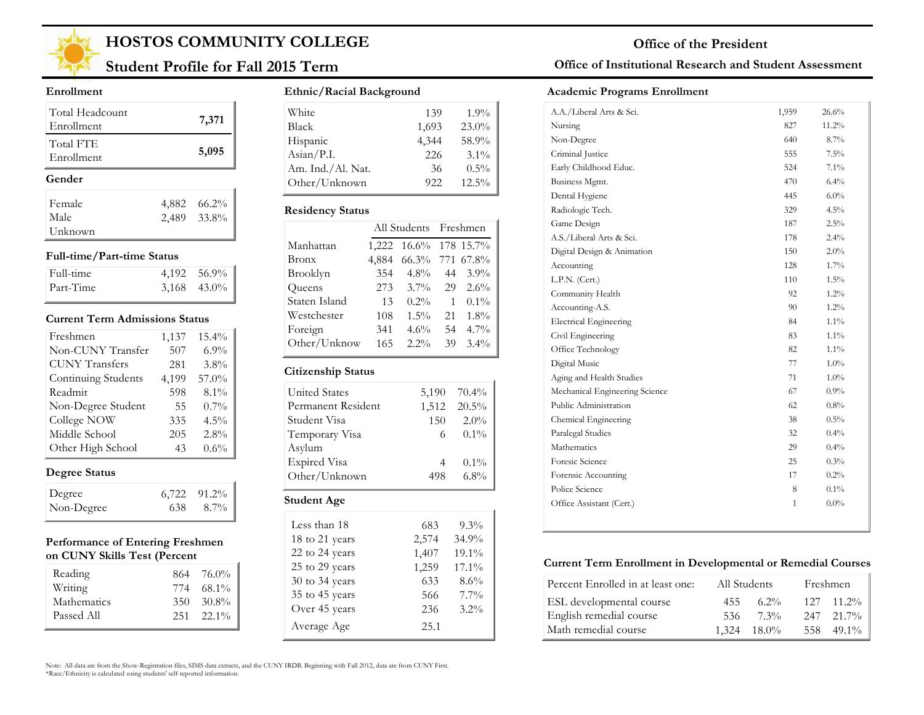

## **Student Profile for Fall 2015 Term**

#### **Enrollment**

| Total Headcount<br>Enrollment |       | 7,371       |
|-------------------------------|-------|-------------|
| Total FTE<br>Enrollment       |       | 5,095       |
| Gender                        |       |             |
|                               |       |             |
| Female                        | 4,882 | $66.2\%$    |
| Male                          |       | 2,489 33.8% |

#### **Full-time/Part-time Status**

| Full-time | 4,192 56.9%   |
|-----------|---------------|
| Part-Time | $3,168$ 43.0% |

#### **Current Term Admissions Status**

| Freshmen              | 1,137 | 15.4%   |
|-----------------------|-------|---------|
| Non-CUNY Transfer     | 507   | 6.9%    |
| <b>CUNY Transfers</b> | 281   | $3.8\%$ |
| Continuing Students   | 4,199 | 57.0%   |
| Readmit               | 598   | 8.1%    |
| Non-Degree Student    | 55    | $0.7\%$ |
| College NOW           | 335   | $4.5\%$ |
| Middle School         | 205   | 2.8%    |
| Other High School     | 43    | $0.6\%$ |

### **Degree Status**

| Degree     | $6,722$ $91.2\%$ |
|------------|------------------|
| Non-Degree | $638$ $8.7\%$    |

#### **Performance of Entering Freshmen on CUNY Skills Test (Percent**

| Reading<br>Writing        |     | $864$ 76.0%<br>774 68.1%    |
|---------------------------|-----|-----------------------------|
| Mathematics<br>Passed All | 350 | 30.8%<br>$251 \quad 22.1\%$ |

#### **Ethnic/Racial Background**

| White             | 139   | 1.9%     |
|-------------------|-------|----------|
| Black             | 1,693 | $23.0\%$ |
| Hispanic          | 4.344 | 58.9%    |
| Asian/P.I.        | 226   | $3.1\%$  |
| Am. Ind./Al. Nat. | 36    | $0.5\%$  |
| Other/Unknown     | 922   | $12.5\%$ |

#### **Residency Status**

|               |       | All Students Freshmen |    |         |
|---------------|-------|-----------------------|----|---------|
| Manhattan     |       | 1,222 16.6% 178 15.7% |    |         |
| Bronx         | 4,884 | 66.3% 771 67.8%       |    |         |
| Brooklyn      | 354   | $4.8\%$               | 44 | $3.9\%$ |
| Queens        | 273   | $3.7\%$               | 29 | $2.6\%$ |
| Staten Island | 13    | $0.2\%$               | 1  | $0.1\%$ |
| Westchester   | 108   | $1.5\%$               | 21 | $1.8\%$ |
| Foreign       | 341   | $4.6\%$               | 54 | $4.7\%$ |
| Other/Unknow  | 165   | $2.2\%$               | 39 | $3.4\%$ |
|               |       |                       |    |         |

#### **Citizenship Status**

| <b>United States</b> | 5,190 | $70.4\%$    |
|----------------------|-------|-------------|
| Permanent Resident   |       | 1,512 20.5% |
| Student Visa         | 150   | $2.0\%$     |
| Temporary Visa       | 6     | $0.1\%$     |
| Asylum               |       |             |
| Expired Visa         | 4     | $0.1\%$     |
| Other/Unknown        | 498   | $6.8\%$     |
| <b>Student Age</b>   |       |             |
| Less than 18         | 683   | $9.3\%$     |
| 18 to 21 years       | 2,574 | 34.9%       |

19.1% 17.1% 8.6% 7.7% 3.2%

22 to 24 years 1,407 25 to 29 years 1,259 30 to 34 years 633 35 to 45 years 566 Over 45 years 236

Average Age 25.1

#### **Office of Institutional Research and Student Assessment**

#### **Academic Programs Enrollment**

| A.A./Liberal Arts & Sci.       | 1,959 | 26.6%   |
|--------------------------------|-------|---------|
| Nursing                        | 827   | 11.2%   |
| Non-Degree                     | 640   | 8.7%    |
| Criminal Justice               | 555   | 7.5%    |
| Early Childhood Educ.          | 524   | 7.1%    |
| Business Mgmt.                 | 470   | $6.4\%$ |
| Dental Hygiene                 | 445   | $6.0\%$ |
| Radiologic Tech.               | 329   | 4.5%    |
| Game Design                    | 187   | 2.5%    |
| A.S./Liberal Arts & Sci.       | 178   | 2.4%    |
| Digital Design & Animation     | 150   | 2.0%    |
| Accounting                     | 128   | 1.7%    |
| L.P.N. (Cert.)                 | 110   | 1.5%    |
| Community Health               | 92    | 1.2%    |
| Accounting-A.S.                | 90    | $1.2\%$ |
| <b>Electrical Engineering</b>  | 84    | $1.1\%$ |
| Civil Engineering              | 83    | $1.1\%$ |
| Office Technology              | 82    | $1.1\%$ |
| Digital Music                  | 77    | $1.0\%$ |
| Aging and Health Studies       | 71    | 1.0%    |
| Mechanical Engineering Science | 67    | 0.9%    |
| Public Administration          | 62    | $0.8\%$ |
| Chemical Engineering           | 38    | 0.5%    |
| Paralegal Studies              | 32    | $0.4\%$ |
| Mathematics                    | 29    | 0.4%    |
| Foresic Science                | 25    | 0.3%    |
| Forensic Accounting            | 17    | 0.2%    |
| Police Science                 | 8     | 0.1%    |
| Office Assistant (Cert.)       | 1     | $0.0\%$ |
|                                |       |         |

#### **Current Term Enrollment in Developmental or Remedial Courses**

| Percent Enrolled in at least one: |      | All Students     | Freshmen       |
|-----------------------------------|------|------------------|----------------|
| ESL developmental course          | 455  | $6.2\%$          | $127 - 11.2\%$ |
| English remedial course           | 536. | $7.3\%$          | $247$ $21.7\%$ |
| Math remedial course              |      | $1,324$ $18.0\%$ | 558 49.1%      |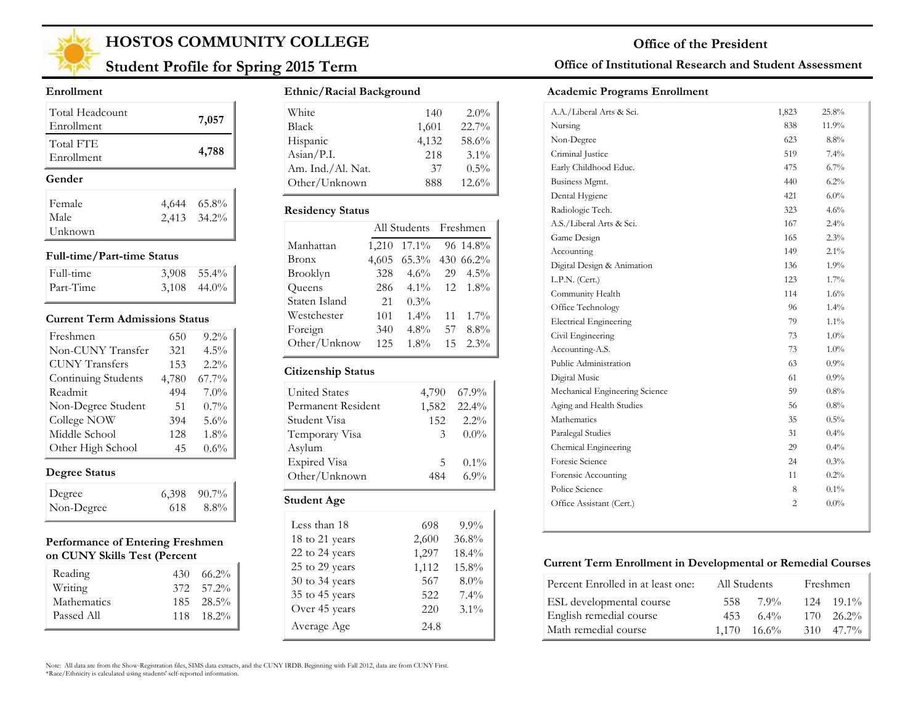

## **Student Profile for Spring 2015 Term**

#### **Enrollment**

| Total Headcount<br>Enrollment |       | 7,057       |
|-------------------------------|-------|-------------|
| Total FTE<br>Enrollment       |       | 4,788       |
|                               |       |             |
| Gender                        |       |             |
| Female                        | 4,644 | $65.8\%$    |
| Male                          |       | 2,413 34.2% |

#### **Full-time/Part-time Status**

| Full-time | $3,908$ $55.4\%$ |
|-----------|------------------|
| Part-Time | $3,108$ 44.0%    |

#### **Current Term Admissions Status**

| Freshmen              | 650   | $9.2\%$ |
|-----------------------|-------|---------|
| Non-CUNY Transfer     | 321   | 4.5%    |
| <b>CUNY Transfers</b> | 153   | 2.2%    |
| Continuing Students   | 4,780 | 67.7%   |
| Readmit               | 494   | $7.0\%$ |
| Non-Degree Student    | 51    | $0.7\%$ |
| College NOW           | 394   | 5.6%    |
| Middle School         | 128   | 1.8%    |
| Other High School     | 45    | 0.6%    |

### **Degree Status**

| Degree     |     | $6,398$ $90.7\%$ |
|------------|-----|------------------|
| Non-Degree | 618 | 8.8%             |

#### **Performance of Entering Freshmen on CUNY Skills Test (Percent**

| Reading<br>Writing        | $430\quad 66.2\%$<br>372 57.2%       |
|---------------------------|--------------------------------------|
| Mathematics<br>Passed All | $185 - 28.5\%$<br>$118 \quad 18.2\%$ |

### **Ethnic/Racial Background**

| White                        | 140   | $2.0\%$ |
|------------------------------|-------|---------|
| <b>Black</b>                 | 1,601 | 22.7%   |
| Hispanic                     | 4,132 | 58.6%   |
| $\text{Asian} / \text{P.I.}$ | 218   | $3.1\%$ |
| Am. Ind./Al. Nat.            | 37    | $0.5\%$ |
| Other/Unknown                | 888   | 12.6%   |

#### **Residency Status**

|               |       | All Students Freshmen |    |           |
|---------------|-------|-----------------------|----|-----------|
| Manhattan     | 1,210 | $17.1\%$              |    | 96 14.8%  |
| Bronx         | 4,605 | $65.3\%$              |    | 430 66.2% |
| Brooklyn      | 328   | $4.6\%$               | 29 | $4.5\%$   |
| Queens        | 286   | $4.1\%$               | 12 | $1.8\%$   |
| Staten Island | 21    | $0.3\%$               |    |           |
| Westchester   | 101   | $1.4\%$               | 11 | $1.7\%$   |
| Foreign       | 340   | $4.8\%$               | 57 | 8.8%      |
| Other/Unknow  | 125   | $1.8\%$               | 15 | $2.3\%$   |
|               |       |                       |    |           |

#### **Citizenship Status**

| <b>United States</b> | 4,790 | 67.9%    |
|----------------------|-------|----------|
| Permanent Resident   | 1,582 | $22.4\%$ |
| Student Visa         | 152   | $2.2\%$  |
| Temporary Visa       | 3     | $0.0\%$  |
| Asylum               |       |          |
| <b>Expired Visa</b>  | 5.    | $0.1\%$  |
| Other/Unknown        | 484   | $6.9\%$  |
| <b>Student Age</b>   |       |          |
|                      |       |          |

| Less than 18   | 698   | $9.9\%$ |
|----------------|-------|---------|
| 18 to 21 years | 2,600 | 36.8%   |
| 22 to 24 years | 1,297 | 18.4%   |
| 25 to 29 years | 1,112 | 15.8%   |
| 30 to 34 years | 567   | $8.0\%$ |
| 35 to 45 years | 522   | $7.4\%$ |
| Over 45 years  | 220   | $3.1\%$ |
| Average Age    | 24.8  |         |

### **Office of Institutional Research and Student Assessment**

#### **Academic Programs Enrollment**

| A.A./Liberal Arts & Sci.       | 1,823          | 25.8%   |
|--------------------------------|----------------|---------|
| Nursing                        | 838            | 11.9%   |
| Non-Degree                     | 623            | 8.8%    |
| Criminal Justice               | 519            | 7.4%    |
| Early Childhood Educ.          | 475            | 6.7%    |
| Business Mgmt.                 | 440            | 6.2%    |
| Dental Hygiene                 | 421            | 6.0%    |
| Radiologic Tech.               | 323            | 4.6%    |
| A.S./Liberal Arts & Sci.       | 167            | 2.4%    |
| Game Design                    | 165            | 2.3%    |
| Accounting                     | 149            | 2.1%    |
| Digital Design & Animation     | 136            | 1.9%    |
| L.P.N. (Cert.)                 | 123            | 1.7%    |
| Community Health               | 114            | $1.6\%$ |
| Office Technology              | 96             | 1.4%    |
| <b>Electrical Engineering</b>  | 79             | $1.1\%$ |
| Civil Engineering              | 73             | $1.0\%$ |
| Accounting-A.S.                | 73             | 1.0%    |
| Public Administration          | 63             | $0.9\%$ |
| Digital Music                  | 61             | $0.9\%$ |
| Mechanical Engineering Science | 59             | 0.8%    |
| Aging and Health Studies       | 56             | 0.8%    |
| Mathematics                    | 35             | $0.5\%$ |
| Paralegal Studies              | 31             | $0.4\%$ |
| Chemical Engineering           | 29             | $0.4\%$ |
| Foresic Science                | 24             | 0.3%    |
| Forensic Accounting            | 11             | 0.2%    |
| Police Science                 | 8              | $0.1\%$ |
| Office Assistant (Cert.)       | $\overline{2}$ | $0.0\%$ |
|                                |                |         |

#### **Current Term Enrollment in Developmental or Remedial Courses**

| Percent Enrolled in at least one: | All Students |                      | Freshmen           |
|-----------------------------------|--------------|----------------------|--------------------|
| ESL developmental course          | 558.         | 7.9%                 | $124$ $19.1\%$     |
| English remedial course           | 453          | $6.4\%$              | $170 - 26.2\%$     |
| Math remedial course              |              | $1.170 \quad 16.6\%$ | $310 \quad 47.7\%$ |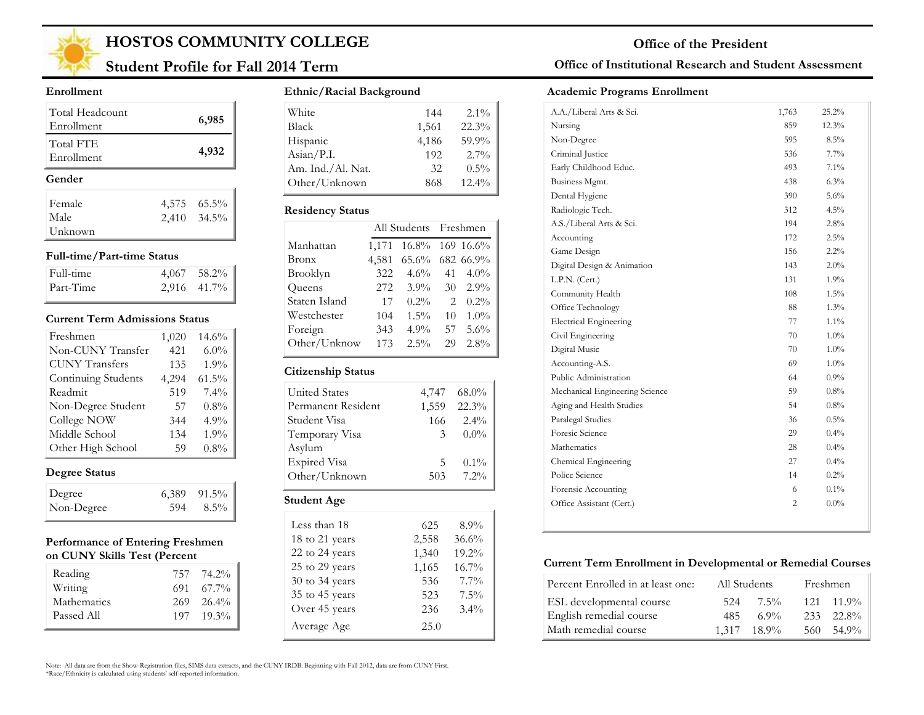

## **Student Profile for Fall 2014 Term**

#### **Enrollment**

| Total Headcount<br>Enrollment | 6,985         |
|-------------------------------|---------------|
| Total FTE<br>Enrollment       | 4,932         |
|                               |               |
| Gender                        |               |
| Female                        | 4,575 65.5%   |
| Male                          | $2,410$ 34.5% |

#### **Full-time/Part-time Status**

| Full-time | $4,067$ 58.2% |
|-----------|---------------|
| Part-Time | $2,916$ 41.7% |

#### **Current Term Admissions Status**

| Freshmen              | 1,020 | 14.6%    |
|-----------------------|-------|----------|
| Non-CUNY Transfer     | 421   | $6.0\%$  |
| <b>CUNY Transfers</b> | 135   | 1.9%     |
| Continuing Students   | 4,294 | $61.5\%$ |
| Readmit               | 519   | $7.4\%$  |
| Non-Degree Student    | 57    | $0.8\%$  |
| College NOW           | 344   | 4.9%     |
| Middle School         | 134   | 1.9%     |
| Other High School     | 59    | $0.8\%$  |

### **Degree Status**

| Degree     |     | $6,389$ $91.5\%$ |
|------------|-----|------------------|
| Non-Degree | 594 | $8.5\%$          |

#### **Performance of Entering Freshmen on CUNY Skills Test (Percent**

| Reading     | 757 74.2%          |
|-------------|--------------------|
| Writing     | $691 \quad 67.7\%$ |
| Mathematics | $269 - 26.4\%$     |
| Passed All  | $197 \quad 19.3\%$ |
|             |                    |

#### **Ethnic/Racial Background**

| White             | 144   | $2.1\%$  |
|-------------------|-------|----------|
| <b>Black</b>      | 1,561 | 22.3%    |
| Hispanic          | 4.186 | 59.9%    |
| Asian/P.I.        | 192   | $2.7\%$  |
| Am. Ind./Al. Nat. | 32    | $0.5\%$  |
| Other/Unknown     | 868   | $12.4\%$ |

#### **Residency Status**

|               |       | All Students Freshmen |                |           |
|---------------|-------|-----------------------|----------------|-----------|
| Manhattan     | 1,171 | 16.8% 169 16.6%       |                |           |
| Bronx         | 4,581 | $65.6\%$              |                | 682 66.9% |
| Brooklyn      | 322   | $4.6\%$               | 41             | $4.0\%$   |
| Queens        | 272   | $3.9\%$               | 30             | $2.9\%$   |
| Staten Island | 17    | $0.2\%$               | $\mathfrak{D}$ | $0.2\%$   |
| Westchester   | 104   | $1.5\%$               | 10             | $1.0\%$   |
| Foreign       | 343   | $4.9\%$               | 57             | $5.6\%$   |
| Other/Unknow  | 173   | $2.5\%$               | 29             | $2.8\%$   |

#### **Citizenship Status**

| Student Visa<br>Temporary Visa | 166<br>3 | $2.4\%$<br>$0.0\%$ |
|--------------------------------|----------|--------------------|
| Asylum                         |          |                    |
| <b>Expired Visa</b>            | 5        | $0.1\%$            |
| Other/Unknown                  | 503      | $7.2\%$            |

| Less than 18   | 625   | $8.9\%$ |
|----------------|-------|---------|
| 18 to 21 years | 2,558 | 36.6%   |
| 22 to 24 years | 1,340 | 19.2%   |
| 25 to 29 years | 1,165 | 16.7%   |
| 30 to 34 years | 536   | $7.7\%$ |
| 35 to 45 years | 523   | $7.5\%$ |
| Over 45 years  | 236   | $3.4\%$ |
| Average Age    | 25.0  |         |

#### **Office of Institutional Research and Student Assessment**

#### **Academic Programs Enrollment**

| A.A./Liberal Arts & Sci.       | 1,763          | 25.2%   |
|--------------------------------|----------------|---------|
| Nursing                        | 859            | 12.3%   |
| Non-Degree                     | 595            | $8.5\%$ |
| Criminal Justice               | 536            | $7.7\%$ |
| Early Childhood Educ.          | 493            | 7.1%    |
| Business Mgmt.                 | 438            | 6.3%    |
| Dental Hygiene                 | 390            | 5.6%    |
| Radiologic Tech.               | 312            | $4.5\%$ |
| A.S./Liberal Arts & Sci.       | 194            | 2.8%    |
| Accounting                     | 172            | 2.5%    |
| Game Design                    | 156            | $2.2\%$ |
| Digital Design & Animation     | 143            | 2.0%    |
| L.P.N. (Cert.)                 | 131            | 1.9%    |
| Community Health               | 108            | 1.5%    |
| Office Technology              | 88             | 1.3%    |
| <b>Electrical Engineering</b>  | 77             | $1.1\%$ |
| Civil Engineering              | 70             | 1.0%    |
| Digital Music                  | 70             | 1.0%    |
| Accounting-A.S.                | 69             | $1.0\%$ |
| Public Administration          | 64             | 0.9%    |
| Mechanical Engineering Science | 59             | 0.8%    |
| Aging and Health Studies       | 54             | 0.8%    |
| Paralegal Studies              | 36             | $0.5\%$ |
| Foresic Science                | 29             | $0.4\%$ |
| Mathematics                    | 28             | 0.4%    |
| Chemical Engineering           | 27             | $0.4\%$ |
| Police Science                 | 14             | $0.2\%$ |
| Forensic Accounting            | 6              | $0.1\%$ |
| Office Assistant (Cert.)       | $\overline{c}$ | $0.0\%$ |
|                                |                |         |

#### **Current Term Enrollment in Developmental or Remedial Courses**

| Percent Enrolled in at least one: | All Students |                      |       | Freshmen           |
|-----------------------------------|--------------|----------------------|-------|--------------------|
| ESL developmental course          | 524          | 7.5%                 |       | $121 \quad 11.9\%$ |
| English remedial course           | 485          | 6.9%                 |       | 233 22.8%          |
| Math remedial course              |              | $1.317 \quad 18.9\%$ | 560 - | 54.9%              |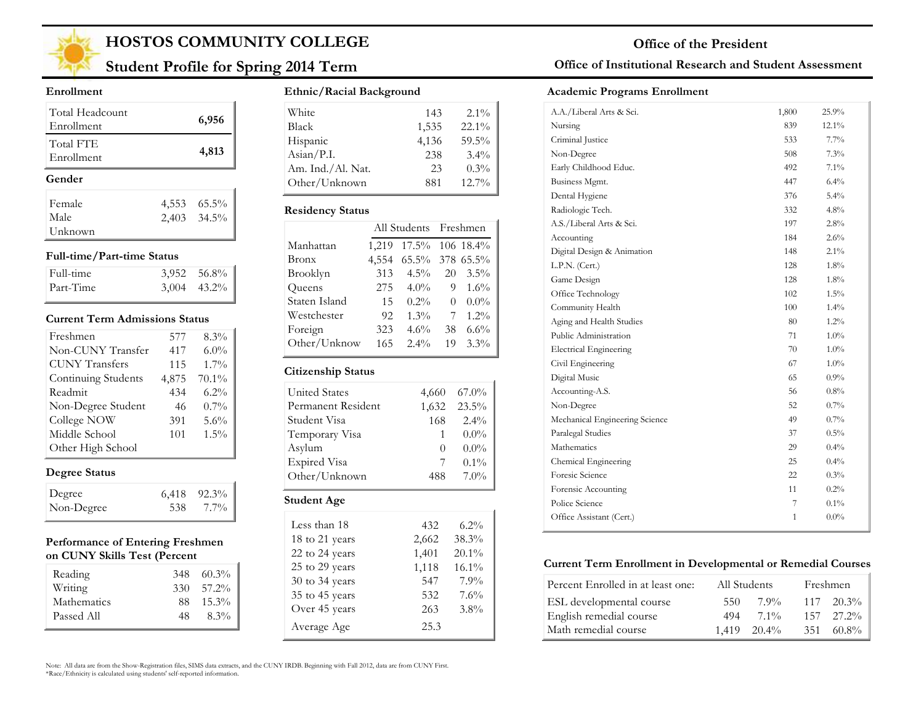

## **Student Profile for Spring 2014 Term**

#### **Enrollment**

| Total Headcount<br>Enrollment |       | 6,956       |
|-------------------------------|-------|-------------|
| Total FTE<br>Enrollment       |       | 4,813       |
| Gender                        |       |             |
| Female                        | 4,553 | $65.5\%$    |
| Male                          |       | 2,403 34.5% |
| Unknown                       |       |             |

#### **Full-time/Part-time Status**

| Full-time | $3,952$ $56.8\%$ |
|-----------|------------------|
| Part-Time | $3,004$ 43.2%    |

#### **Current Term Admissions Status**

| Freshmen              | 577   | 8.3%    |
|-----------------------|-------|---------|
| Non-CUNY Transfer     | 417   | $6.0\%$ |
| <b>CUNY Transfers</b> | 115   | $1.7\%$ |
| Continuing Students   | 4,875 | 70.1%   |
| Readmit               | 434   | $6.2\%$ |
| Non-Degree Student    | 46    | $0.7\%$ |
| College NOW           | 391   | 5.6%    |
| Middle School         | 101   | $1.5\%$ |
| Other High School     |       |         |

### **Degree Status**

| Degree     |     | $6,418$ $92.3\%$ |
|------------|-----|------------------|
| Non-Degree | 538 | 7.7%             |

#### **Performance of Entering Freshmen on CUNY Skills Test (Percent**

| Reading            | 348 | 60.3%    |
|--------------------|-----|----------|
| Writing            | 330 | 57.2%    |
| <b>Mathematics</b> | 88. | $15.3\%$ |
| Passed All         | 48  | $8.3\%$  |

#### **Ethnic/Racial Background**

| 143   | $2.1\%$  |
|-------|----------|
| 1,535 | $22.1\%$ |
| 4.136 | 59.5%    |
| 238   | 3.4%     |
| 23    | 0.3%     |
| 881   | 12.7%    |
|       |          |

#### **Residency Status**

|               |       | All Students Freshmen |          |         |
|---------------|-------|-----------------------|----------|---------|
| Manhattan     | 1,219 | 17.5% 106 18.4%       |          |         |
| Bronx         | 4,554 | 65.5% 378 65.5%       |          |         |
| Brooklyn      | 313   | $4.5\%$               | 20       | $3.5\%$ |
| Queens        | 275   | $4.0\%$               | 9        | $1.6\%$ |
| Staten Island | 15    | $0.2\%$               | $\theta$ | $0.0\%$ |
| Westchester   | 92    | $1.3\%$               | 7        | $1.2\%$ |
| Foreign       | 323   | $4.6\%$               | 38       | $6.6\%$ |
| Other/Unknow  | 165   | $2.4\%$               | 19       | $3.3\%$ |
|               |       |                       |          |         |

#### **Citizenship Status**

| <b>United States</b> | 4,660            | $67.0\%$ |
|----------------------|------------------|----------|
| Permanent Resident   | 1,632            | $23.5\%$ |
| Student Visa         | 168              | $2.4\%$  |
| Temporary Visa       |                  | $0.0\%$  |
| Asylum               | $\left( \right)$ | $0.0\%$  |
| <b>Expired Visa</b>  |                  | $0.1\%$  |
| Other/Unknown        | 488              | $7.0\%$  |

| Less than 18   | 432   | $6.2\%$  |
|----------------|-------|----------|
| 18 to 21 years | 2,662 | 38.3%    |
| 22 to 24 years | 1,401 | $20.1\%$ |
| 25 to 29 years | 1,118 | 16.1%    |
| 30 to 34 years | 547   | 7.9%     |
| 35 to 45 years | 532   | 7.6%     |
| Over 45 years  | 263   | 3.8%     |
| Average Age    | 25.3  |          |

### **Office of Institutional Research and Student Assessment**

#### **Academic Programs Enrollment**

| A.A./Liberal Arts & Sci.       | 1,800 | 25.9%   |
|--------------------------------|-------|---------|
| Nursing                        | 839   | 12.1%   |
| Criminal Justice               | 533   | $7.7\%$ |
| Non-Degree                     | 508   | 7.3%    |
| Early Childhood Educ.          | 492   | 7.1%    |
| Business Mgmt.                 | 447   | $6.4\%$ |
| Dental Hygiene                 | 376   | 5.4%    |
| Radiologic Tech.               | 332   | 4.8%    |
| A.S./Liberal Arts & Sci.       | 197   | 2.8%    |
| Accounting                     | 184   | 2.6%    |
| Digital Design & Animation     | 148   | $2.1\%$ |
| L.P.N. (Cert.)                 | 128   | $1.8\%$ |
| Game Design                    | 128   | 1.8%    |
| Office Technology              | 102   | $1.5\%$ |
| Community Health               | 100   | 1.4%    |
| Aging and Health Studies       | 80    | 1.2%    |
| Public Administration          | 71    | $1.0\%$ |
| <b>Electrical Engineering</b>  | 70    | 1.0%    |
| Civil Engineering              | 67    | 1.0%    |
| Digital Music                  | 65    | $0.9\%$ |
| Accounting-A.S.                | 56    | $0.8\%$ |
| Non-Degree                     | 52    | $0.7\%$ |
| Mechanical Engineering Science | 49    | 0.7%    |
| Paralegal Studies              | 37    | 0.5%    |
| Mathematics                    | 29    | $0.4\%$ |
| Chemical Engineering           | 25    | $0.4\%$ |
| Foresic Science                | 22    | 0.3%    |
| Forensic Accounting            | 11    | 0.2%    |
| Police Science                 | 7     | $0.1\%$ |
| Office Assistant (Cert.)       | 1     | $0.0\%$ |
|                                |       |         |

#### **Current Term Enrollment in Developmental or Remedial Courses**

| Percent Enrolled in at least one: | All Students |                  | Freshmen |                |
|-----------------------------------|--------------|------------------|----------|----------------|
| ESL developmental course          | 550.         | 7 9%             |          | $117 - 20.3\%$ |
| English remedial course           | 494          | $7.1\%$          |          | $157$ $27.2\%$ |
| Math remedial course              |              | $1.419$ $20.4\%$ | 351      | - 60.8%        |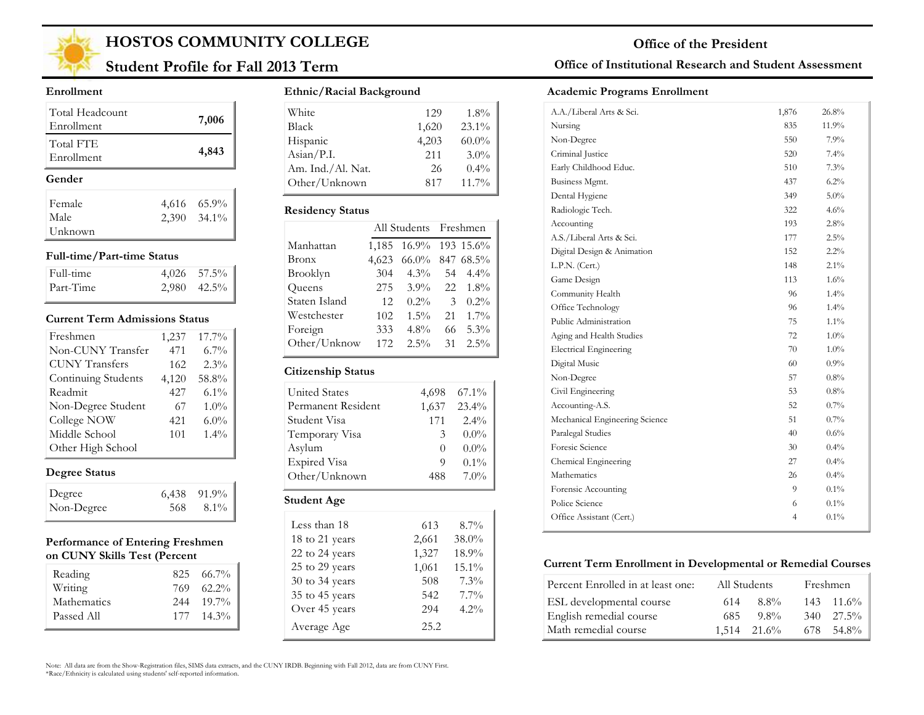

## **Student Profile for Fall 2013 Term**

#### **Enrollment**

| Total Headcount<br>Enrollment | 7,006                      |
|-------------------------------|----------------------------|
| Total FTE<br>Enrollment       | 4,843                      |
|                               |                            |
| Gender                        |                            |
| Female                        |                            |
| Male                          | 4,616 65.9%<br>2,390 34.1% |

#### **Full-time/Part-time Status**

| Full-time | $4.026$ 57.5%    |
|-----------|------------------|
| Part-Time | $2,980$ $42.5\%$ |

#### **Current Term Admissions Status**

| Freshmen              | 1,237 | 17.7%   |
|-----------------------|-------|---------|
| Non-CUNY Transfer     | 471   | $6.7\%$ |
| <b>CUNY</b> Transfers | 162   | 2.3%    |
| Continuing Students   | 4,120 | 58.8%   |
| Readmit               | 427   | $6.1\%$ |
| Non-Degree Student    | 67    | 1.0%    |
| College NOW           | 421   | $6.0\%$ |
| Middle School         | 101   | 1.4%    |
| Other High School     |       |         |

### **Degree Status**

| Degree     |     | $6,438$ $91.9\%$ |
|------------|-----|------------------|
| Non-Degree | 568 | 8.1%             |

#### **Performance of Entering Freshmen on CUNY Skills Test (Percent**

| Reading     |     | $825\quad 66.7\%$ |
|-------------|-----|-------------------|
| Writing     | 769 | $62.2\%$          |
| Mathematics |     | $244$ 19.7%       |
| Passed All  |     | $177 - 14.3\%$    |

#### **Ethnic/Racial Background**

| White             | 129   | $1.8\%$  |
|-------------------|-------|----------|
| Black             | 1,620 | 23.1%    |
| Hispanic          | 4,203 | $60.0\%$ |
| Asian/P.I.        | 2.11  | $3.0\%$  |
| Am. Ind./Al. Nat. | 26    | $0.4\%$  |
| Other/Unknown     | 817   | 11.7%    |

#### **Residency Status**

|               |       | All Students Freshmen |               |           |
|---------------|-------|-----------------------|---------------|-----------|
| Manhattan     | 1,185 | $16.9\%$              |               | 193 15.6% |
| Bronx         | 4,623 | 66.0% 847 68.5%       |               |           |
| Brooklyn      | 304   | $4.3\%$               | 54            | $4.4\%$   |
| Queens        | 275   | $3.9\%$               |               | 22 1.8%   |
| Staten Island | 12    | $0.2\%$               | $\mathcal{F}$ | $0.2\%$   |
| Westchester   | 102   | $1.5\%$               | 21            | $1.7\%$   |
| Foreign       | 333   | $4.8\%$               | 66            | $5.3\%$   |
| Other/Unknow  | 172   | $2.5\%$               | 31            | $2.5\%$   |
|               |       |                       |               |           |

#### **Citizenship Status**

| <b>United States</b> | 4.698            | $67.1\%$ |
|----------------------|------------------|----------|
| Permanent Resident   | 1,637            | $23.4\%$ |
| Student Visa         | 171              | $2.4\%$  |
| Temporary Visa       | 3                | $0.0\%$  |
| Asylum               | $\left( \right)$ | $0.0\%$  |
| <b>Expired Visa</b>  | 9                | $0.1\%$  |
| Other/Unknown        | 488              | $7.0\%$  |
| <b>Student Age</b>   |                  |          |

| Less than 18   | 613   | $8.7\%$ |
|----------------|-------|---------|
| 18 to 21 years | 2,661 | 38.0%   |
| 22 to 24 years | 1,327 | 18.9%   |
| 25 to 29 years | 1,061 | 15.1%   |
| 30 to 34 years | 508   | $7.3\%$ |
| 35 to 45 years | 542   | $7.7\%$ |
| Over 45 years  | 294   | $4.2\%$ |
| Average Age    | 25.2  |         |

### **Office of Institutional Research and Student Assessment**

#### **Academic Programs Enrollment**

| A.A./Liberal Arts & Sci.       | 1,876          | 26.8%   |
|--------------------------------|----------------|---------|
| Nursing                        | 835            | 11.9%   |
| Non-Degree                     | 550            | $7.9\%$ |
| Criminal Justice               | 520            | 7.4%    |
| Early Childhood Educ.          | 510            | 7.3%    |
| Business Mgmt.                 | 437            | 6.2%    |
| Dental Hygiene                 | 349            | $5.0\%$ |
| Radiologic Tech.               | 322            | 4.6%    |
| Accounting                     | 193            | 2.8%    |
| A.S./Liberal Arts & Sci.       | 177            | 2.5%    |
| Digital Design & Animation     | 152            | 2.2%    |
| L.P.N. (Cert.)                 | 148            | $2.1\%$ |
| Game Design                    | 113            | $1.6\%$ |
| Community Health               | 96             | $1.4\%$ |
| Office Technology              | 96             | 1.4%    |
| Public Administration          | 75             | $1.1\%$ |
| Aging and Health Studies       | 72             | $1.0\%$ |
| <b>Electrical Engineering</b>  | 70             | $1.0\%$ |
| Digital Music                  | 60             | 0.9%    |
| Non-Degree                     | 57             | 0.8%    |
| Civil Engineering              | 53             | $0.8\%$ |
| Accounting-A.S.                | 52             | $0.7\%$ |
| Mechanical Engineering Science | 51             | 0.7%    |
| Paralegal Studies              | 40             | $0.6\%$ |
| Foresic Science                | 30             | $0.4\%$ |
| Chemical Engineering           | 27             | $0.4\%$ |
| Mathematics                    | 26             | $0.4\%$ |
| Forensic Accounting            | 9.             | $0.1\%$ |
| Police Science                 | 6              | $0.1\%$ |
| Office Assistant (Cert.)       | $\overline{4}$ | 0.1%    |
|                                |                |         |

#### **Current Term Enrollment in Developmental or Remedial Courses**

| Percent Enrolled in at least one: |     | All Students     | Freshmen           |
|-----------------------------------|-----|------------------|--------------------|
| ESL developmental course          | 614 | 8.8%             | $143 \quad 11.6\%$ |
| English remedial course           | 685 | $9.8\%$          | $340 \quad 27.5\%$ |
| Math remedial course              |     | $1,514$ $21.6\%$ | 678 54.8%          |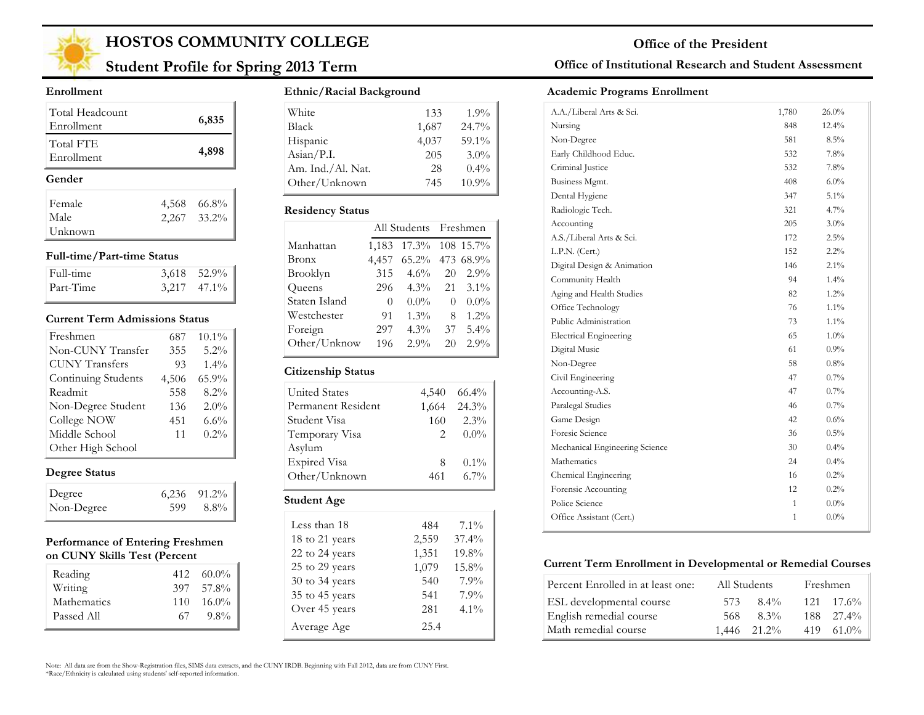

## **Student Profile for Spring 2013 Term**

#### **Enrollment**

| Total Headcount<br>Enrollment |       | 6,835         |
|-------------------------------|-------|---------------|
| Total FTE<br>Enrollment       |       | 4,898         |
| Gender                        |       |               |
|                               |       |               |
| Female                        | 4,568 | 66.8%         |
| Male                          |       | $2,267$ 33.2% |

#### **Full-time/Part-time Status**

| Full-time | $3,618$ $52.9\%$ |
|-----------|------------------|
| Part-Time | $3,217$ $47.1\%$ |

#### **Current Term Admissions Status**

| Freshmen              | 687   | $10.1\%$ |
|-----------------------|-------|----------|
| Non-CUNY Transfer     | 355   | 5.2%     |
| <b>CUNY</b> Transfers | 93    | $1.4\%$  |
| Continuing Students   | 4,506 | 65.9%    |
| Readmit               | 558   | 8.2%     |
| Non-Degree Student    | 136   | 2.0%     |
| College NOW           | 451   | 6.6%     |
| Middle School         | 11    | 0.2%     |
| Other High School     |       |          |

### **Degree Status**

| Degree     |     | $6,236$ $91.2\%$ |
|------------|-----|------------------|
| Non-Degree | 599 | 8.8%             |

#### **Performance of Entering Freshmen on CUNY Skills Test (Percent**

| Reading            | 412 | $60.0\%$ |
|--------------------|-----|----------|
| Writing            | 397 | 57.8%    |
| <b>Mathematics</b> | 110 | $16.0\%$ |
| Passed All         | 67  | $9.8\%$  |

#### **Ethnic/Racial Background**

| White                        | 133   | $1.9\%$  |
|------------------------------|-------|----------|
| <b>Black</b>                 | 1,687 | 24.7%    |
| Hispanic                     | 4,037 | 59.1%    |
| $\text{Asian} / \text{P.I.}$ | 205   | $3.0\%$  |
| Am. Ind./Al. Nat.            | 28    | $0.4\%$  |
| Other/Unknown                | 745   | $10.9\%$ |

#### **Residency Status**

|               |          | All Students Freshmen |    |           |
|---------------|----------|-----------------------|----|-----------|
| Manhattan     | 1,183    | 17.3%                 |    | 108 15.7% |
| <b>Bronx</b>  | 4,457    | $65.2\%$              |    | 473 68.9% |
| Brooklyn      | 315      | $4.6\%$               | 20 | $2.9\%$   |
| Queens        | 296      | $4.3\%$               | 21 | $3.1\%$   |
| Staten Island | $\theta$ | $0.0\%$               | 0  | $0.0\%$   |
| Westchester   | 91       | $1.3\%$               | 8  | $1.2\%$   |
| Foreign       | 297      | $4.3\%$               | 37 | $5.4\%$   |
| Other/Unknow  | 196      | 2.9%                  | 20 | 2.9%      |

#### **Citizenship Status**

| <b>United States</b> | 4,540                         | $66.4\%$    |
|----------------------|-------------------------------|-------------|
| Permanent Resident   |                               | 1,664 24.3% |
| Student Visa         | 160                           | $2.3\%$     |
| Temporary Visa       | $\mathfrak{D}_{\mathfrak{p}}$ | $0.0\%$     |
| Asylum               |                               |             |
| <b>Expired Visa</b>  | 8                             | $0.1\%$     |
| Other/Unknown        | 461                           | $6.7\%$     |
| <b>Student Age</b>   |                               |             |
|                      |                               |             |

| Less than 18   | 484   | $7.1\%$ |
|----------------|-------|---------|
| 18 to 21 years | 2,559 | 37.4%   |
| 22 to 24 years | 1,351 | 19.8%   |
| 25 to 29 years | 1,079 | 15.8%   |
| 30 to 34 years | 540   | 7.9%    |
| 35 to 45 years | 541   | 7.9%    |
| Over 45 years  | 281   | $4.1\%$ |
| Average Age    | 25.4  |         |

### **Office of Institutional Research and Student Assessment**

#### **Academic Programs Enrollment**

| A.A./Liberal Arts & Sci.       | 1,780        | $26.0\%$ |
|--------------------------------|--------------|----------|
| Nursing                        | 848          | 12.4%    |
| Non-Degree                     | 581          | 8.5%     |
| Early Childhood Educ.          | 532          | 7.8%     |
| Criminal Justice               | 532          | 7.8%     |
| Business Mgmt.                 | 408          | $6.0\%$  |
| Dental Hygiene                 | 347          | 5.1%     |
| Radiologic Tech.               | 321          | $4.7\%$  |
| Accounting                     | 205          | $3.0\%$  |
| A.S./Liberal Arts & Sci.       | 172          | 2.5%     |
| L.P.N. (Cert.)                 | 152          | 2.2%     |
| Digital Design & Animation     | 146          | $2.1\%$  |
| Community Health               | 94           | $1.4\%$  |
| Aging and Health Studies       | 82           | 1.2%     |
| Office Technology              | 76           | $1.1\%$  |
| Public Administration          | 73           | $1.1\%$  |
| <b>Electrical Engineering</b>  | 65           | $1.0\%$  |
| Digital Music                  | 61           | 0.9%     |
| Non-Degree                     | 58           | 0.8%     |
| Civil Engineering              | 47           | 0.7%     |
| Accounting-A.S.                | 47           | 0.7%     |
| Paralegal Studies              | 46           | 0.7%     |
| Game Design                    | 42           | 0.6%     |
| Foresic Science                | 36           | $0.5\%$  |
| Mechanical Engineering Science | 30           | $0.4\%$  |
| Mathematics                    | 24           | $0.4\%$  |
| Chemical Engineering           | 16           | 0.2%     |
| Forensic Accounting            | 12           | 0.2%     |
| Police Science                 | $\mathbf{1}$ | $0.0\%$  |
| Office Assistant (Cert.)       | $\mathbf{1}$ | $0.0\%$  |
|                                |              |          |

#### **Current Term Enrollment in Developmental or Remedial Courses**

| Percent Enrolled in at least one: |      | All Students     | Freshmen           |
|-----------------------------------|------|------------------|--------------------|
| ESL developmental course          | 573. | $8.4\%$          | $121 \quad 17.6\%$ |
| English remedial course           | 568  | $8.3\%$          | $188$ $27.4\%$     |
| Math remedial course              |      | $1,446$ $21.2\%$ | $419 \quad 61.0\%$ |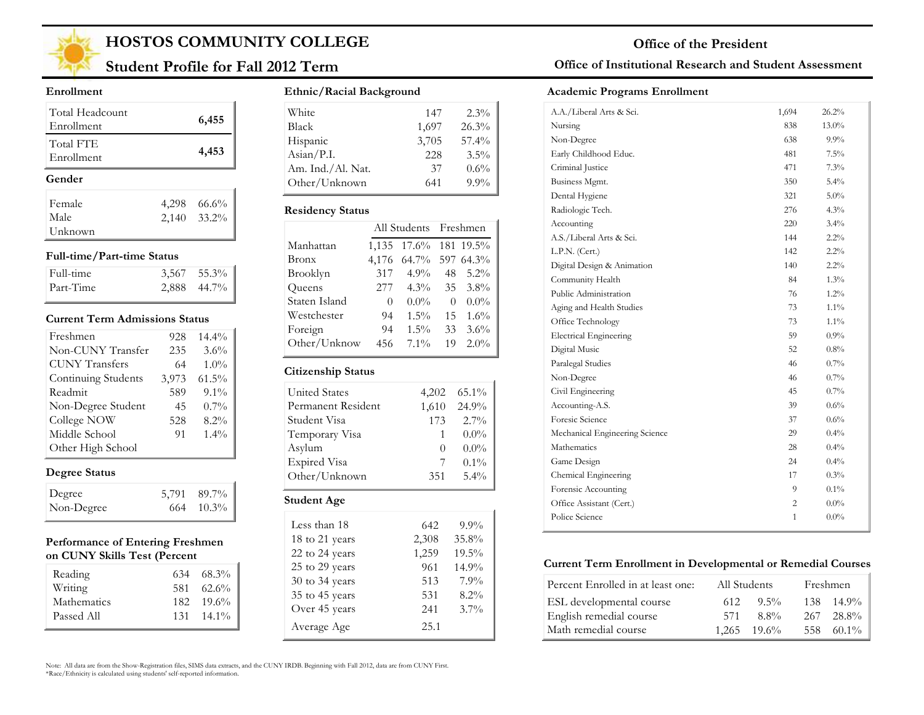

## **Student Profile for Fall 2012 Term**

#### **Enrollment**

| Total Headcount<br>Enrollment |       | 6,455       |
|-------------------------------|-------|-------------|
| Total FTE<br>Enrollment       |       | 4,453       |
| Gender                        |       |             |
|                               |       |             |
| Female                        | 4,298 | 66.6%       |
| Male                          |       | 2,140 33.2% |

#### **Full-time/Part-time Status**

| Full-time | $3,567$ $55.3\%$ |
|-----------|------------------|
| Part-Time | $2,888$ 44.7%    |

#### **Current Term Admissions Status**

| Freshmen              | 928   | $14.4\%$ |
|-----------------------|-------|----------|
| Non-CUNY Transfer     | 235   | 3.6%     |
| <b>CUNY Transfers</b> | 64    | $1.0\%$  |
| Continuing Students   | 3,973 | $61.5\%$ |
| Readmit               | 589   | $9.1\%$  |
| Non-Degree Student    | 45    | $0.7\%$  |
| College NOW           | 528   | $8.2\%$  |
| Middle School         | 91    | $1.4\%$  |
| Other High School     |       |          |

### **Degree Status**

| Degree     | 5,791 89.7%        |
|------------|--------------------|
| Non-Degree | $664 \quad 10.3\%$ |

#### **Performance of Entering Freshmen on CUNY Skills Test (Percent**

| Reading     |     | $634$ $68.3\%$     |
|-------------|-----|--------------------|
| Writing     | 581 | $62.6\%$           |
| Mathematics |     | $182 \quad 19.6\%$ |
| Passed All  |     | $131 \quad 14.1\%$ |

#### **Ethnic/Racial Background**

| White                        | 147   | $2.3\%$ |
|------------------------------|-------|---------|
| <b>Black</b>                 | 1,697 | 26.3%   |
| Hispanic                     | 3,705 | 57.4%   |
| $\text{Asian} / \text{P.I.}$ | 228   | $3.5\%$ |
| Am. Ind./Al. Nat.            | 37    | $0.6\%$ |
| Other/Unknown                | 641   | $9.9\%$ |

#### **Residency Status**

|               |          | All Students Freshmen |          |         |
|---------------|----------|-----------------------|----------|---------|
| Manhattan     | 1,135    | 17.6% 181 19.5%       |          |         |
| <b>Bronx</b>  | 4,176    | 64.7% 597 64.3%       |          |         |
| Brooklyn      | 317      | $4.9\%$               | 48       | $5.2\%$ |
| Queens        | 277      | $4.3\%$               |          | 35 3.8% |
| Staten Island | $\theta$ | $0.0\%$               | $\theta$ | $0.0\%$ |
| Westchester   | 94       | $1.5\%$               | 15       | $1.6\%$ |
| Foreign       | 94       | $1.5\%$               | 33       | $3.6\%$ |
| Other/Unknow  | 456      | $7.1\%$               | 19       | $2.0\%$ |

#### **Citizenship Status**

| <b>United States</b> | 4,202            | $65.1\%$ |
|----------------------|------------------|----------|
| Permanent Resident   | 1,610            | 24.9%    |
| Student Visa         | 173              | $2.7\%$  |
| Temporary Visa       |                  | $0.0\%$  |
| Asylum               | $\left( \right)$ | $0.0\%$  |
| <b>Expired Visa</b>  |                  | $0.1\%$  |
| Other/Unknown        | 351              | 5.4%     |

| Less than 18   | 642   | $9.9\%$  |
|----------------|-------|----------|
| 18 to 21 years | 2,308 | 35.8%    |
| 22 to 24 years | 1,259 | $19.5\%$ |
| 25 to 29 years | 961   | 14.9%    |
| 30 to 34 years | 513   | 7.9%     |
| 35 to 45 years | 531   | 8.2%     |
| Over 45 years  | 241   | $3.7\%$  |
| Average Age    | 25.1  |          |

### **Office of Institutional Research and Student Assessment**

#### **Academic Programs Enrollment**

| A.A./Liberal Arts & Sci.       | 1,694        | 26.2%    |
|--------------------------------|--------------|----------|
| Nursing                        | 838          | $13.0\%$ |
| Non-Degree                     | 638          | $9.9\%$  |
| Early Childhood Educ.          | 481          | 7.5%     |
| Criminal Justice               | 471          | 7.3%     |
| Business Mgmt.                 | 350          | 5.4%     |
| Dental Hygiene                 | 321          | $5.0\%$  |
| Radiologic Tech.               | 276          | 4.3%     |
| Accounting                     | 220          | $3.4\%$  |
| A.S./Liberal Arts & Sci.       | 144          | $2.2\%$  |
| L.P.N. (Cert.)                 | 142          | $2.2\%$  |
| Digital Design & Animation     | 140          | $2.2\%$  |
| Community Health               | 84           | $1.3\%$  |
| Public Administration          | 76           | $1.2\%$  |
| Aging and Health Studies       | 73           | $1.1\%$  |
| Office Technology              | 73           | $1.1\%$  |
| <b>Electrical Engineering</b>  | 59           | $0.9\%$  |
| Digital Music                  | 52           | $0.8\%$  |
| Paralegal Studies              | 46           | $0.7\%$  |
| Non-Degree                     | 46           | 0.7%     |
| Civil Engineering              | 45           | $0.7\%$  |
| Accounting-A.S.                | 39           | $0.6\%$  |
| Foresic Science                | 37           | $0.6\%$  |
| Mechanical Engineering Science | 29           | 0.4%     |
| Mathematics                    | 28           | $0.4\%$  |
| Game Design                    | 24           | $0.4\%$  |
| Chemical Engineering           | 17           | 0.3%     |
| Forensic Accounting            | 9            | 0.1%     |
| Office Assistant (Cert.)       | 2            | $0.0\%$  |
| Police Science                 | $\mathbf{1}$ | $0.0\%$  |
|                                |              |          |

#### **Current Term Enrollment in Developmental or Remedial Courses**

| Percent Enrolled in at least one: | All Students |                  | Freshmen           |
|-----------------------------------|--------------|------------------|--------------------|
| ESL developmental course          | 612          | $9.5\%$          | $138 \quad 14.9\%$ |
| English remedial course           | 571          | $8.8\%$          | $267 - 28.8\%$     |
| Math remedial course              |              | $1.265$ $19.6\%$ | 558 60.1%          |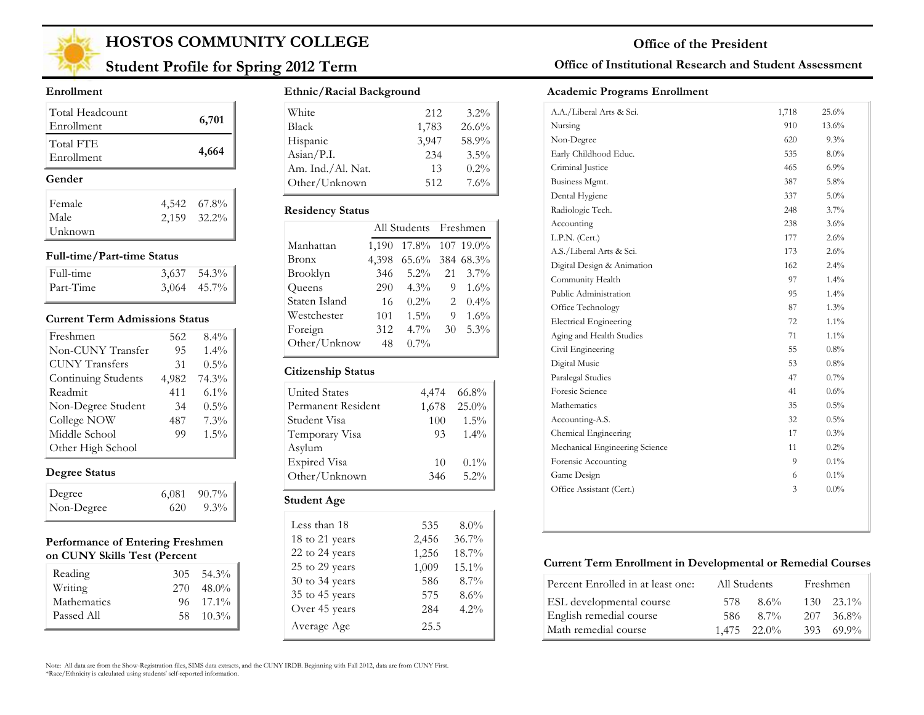

## **Student Profile for Spring 2012 Term**

#### **Enrollment**

| Total Headcount<br>Enrollment | 6,701       |
|-------------------------------|-------------|
| Total FTE<br>Enrollment       | 4,664       |
| Gender                        |             |
|                               |             |
| Female                        | 4,542 67.8% |
| Male                          | 2,159 32.2% |

#### **Full-time/Part-time Status**

| Full-time | $3,637$ $54.3\%$ |
|-----------|------------------|
| Part-Time | $3,064$ 45.7%    |

#### **Current Term Admissions Status**

| Freshmen              | 562   | 8.4%    |
|-----------------------|-------|---------|
| Non-CUNY Transfer     | 95    | 1.4%    |
| <b>CUNY Transfers</b> | 31    | $0.5\%$ |
| Continuing Students   | 4,982 | 74.3%   |
| Readmit               | 411   | $6.1\%$ |
| Non-Degree Student    | 34    | $0.5\%$ |
| College NOW           | 487   | 7.3%    |
| Middle School         | 99    | 1.5%    |
| Other High School     |       |         |

### **Degree Status**

| Degree     |     | $6,081$ $90.7\%$ |
|------------|-----|------------------|
| Non-Degree | 620 | $9.3\%$          |

#### **Performance of Entering Freshmen on CUNY Skills Test (Percent**

| Reading            |     | $305 \quad 54.3\%$ |
|--------------------|-----|--------------------|
| Writing            | 270 | $48.0\%$           |
| <b>Mathematics</b> |     | $96 \quad 17.1\%$  |
| Passed All         |     | 58 10.3%           |

#### **Ethnic/Racial Background**

| White             | 212   | $3.2\%$ |
|-------------------|-------|---------|
| <b>Black</b>      | 1,783 | 26.6%   |
| Hispanic          | 3.947 | 58.9%   |
| Asian/P.I.        | 234   | $3.5\%$ |
| Am. Ind./Al. Nat. | 13    | $0.2\%$ |
| Other/Unknown     | 512   | 7.6%    |

#### **Residency Status**

| 1,190 |         |    |                                                             |
|-------|---------|----|-------------------------------------------------------------|
| 4,398 |         |    |                                                             |
| 346   | $5.2\%$ | 21 | $3.7\%$                                                     |
| 290   | $4.3\%$ | 9  | $1.6\%$                                                     |
| 16    | $0.2\%$ | 2  | $0.4\%$                                                     |
| 101   | $1.5\%$ | 9  | $1.6\%$                                                     |
| 312   | $4.7\%$ | 30 | $5.3\%$                                                     |
| 48    | $0.7\%$ |    |                                                             |
|       |         |    | All Students Freshmen<br>17.8% 107 19.0%<br>65.6% 384 68.3% |

#### **Citizenship Status**

| <b>United States</b> | 4,474 | 66.8%   |
|----------------------|-------|---------|
| Permanent Resident   | 1,678 | 25.0%   |
| Student Visa         | 100   | $1.5\%$ |
| Temporary Visa       | 93    | $1.4\%$ |
| Asylum               |       |         |
| Expired Visa         | 10    | $0.1\%$ |
| Other/Unknown        | 346   | $5.2\%$ |
| Student Age          |       |         |

| Less than 18   | 535   | $8.0\%$  |
|----------------|-------|----------|
| 18 to 21 years | 2,456 | 36.7%    |
| 22 to 24 years | 1,256 | $18.7\%$ |
| 25 to 29 years | 1,009 | 15.1%    |
| 30 to 34 years | 586   | $8.7\%$  |
| 35 to 45 years | 575   | 8.6%     |
| Over 45 years  | 284   | 4.2%     |
| Average Age    | 25.5  |          |

#### **Office of Institutional Research and Student Assessment**

#### **Academic Programs Enrollment**

| A.A./Liberal Arts & Sci.       | 1,718 | 25.6%   |
|--------------------------------|-------|---------|
| Nursing                        | 910   | 13.6%   |
| Non-Degree                     | 620   | $9.3\%$ |
| Early Childhood Educ.          | 535   | $8.0\%$ |
| Criminal Justice               | 465   | 6.9%    |
| Business Mgmt.                 | 387   | 5.8%    |
| Dental Hygiene                 | 337   | 5.0%    |
| Radiologic Tech.               | 248   | $3.7\%$ |
| Accounting                     | 238   | 3.6%    |
| L.P.N. (Cert.)                 | 177   | 2.6%    |
| A.S./Liberal Arts & Sci.       | 173   | 2.6%    |
| Digital Design & Animation     | 162   | $2.4\%$ |
| Community Health               | 97    | 1.4%    |
| Public Administration          | 95    | $1.4\%$ |
| Office Technology              | 87    | 1.3%    |
| <b>Electrical Engineering</b>  | 72    | $1.1\%$ |
| Aging and Health Studies       | 71    | $1.1\%$ |
| Civil Engineering              | 55    | $0.8\%$ |
| Digital Music                  | 53    | $0.8\%$ |
| Paralegal Studies              | 47    | 0.7%    |
| Foresic Science                | 41    | 0.6%    |
| Mathematics                    | 35    | 0.5%    |
| Accounting-A.S.                | 32    | 0.5%    |
| Chemical Engineering           | 17    | 0.3%    |
| Mechanical Engineering Science | 11    | 0.2%    |
| Forensic Accounting            | 9     | $0.1\%$ |
| Game Design                    | 6     | $0.1\%$ |
| Office Assistant (Cert.)       | 3     | $0.0\%$ |
|                                |       |         |

#### **Current Term Enrollment in Developmental or Remedial Courses**

| Percent Enrolled in at least one: | All Students     | Freshmen          |
|-----------------------------------|------------------|-------------------|
| ESL developmental course          | $8.6\%$<br>578   | $130 - 23.1\%$    |
| English remedial course           | 8.7%<br>-586     | 36.8%<br>207      |
| Math remedial course              | $1,475$ $22.0\%$ | $393\quad 69.9\%$ |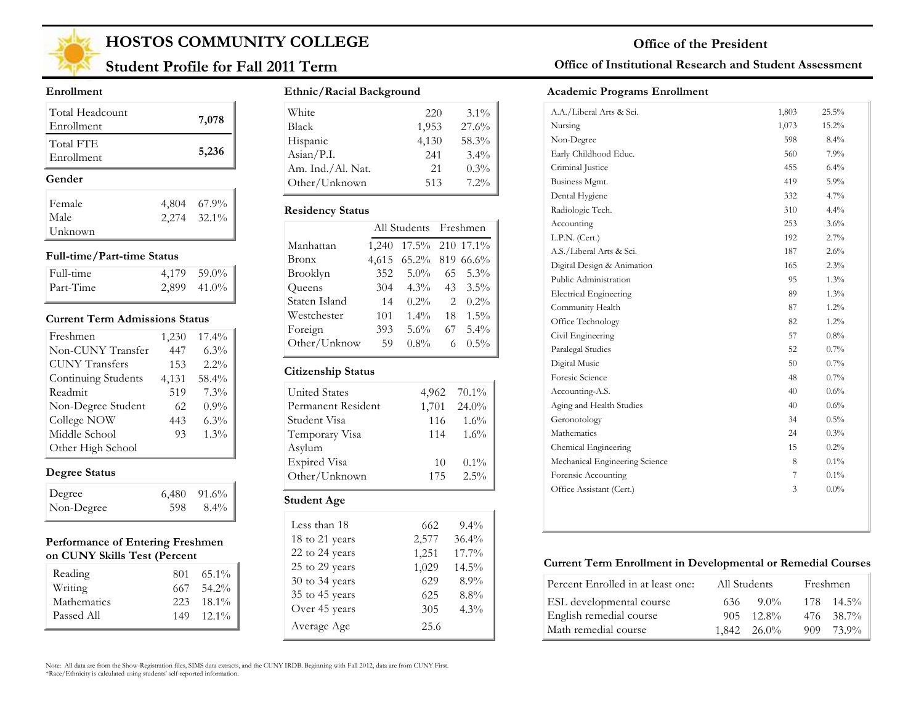

## **Student Profile for Fall 2011 Term**

#### **Enrollment**

| Total Headcount<br>Enrollment | 7,078                      |
|-------------------------------|----------------------------|
| Total FTE<br>Enrollment       | 5,236                      |
|                               |                            |
| Gender                        |                            |
| Female                        |                            |
| Male                          | 4,804 67.9%<br>2,274 32.1% |

#### **Full-time/Part-time Status**

| Full-time | 4.179 59.0% |
|-----------|-------------|
| Part-Time | 2,899 41.0% |

#### **Current Term Admissions Status**

| Freshmen              | 1,230 | 17.4%   |
|-----------------------|-------|---------|
| Non-CUNY Transfer     | 447   | $6.3\%$ |
| <b>CUNY Transfers</b> | 153   | $2.2\%$ |
| Continuing Students   | 4,131 | 58.4%   |
| Readmit               | 519   | 7.3%    |
| Non-Degree Student    | 62    | $0.9\%$ |
| College NOW           | 443   | $6.3\%$ |
| Middle School         | 93    | $1.3\%$ |
| Other High School     |       |         |

### **Degree Status**

| Degree     |     | $6,480$ $91.6\%$ |
|------------|-----|------------------|
| Non-Degree | 598 | - 8.4%           |

#### **Performance of Entering Freshmen on CUNY Skills Test (Percent**

| Reading<br>Writing        | 667 - | $801 \quad 65.1\%$<br>54.2% |
|---------------------------|-------|-----------------------------|
| Mathematics<br>Passed All | 149   | 223 18.1%<br>$-12.1\%$      |

#### **Ethnic/Racial Background**

| White             | 220   | $3.1\%$ |
|-------------------|-------|---------|
| <b>Black</b>      | 1,953 | 27.6%   |
| Hispanic          | 4,130 | 58.3%   |
| Asian/P.I.        | 241   | 3.4%    |
| Am. Ind./Al. Nat. | 21    | $0.3\%$ |
| Other/Unknown     | 513   | $7.2\%$ |

#### **Residency Status**

|               | All Students Freshmen |                 |                               |         |
|---------------|-----------------------|-----------------|-------------------------------|---------|
| Manhattan     | 1,240                 | 17.5% 210 17.1% |                               |         |
| Bronx         | 4,615                 | 65.2% 819 66.6% |                               |         |
| Brooklyn      | 352                   | $5.0\%$         | 65                            | $5.3\%$ |
| Queens        | 304                   | $4.3\%$         | 43                            | $3.5\%$ |
| Staten Island | 14                    | $0.2\%$         | $\mathfrak{D}_{\mathfrak{p}}$ | $0.2\%$ |
| Westchester   | 101                   | $1.4\%$         | 18                            | $1.5\%$ |
| Foreign       | 393                   | $5.6\%$         | 67                            | $5.4\%$ |
| Other/Unknow  | 59                    | $0.8\%$         | 6                             | $0.5\%$ |
|               |                       |                 |                               |         |

#### **Citizenship Status**

| <b>United States</b> | 4,962 | $70.1\%$ |
|----------------------|-------|----------|
| Permanent Resident   | 1,701 | 24.0%    |
| Student Visa         | 116   | $1.6\%$  |
| Temporary Visa       | 114   | 1.6%     |
| Asylum               |       |          |
| <b>Expired Visa</b>  | 10    | $0.1\%$  |
| Other/Unknown        | 175   | $2.5\%$  |
| Student Age          |       |          |

| Less than 18       | 662   | $9.4\%$  |
|--------------------|-------|----------|
| 18 to 21 years     | 2,577 | $36.4\%$ |
| 22 to 24 years     | 1,251 | $17.7\%$ |
| 25 to 29 years     | 1,029 | $14.5\%$ |
| $30$ to $34$ years | 629   | 8.9%     |
| 35 to 45 years     | 625   | $8.8\%$  |
| Over 45 years      | 305   | $4.3\%$  |
| Average Age        | 25.6  |          |

#### **Office of Institutional Research and Student Assessment**

#### **Academic Programs Enrollment**

| A.A./Liberal Arts & Sci.       | 1,803 | 25.5%    |
|--------------------------------|-------|----------|
| Nursing                        | 1,073 | $15.2\%$ |
| Non-Degree                     | 598   | $8.4\%$  |
| Early Childhood Educ.          | 560   | $7.9\%$  |
| Criminal Justice               | 455   | 6.4%     |
| Business Mgmt.                 | 419   | $5.9\%$  |
| Dental Hygiene                 | 332   | 4.7%     |
| Radiologic Tech.               | 310   | 4.4%     |
| Accounting                     | 253   | $3.6\%$  |
| L.P.N. (Cert.)                 | 192   | 2.7%     |
| A.S./Liberal Arts & Sci.       | 187   | 2.6%     |
| Digital Design & Animation     | 165   | 2.3%     |
| Public Administration          | 95    | 1.3%     |
| <b>Electrical Engineering</b>  | 89    | 1.3%     |
| Community Health               | 87    | $1.2\%$  |
| Office Technology              | 82    | 1.2%     |
| Civil Engineering              | 57    | $0.8\%$  |
| Paralegal Studies              | 52    | $0.7\%$  |
| Digital Music                  | 50    | $0.7\%$  |
| Foresic Science                | 48    | 0.7%     |
| Accounting-A.S.                | 40    | $0.6\%$  |
| Aging and Health Studies       | 40    | $0.6\%$  |
| Geronotology                   | 34    | $0.5\%$  |
| Mathematics                    | 24    | 0.3%     |
| Chemical Engineering           | 15    | 0.2%     |
| Mechanical Engineering Science | 8     | $0.1\%$  |
| Forensic Accounting            | 7     | $0.1\%$  |
| Office Assistant (Cert.)       | 3     | $0.0\%$  |

#### **Current Term Enrollment in Developmental or Remedial Courses**

| Percent Enrolled in at least one: | All Students |                    | Freshmen |                |
|-----------------------------------|--------------|--------------------|----------|----------------|
| ESL developmental course          | 636          | $9.0\%$            |          | $178$ $14.5\%$ |
| English remedial course           |              | $905 \quad 12.8\%$ |          | $476$ $38.7\%$ |
| Math remedial course              |              | $1,842$ $26.0\%$   | 909.     | 73.9%          |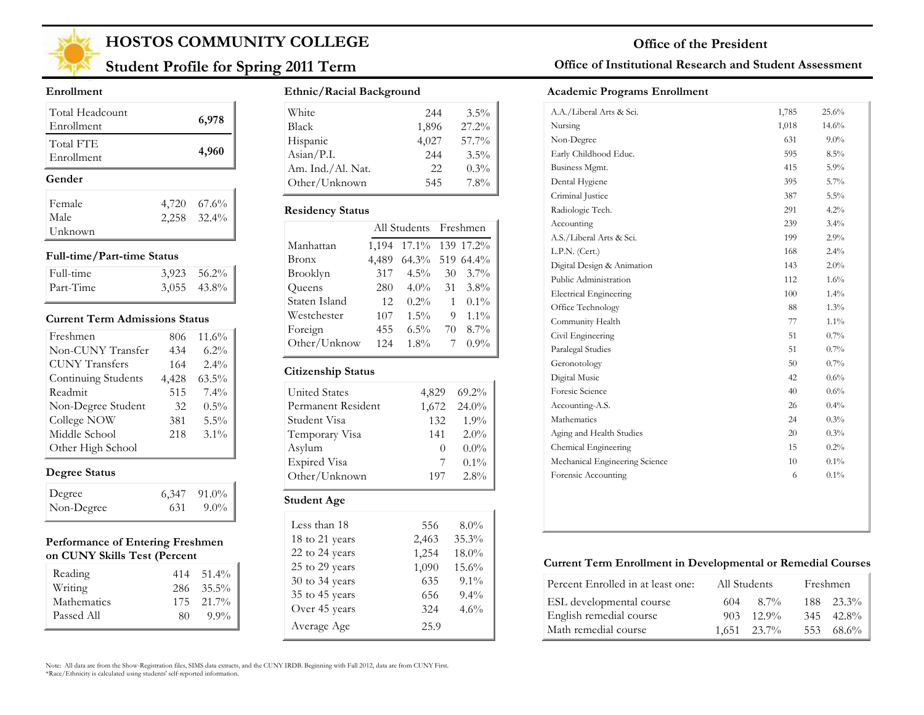

## **Student Profile for Spring 2011 Term**

#### **Enrollment**

| Total Headcount<br>Enrollment |       | 6,978         |
|-------------------------------|-------|---------------|
| Total FTE<br>Enrollment       |       | 4,960         |
|                               |       |               |
| Gender                        |       |               |
| Female                        | 4,720 | 67.6%         |
| Male                          |       | $2,258$ 32.4% |

#### **Full-time/Part-time Status**

| Full-time | $3,923$ $56.2\%$ |
|-----------|------------------|
| Part-Time | $3,055$ 43.8%    |

#### **Current Term Admissions Status**

| Freshmen              | 806   | 11.6%    |
|-----------------------|-------|----------|
| Non-CUNY Transfer     | 434   | $6.2\%$  |
| <b>CUNY Transfers</b> | 164   | $2.4\%$  |
| Continuing Students   | 4,428 | $63.5\%$ |
| Readmit               | 515   | $7.4\%$  |
| Non-Degree Student    | 32    | $0.5\%$  |
| College NOW           | 381   | $5.5\%$  |
| Middle School         | 218   | $3.1\%$  |
| Other High School     |       |          |

### **Degree Status**

| Degree     |     | $6,347$ 91.0% |
|------------|-----|---------------|
| Non-Degree | 631 | $9.0\%$       |

#### **Performance of Entering Freshmen on CUNY Skills Test (Percent**

| Reading     |    | $414$ $51.4\%$ |
|-------------|----|----------------|
| Writing     |    | $286 - 35.5\%$ |
| Mathematics |    | $175$ $21.7\%$ |
| Passed All  | 80 | $9.9\%$        |

#### **Ethnic/Racial Background**

| White             | 244   | $3.5\%$ |
|-------------------|-------|---------|
| <b>Black</b>      | 1,896 | 27.2%   |
| Hispanic          | 4,027 | 57.7%   |
| Asian/P.I.        | 244   | 3.5%    |
| Am. Ind./Al. Nat. | 22    | $0.3\%$ |
| Other/Unknown     | 545   | 7.8%    |

#### **Residency Status**

|               | All Students Freshmen |          |    |           |
|---------------|-----------------------|----------|----|-----------|
| Manhattan     | 1,194                 | $17.1\%$ |    | 139 17.2% |
| Bronx         | 4,489                 | $64.3\%$ |    | 519 64.4% |
| Brooklyn      | 317                   | $4.5\%$  | 30 | $3.7\%$   |
| Queens        | 280                   | $4.0\%$  | 31 | $3.8\%$   |
| Staten Island | 12                    | $0.2\%$  | 1  | $0.1\%$   |
| Westchester   | 107                   | $1.5\%$  | 9  | $1.1\%$   |
| Foreign       | 455                   | $6.5\%$  | 70 | $8.7\%$   |
| Other/Unknow  | 124                   | $1.8\%$  | 7  | $0.9\%$   |
|               |                       |          |    |           |

#### **Citizenship Status**

| <b>United States</b> | 4,829    | $69.2\%$ |  |  |
|----------------------|----------|----------|--|--|
| Permanent Resident   | 1,672    | 24.0%    |  |  |
| Student Visa         | 132      | $1.9\%$  |  |  |
| Temporary Visa       | 141      | $2.0\%$  |  |  |
| Asylum               | $\theta$ | $0.0\%$  |  |  |
| <b>Expired Visa</b>  | 7        | $0.1\%$  |  |  |
| Other/Unknown        | 197      | 2.8%     |  |  |
| Student Age          |          |          |  |  |
| Less than 18         | 556      | $8.0\%$  |  |  |

| Less than 18   | 556   | $8.0\%$ |  |
|----------------|-------|---------|--|
| 18 to 21 years | 2,463 | 35.3%   |  |
| 22 to 24 years | 1,254 | 18.0%   |  |
| 25 to 29 years | 1,090 | 15.6%   |  |
| 30 to 34 years | 635   | $9.1\%$ |  |
| 35 to 45 years | 656   | 9.4%    |  |
| Over 45 years  | 324   | 4.6%    |  |
| Average Age    | 25.9  |         |  |
|                |       |         |  |

### **Office of Institutional Research and Student Assessment**

#### **Academic Programs Enrollment**

| A.A./Liberal Arts & Sci.       | 1,785 | 25.6%   |
|--------------------------------|-------|---------|
| Nursing                        | 1,018 | 14.6%   |
| Non-Degree                     | 631   | $9.0\%$ |
| Early Childhood Educ.          | 595   | $8.5\%$ |
| Business Mgmt.                 | 415   | 5.9%    |
| Dental Hygiene                 | 395   | 5.7%    |
| Criminal Justice               | 387   | 5.5%    |
| Radiologic Tech.               | 291   | 4.2%    |
| Accounting                     | 239   | 3.4%    |
| A.S./Liberal Arts & Sci.       | 199   | 2.9%    |
| L.P.N. (Cert.)                 | 168   | $2.4\%$ |
| Digital Design & Animation     | 143   | 2.0%    |
| Public Administration          | 112   | $1.6\%$ |
| <b>Electrical Engineering</b>  | 100   | 1.4%    |
| Office Technology              | 88    | 1.3%    |
| Community Health               | 77    | $1.1\%$ |
| Civil Engineering              | 51    | $0.7\%$ |
| Paralegal Studies              | 51    | $0.7\%$ |
| Geronotology                   | 50    | 0.7%    |
| Digital Music                  | 42    | $0.6\%$ |
| Foresic Science                | 40    | $0.6\%$ |
| Accounting-A.S.                | 26    | 0.4%    |
| Mathematics                    | 24    | 0.3%    |
| Aging and Health Studies       | 20    | 0.3%    |
| Chemical Engineering           | 15    | 0.2%    |
| Mechanical Engineering Science | 10    | $0.1\%$ |
| Forensic Accounting            | 6     | $0.1\%$ |

#### **Current Term Enrollment in Developmental or Remedial Courses**

| Percent Enrolled in at least one: | All Students     | Freshmen       |
|-----------------------------------|------------------|----------------|
| ESL developmental course          | 8.7%<br>604      | $188$ $23.3\%$ |
| English remedial course           | $12.9\%$<br>903. | $345$ $42.8\%$ |
| Math remedial course              | $1,651$ $23.7\%$ | 553 68.6%      |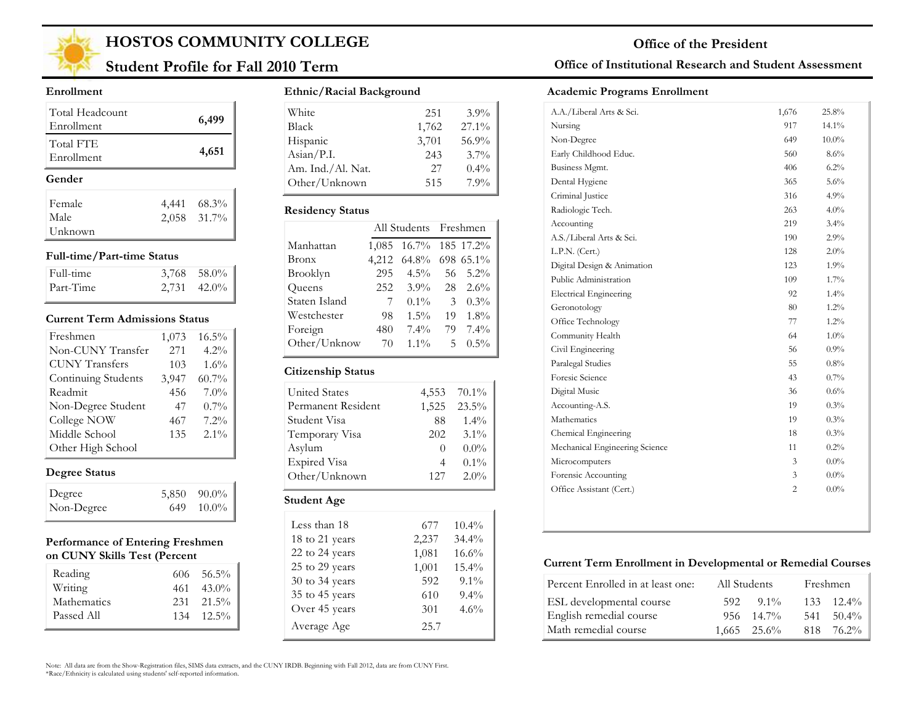

## **Student Profile for Fall 2010 Term**

#### **Enrollment**

| Total Headcount<br>Enrollment |       | 6,499       |
|-------------------------------|-------|-------------|
| Total FTE<br>Enrollment       |       | 4,651       |
| Gender                        |       |             |
| Female                        | 4,441 | 68.3%       |
| Male                          |       | 2,058 31.7% |
| Unknown                       |       |             |

#### **Full-time/Part-time Status**

| Full-time | $3,768$ 58.0%    |
|-----------|------------------|
| Part-Time | $2,731$ $42.0\%$ |

#### **Current Term Admissions Status**

| Freshmen              | 1,073 | $16.5\%$ |
|-----------------------|-------|----------|
| Non-CUNY Transfer     | 271   | $4.2\%$  |
| <b>CUNY</b> Transfers | 103   | $1.6\%$  |
| Continuing Students   | 3,947 | $60.7\%$ |
| Readmit               | 456   | $7.0\%$  |
| Non-Degree Student    | 47    | $0.7\%$  |
| College NOW           | 467   | 7.2%     |
| Middle School         | 135   | $2.1\%$  |
| Other High School     |       |          |

#### **Degree Status**

| Degree     | 5,850 90.0%    |
|------------|----------------|
| Non-Degree | $649$ $10.0\%$ |

#### **Performance of Entering Freshmen on CUNY Skills Test (Percent**

| Reading     | $606 \quad 56.5\%$ |
|-------------|--------------------|
| Writing     | $461 \quad 43.0\%$ |
| Mathematics | $231 \quad 21.5\%$ |
| Passed All  | $134$ $12.5\%$     |

#### **Ethnic/Racial Background**

| White                        | 251   | $3.9\%$  |
|------------------------------|-------|----------|
| <b>Black</b>                 | 1,762 | $27.1\%$ |
| Hispanic                     | 3,701 | 56.9%    |
| $\text{Asian} / \text{P.I.}$ | 243   | $3.7\%$  |
| Am. Ind./Al. Nat.            | 27    | $0.4\%$  |
| Other/Unknown                | 515   | 7.9%     |

#### **Residency Status**

|               | All Students Freshmen |                 |    |           |
|---------------|-----------------------|-----------------|----|-----------|
| Manhattan     | 1,085                 | 16.7% 185 17.2% |    |           |
| <b>Bronx</b>  | 4,212                 | $64.8\%$        |    | 698 65.1% |
| Brooklyn      | 295                   | $4.5\%$         | 56 | $5.2\%$   |
| Queens        | 252                   | $3.9\%$         | 28 | $2.6\%$   |
| Staten Island | 7                     | $0.1\%$         | 3  | $0.3\%$   |
| Westchester   | 98                    | $1.5\%$         | 19 | $1.8\%$   |
| Foreign       | 480                   | $7.4\%$         | 79 | $7.4\%$   |
| Other/Unknow  | 70                    | $1.1\%$         | 5  | $0.5\%$   |
|               |                       |                 |    |           |

#### **Citizenship Status**

| <b>United States</b> | 4,553            | $70.1\%$ |  |
|----------------------|------------------|----------|--|
| Permanent Resident   | 1,525            | 23.5%    |  |
| Student Visa         | 88               | $1.4\%$  |  |
| Temporary Visa       | 202              | $3.1\%$  |  |
| Asylum               | $\left( \right)$ | $0.0\%$  |  |
| <b>Expired Visa</b>  | 4                | $0.1\%$  |  |
| Other/Unknown        | 127              | $2.0\%$  |  |
| <b>Student Age</b>   |                  |          |  |

#### Less than  $18$  677 18 to 21 years 2,237 22 to 24 years 1,081 25 to 29 years 1,001 30 to 34 years 592 35 to 45 years 610 Over 45 years 301 10.4% 34.4% 16.6% 15.4% 9.1% 9.4% 4.6% Average Age 25.7

### **Office of Institutional Research and Student Assessment**

#### **Academic Programs Enrollment**

| A.A./Liberal Arts & Sci.       | 1,676          | 25.8%    |
|--------------------------------|----------------|----------|
| Nursing                        | 917            | 14.1%    |
| Non-Degree                     | 649            | $10.0\%$ |
| Early Childhood Educ.          | 560            | $8.6\%$  |
| Business Mgmt.                 | 406            | 6.2%     |
| Dental Hygiene                 | 365            | 5.6%     |
| Criminal Justice               | 316            | 4.9%     |
| Radiologic Tech.               | 263            | $4.0\%$  |
| Accounting                     | 219            | 3.4%     |
| A.S./Liberal Arts & Sci.       | 190            | 2.9%     |
| L.P.N. (Cert.)                 | 128            | $2.0\%$  |
| Digital Design & Animation     | 123            | 1.9%     |
| Public Administration          | 109            | 1.7%     |
| <b>Electrical Engineering</b>  | 92             | 1.4%     |
| Geronotology                   | 80             | 1.2%     |
| Office Technology              | 77             | 1.2%     |
| Community Health               | 64             | $1.0\%$  |
| Civil Engineering              | 56             | 0.9%     |
| Paralegal Studies              | 55             | 0.8%     |
| Foresic Science                | 43             | $0.7\%$  |
| Digital Music                  | 36             | 0.6%     |
| Accounting-A.S.                | 19             | 0.3%     |
| Mathematics                    | 19             | 0.3%     |
| Chemical Engineering           | 18             | 0.3%     |
| Mechanical Engineering Science | 11             | 0.2%     |
| Microcomputers                 | 3              | $0.0\%$  |
| Forensic Accounting            | 3              | $0.0\%$  |
| Office Assistant (Cert.)       | $\overline{2}$ | $0.0\%$  |
|                                |                |          |

#### **Current Term Enrollment in Developmental or Remedial Courses**

| Percent Enrolled in at least one: | All Students |                    | Freshmen |                    |
|-----------------------------------|--------------|--------------------|----------|--------------------|
| ESL developmental course          | 592.         | $9.1\%$            |          | $133 \quad 12.4\%$ |
| English remedial course           |              | $956 \quad 14.7\%$ | 541      | $-50.4\%$          |
| Math remedial course              |              | $1.665$ $25.6\%$   |          | 818 76.2%          |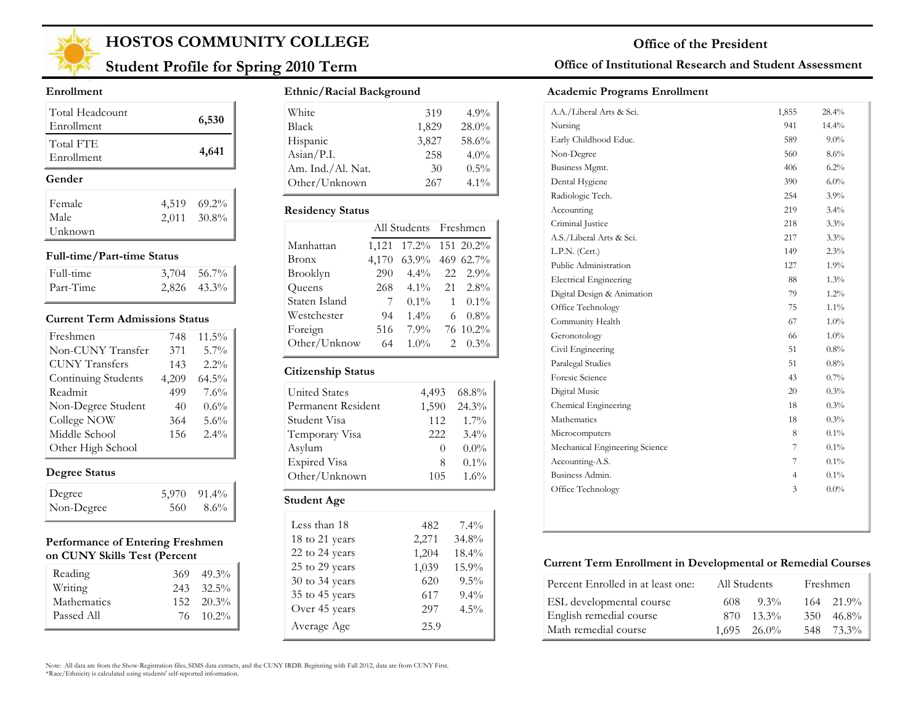

## **Student Profile for Spring 2010 Term**

#### **Enrollment**

| Total Headcount<br>Enrollment |       | 6,530       |
|-------------------------------|-------|-------------|
| Total FTE<br>Enrollment       |       | 4,641       |
| Gender                        |       |             |
| Female                        | 4,519 | $69.2\%$    |
| Male                          |       | 2,011 30.8% |
| Unknown                       |       |             |

#### **Full-time/Part-time Status**

| Full-time | $3,704$ $56.7\%$ |
|-----------|------------------|
| Part-Time | $2,826$ 43.3%    |

#### **Current Term Admissions Status**

| Freshmen              | 748   | $11.5\%$ |
|-----------------------|-------|----------|
| Non-CUNY Transfer     | 371   | 5.7%     |
| <b>CUNY Transfers</b> | 143   | $2.2\%$  |
| Continuing Students   | 4,209 | $64.5\%$ |
| Readmit               | 499   | 7.6%     |
| Non-Degree Student    | 40    | 0.6%     |
| College NOW           | 364   | 5.6%     |
| Middle School         | 156   | 2.4%     |
| Other High School     |       |          |

### **Degree Status**

| Degree     |     | $5.970$ $91.4\%$ |
|------------|-----|------------------|
| Non-Degree | 560 | 8.6%             |

#### **Performance of Entering Freshmen on CUNY Skills Test (Percent**

| Reading     | $369 - 49.3\%$     |
|-------------|--------------------|
| Writing     | $243$ $32.5\%$     |
| Mathematics | $152 \quad 20.3\%$ |
| Passed All  | 76 10.2%           |

#### **Ethnic/Racial Background**

| White                        | 319   | $4.9\%$ |
|------------------------------|-------|---------|
| <b>Black</b>                 | 1,829 | 28.0%   |
| Hispanic                     | 3,827 | 58.6%   |
| $\text{Asian} / \text{P.I.}$ | 258   | $4.0\%$ |
| Am. Ind./Al. Nat.            | 30    | $0.5\%$ |
| Other/Unknown                | 267   | $4.1\%$ |

#### **Residency Status**

|               |       | All Students Freshmen |    |           |
|---------------|-------|-----------------------|----|-----------|
| Manhattan     | 1,121 | $17.2\%$              |    | 151 20.2% |
| <b>Bronx</b>  | 4,170 | 63.9%                 |    | 469 62.7% |
| Brooklyn      | 290   | $4.4\%$               | 22 | $2.9\%$   |
| Queens        | 268   | $4.1\%$               |    | 21 2.8%   |
| Staten Island | 7     | $0.1\%$               | 1  | $0.1\%$   |
| Westchester   | 94    | $1.4\%$               | 6  | $0.8\%$   |
| Foreign       | 516   | $7.9\%$               |    | 76 10.2%  |
| Other/Unknow  | 64    | $1.0\%$               | 2  | $0.3\%$   |
|               |       |                       |    |           |

#### **Citizenship Status**

÷

| <b>United States</b> | 4.493            | 68.8%   |
|----------------------|------------------|---------|
| Permanent Resident   | 1,590            | 24.3%   |
| Student Visa         | 112              | $1.7\%$ |
| Temporary Visa       | 222              | $3.4\%$ |
| Asylum               | $\left( \right)$ | $0.0\%$ |
| <b>Expired Visa</b>  | 8                | $0.1\%$ |
| Other/Unknown        | 105              | 1.6%    |
| Student Age          |                  |         |

| Less than 18   | 482   | $7.4\%$ |
|----------------|-------|---------|
| 18 to 21 years | 2,271 | 34.8%   |
| 22 to 24 years | 1,204 | 18.4%   |
| 25 to 29 years | 1,039 | 15.9%   |
| 30 to 34 years | 620   | $9.5\%$ |
| 35 to 45 years | 617   | $9.4\%$ |
| Over 45 years  | 297   | $4.5\%$ |
| Average Age    | 25.9  |         |

### **Office of Institutional Research and Student Assessment**

#### **Academic Programs Enrollment**

| A.A./Liberal Arts & Sci.       | 1,855          | 28.4%   |
|--------------------------------|----------------|---------|
| Nursing                        | 941            | 14.4%   |
| Early Childhood Educ.          | 589            | $9.0\%$ |
| Non-Degree                     | 560            | 8.6%    |
| Business Mgmt.                 | 406            | 6.2%    |
| Dental Hygiene                 | 390            | 6.0%    |
| Radiologic Tech.               | 254            | $3.9\%$ |
| Accounting                     | 219            | $3.4\%$ |
| Criminal Justice               | 218            | 3.3%    |
| A.S./Liberal Arts & Sci.       | 217            | 3.3%    |
| L.P.N. (Cert.)                 | 149            | 2.3%    |
| Public Administration          | 127            | 1.9%    |
| <b>Electrical Engineering</b>  | 88             | $1.3\%$ |
| Digital Design & Animation     | 79             | $1.2\%$ |
| Office Technology              | 75             | 1.1%    |
| Community Health               | 67             | 1.0%    |
| Geronotology                   | 66             | $1.0\%$ |
| Civil Engineering              | 51             | 0.8%    |
| Paralegal Studies              | 51             | 0.8%    |
| Foresic Science                | 43             | 0.7%    |
| Digital Music                  | 20             | 0.3%    |
| Chemical Engineering           | 18             | 0.3%    |
| Mathematics                    | 18             | 0.3%    |
| Microcomputers                 | 8              | 0.1%    |
| Mechanical Engineering Science | 7              | $0.1\%$ |
| Accounting-A.S.                | 7              | $0.1\%$ |
| Business Admin.                | $\overline{4}$ | $0.1\%$ |
| Office Technology              | 3              | $0.0\%$ |
|                                |                |         |

#### **Current Term Enrollment in Developmental or Remedial Courses**

| Percent Enrolled in at least one: | All Students |                      |     | Freshmen       |
|-----------------------------------|--------------|----------------------|-----|----------------|
| ESL developmental course          | 608          | $9.3\%$              |     | $164$ $21.9\%$ |
| English remedial course           | 870.         | $13.3\%$             | 350 | $-46.8\%$      |
| Math remedial course              |              | $1.695 \quad 26.0\%$ |     | 548 73.3%      |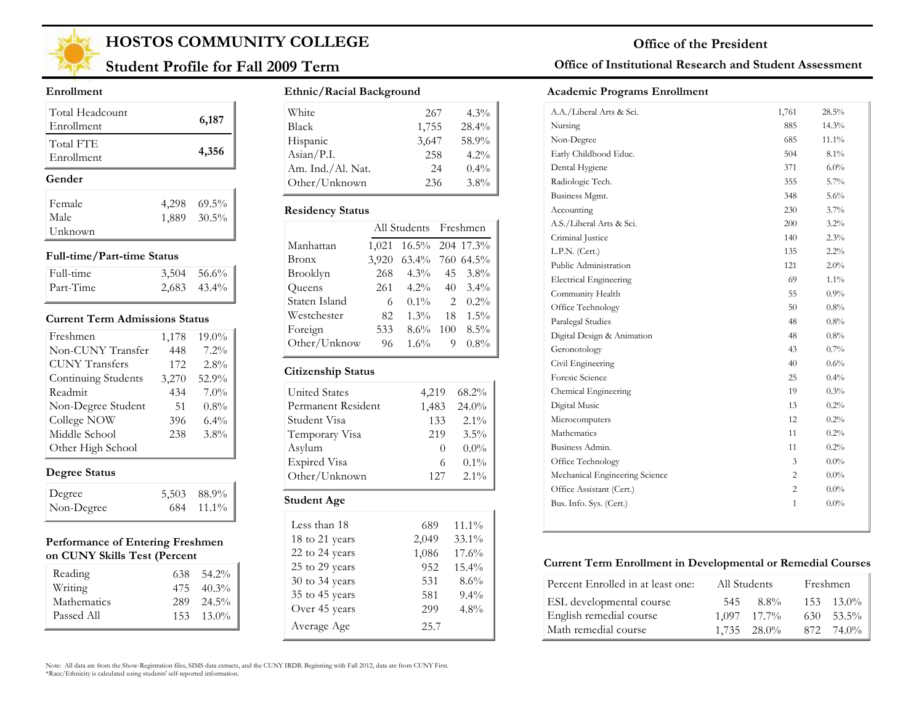

## **Student Profile for Fall 2009 Term**

#### **Enrollment**

| Total Headcount<br>Enrollment |       | 6,187       |
|-------------------------------|-------|-------------|
| Total FTE<br>Enrollment       |       | 4,356       |
| Gender                        |       |             |
| Female                        | 4,298 | $69.5\%$    |
| Male                          |       | 1,889 30.5% |
|                               |       |             |

#### **Full-time/Part-time Status**

| Full-time | $3,504$ $56.6\%$ |
|-----------|------------------|
| Part-Time | $2,683$ $43.4\%$ |

#### **Current Term Admissions Status**

| Freshmen              | 1,178 | 19.0%   |
|-----------------------|-------|---------|
| Non-CUNY Transfer     | 448   | $7.2\%$ |
| <b>CUNY Transfers</b> | 172   | 2.8%    |
| Continuing Students   | 3,270 | 52.9%   |
| Readmit               | 434   | $7.0\%$ |
| Non-Degree Student    | 51    | $0.8\%$ |
| College NOW           | 396   | $6.4\%$ |
| Middle School         | 238   | $3.8\%$ |
| Other High School     |       |         |

### **Degree Status**

| Degree     | 5,503 88.9% |
|------------|-------------|
| Non-Degree | 684 11.1%   |

#### **Performance of Entering Freshmen on CUNY Skills Test (Percent**

| Reading     | $638$ $54.2\%$     |
|-------------|--------------------|
| Writing     | $475$ $40.3\%$     |
| Mathematics | $289 - 24.5\%$     |
| Passed All  | $153 \quad 13.0\%$ |

#### **Ethnic/Racial Background**

| White             | 267   | $4.3\%$ |
|-------------------|-------|---------|
| Black             | 1,755 | 28.4%   |
| Hispanic          | 3,647 | 58.9%   |
| Asian/P.I.        | 258   | 4.2%    |
| Am. Ind./Al. Nat. | 24    | $0.4\%$ |
| Other/Unknown     | 236   | $3.8\%$ |

#### **Residency Status**

|               |       | All Students Freshmen |     |         |
|---------------|-------|-----------------------|-----|---------|
| Manhattan     | 1,021 | 16.5% 204 17.3%       |     |         |
| Bronx         | 3,920 | 63.4% 760 64.5%       |     |         |
| Brooklyn      | 268   | $4.3\%$               | 45  | $3.8\%$ |
| Queens        | 261   | $4.2\%$               | 40  | $3.4\%$ |
| Staten Island | 6     | $0.1\%$               | 2   | $0.2\%$ |
| Westchester   | 82    | $1.3\%$               | 18  | $1.5\%$ |
| Foreign       | 533   | $8.6\%$               | 100 | $8.5\%$ |
| Other/Unknow  | 96    | $1.6\%$               | 9   | $0.8\%$ |
|               |       |                       |     |         |

#### **Citizenship Status**

| <b>United States</b> | 4,219 | 68.2%    |
|----------------------|-------|----------|
| Permanent Resident   | 1,483 | $24.0\%$ |
| Student Visa         | 133   | $2.1\%$  |
| Temporary Visa       | 219   | 3.5%     |
| Asylum               |       | $0.0\%$  |
| <b>Expired Visa</b>  | 6     | $0.1\%$  |
| Other/Unknown        | 127   | $2.1\%$  |
|                      |       |          |

## **Student Age**

| Less than 18   | 689   | $11.1\%$ |
|----------------|-------|----------|
| 18 to 21 years | 2,049 | $33.1\%$ |
| 22 to 24 years | 1,086 | 17.6%    |
| 25 to 29 years | 952   | 15.4%    |
| 30 to 34 years | 531   | 8.6%     |
| 35 to 45 years | 581   | $9.4\%$  |
| Over 45 years  | 299   | $4.8\%$  |
| Average Age    | 25.7  |          |

### **Office of Institutional Research and Student Assessment**

#### **Academic Programs Enrollment**

| A.A./Liberal Arts & Sci.       | 1,761 | 28.5%   |
|--------------------------------|-------|---------|
| Nursing                        | 885   | 14.3%   |
| Non-Degree                     | 685   | 11.1%   |
| Early Childhood Educ.          | 504   | 8.1%    |
| Dental Hygiene                 | 371   | $6.0\%$ |
| Radiologic Tech.               | 355   | 5.7%    |
| Business Mgmt.                 | 348   | 5.6%    |
| Accounting                     | 230   | 3.7%    |
| A.S./Liberal Arts & Sci.       | 200   | $3.2\%$ |
| Criminal Justice               | 140   | 2.3%    |
| L.P.N. (Cert.)                 | 135   | 2.2%    |
| Public Administration          | 121   | 2.0%    |
| <b>Electrical Engineering</b>  | 69    | 1.1%    |
| Community Health               | 55    | 0.9%    |
| Office Technology              | 50    | 0.8%    |
| Paralegal Studies              | 48    | 0.8%    |
| Digital Design & Animation     | 48    | 0.8%    |
| Geronotology                   | 43    | $0.7\%$ |
| Civil Engineering              | 40    | 0.6%    |
| Foresic Science                | 25    | 0.4%    |
| Chemical Engineering           | 19    | 0.3%    |
| Digital Music                  | 13    | 0.2%    |
| Microcomputers                 | 12    | 0.2%    |
| Mathematics                    | 11    | 0.2%    |
| Business Admin.                | 11    | 0.2%    |
| Office Technology              | 3     | $0.0\%$ |
| Mechanical Engineering Science | 2     | $0.0\%$ |
| Office Assistant (Cert.)       | 2     | $0.0\%$ |
| Bus. Info. Sys. (Cert.)        | 1     | $0.0\%$ |

#### **Current Term Enrollment in Developmental or Remedial Courses**

| Percent Enrolled in at least one: | All Students |                  |      | Freshmen           |
|-----------------------------------|--------------|------------------|------|--------------------|
| ESL developmental course          | 545          | 8.8%             |      | $153 \quad 13.0\%$ |
| English remedial course           |              | $1.097$ $17.7\%$ |      | $630 \quad 53.5\%$ |
| Math remedial course              |              | $1,735$ $28.0\%$ | 872. | 74.0%              |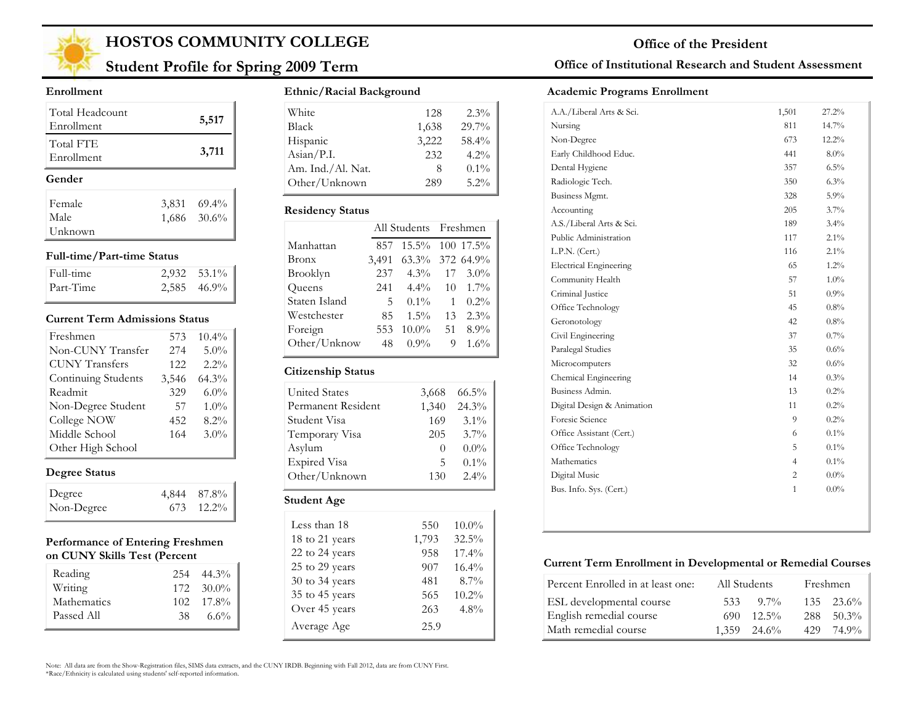

# **Student Profile for Spring 2009 Term**

#### **Enrollment**

| Total Headcount<br>Enrollment |       | 5,517       |
|-------------------------------|-------|-------------|
| Total FTE<br>Enrollment       |       | 3,711       |
| Gender                        |       |             |
| Female                        | 3,831 | $69.4\%$    |
| Male                          |       | 1,686 30.6% |
| Unknown                       |       |             |

#### **Full-time/Part-time Status**

| Full-time | $2,932$ $53.1\%$ |
|-----------|------------------|
| Part-Time | $2,585$ 46.9%    |

#### **Current Term Admissions Status**

| Freshmen              | 573   | $10.4\%$ |
|-----------------------|-------|----------|
| Non-CUNY Transfer     | 274   | 5.0%     |
| <b>CUNY Transfers</b> | 122   | $2.2\%$  |
| Continuing Students   | 3,546 | 64.3%    |
| Readmit               | 329   | $6.0\%$  |
| Non-Degree Student    | 57    | $1.0\%$  |
| College NOW           | 452   | 8.2%     |
| Middle School         | 164   | $3.0\%$  |
| Other High School     |       |          |

### **Degree Status**

| Degree     | 4,844 87.8% |
|------------|-------------|
| Non-Degree | 673 12.2%   |

#### **Performance of Entering Freshmen on CUNY Skills Test (Percent**

| Reading     |     | $254$ 44.3%        |
|-------------|-----|--------------------|
| Writing     |     | $172 - 30.0\%$     |
| Mathematics |     | $102 \quad 17.8\%$ |
| Passed All  | 38. | $6.6\%$            |

#### **Ethnic/Racial Background**

| White             | 128   | $2.3\%$ |
|-------------------|-------|---------|
| Black             | 1,638 | 29.7%   |
| Hispanic          | 3,222 | 58.4%   |
| Asian/P.I.        | 232   | 4.2%    |
| Am. Ind./Al. Nat. | Χ     | $0.1\%$ |
| Other/Unknown     | 289   | $5.2\%$ |

#### **Residency Status**

|               |       | All Students Freshmen |    |           |
|---------------|-------|-----------------------|----|-----------|
| Manhattan     | 857   | $15.5\%$              |    | 100 17.5% |
| Bronx         | 3,491 | 63.3% 372 64.9%       |    |           |
| Brooklyn      | 237   | $4.3\%$               | 17 | $3.0\%$   |
| Queens        | 241   | $4.4\%$               | 10 | $1.7\%$   |
| Staten Island | 5     | $0.1\%$               | 1  | $0.2\%$   |
| Westchester   | 85    | $1.5\%$               | 13 | 2.3%      |
| Foreign       | 553   | $10.0\%$              | 51 | 8.9%      |
| Other/Unknow  | 48    | $0.9\%$               | 9  | $1.6\%$   |
|               |       |                       |    |           |

#### **Citizenship Status**

| <b>United States</b> | 3,668    | $66.5\%$ |
|----------------------|----------|----------|
| Permanent Resident   | 1,340    | 24.3%    |
| Student Visa         | 169      | $3.1\%$  |
| Temporary Visa       | 205      | $3.7\%$  |
| Asylum               | $\theta$ | $0.0\%$  |
| Expired Visa         | 5        | $0.1\%$  |
| Other/Unknown        | 130      | $2.4\%$  |
| <b>Student Age</b>   |          |          |
|                      |          |          |

#### Less than 18 550 18 to 21 years 1,793 22 to 24 years 958 25 to 29 years 907 30 to 34 years 481 35 to 45 years 565 Over 45 years 263 10.0% 32.5% 17.4% 16.4% 8.7% 10.2% 4.8% Average Age 25.9

### **Office of Institutional Research and Student Assessment**

#### **Academic Programs Enrollment**

| A.A./Liberal Arts & Sci.      | 1,501          | 27.2%    |
|-------------------------------|----------------|----------|
| Nursing                       | 811            | $14.7\%$ |
| Non-Degree                    | 673            | $12.2\%$ |
| Early Childhood Educ.         | 441            | $8.0\%$  |
| Dental Hygiene                | 357            | 6.5%     |
| Radiologic Tech.              | 350            | $6.3\%$  |
| Business Mgmt.                | 328            | 5.9%     |
| Accounting                    | 205            | 3.7%     |
| A.S./Liberal Arts & Sci.      | 189            | $3.4\%$  |
| Public Administration         | 117            | $2.1\%$  |
| L.P.N. (Cert.)                | 116            | $2.1\%$  |
| <b>Electrical Engineering</b> | 65             | $1.2\%$  |
| Community Health              | 57             | 1.0%     |
| Criminal Justice              | 51             | $0.9\%$  |
| Office Technology             | 45             | $0.8\%$  |
| Geronotology                  | 42             | 0.8%     |
| Civil Engineering             | 37             | $0.7\%$  |
| Paralegal Studies             | 35             | $0.6\%$  |
| Microcomputers                | 32             | 0.6%     |
| Chemical Engineering          | 14             | 0.3%     |
| Business Admin.               | 13             | $0.2\%$  |
| Digital Design & Animation    | 11             | 0.2%     |
| Foresic Science               | 9              | $0.2\%$  |
| Office Assistant (Cert.)      | 6              | $0.1\%$  |
| Office Technology             | 5              | $0.1\%$  |
| Mathematics                   | $\overline{4}$ | $0.1\%$  |
| Digital Music                 | 2              | $0.0\%$  |
| Bus. Info. Sys. (Cert.)       | $\mathbf{1}$   | $0.0\%$  |

#### **Current Term Enrollment in Developmental or Remedial Courses**

| Percent Enrolled in at least one: | All Students     |          | Freshmen |                    |
|-----------------------------------|------------------|----------|----------|--------------------|
| ESL developmental course          | 533              | $9.7\%$  |          | $135 \quad 23.6\%$ |
| English remedial course           | 690.             | $12.5\%$ | 288      | $-50.3\%$          |
| Math remedial course              | $1.359$ $24.6\%$ |          | 429      | 74.9%              |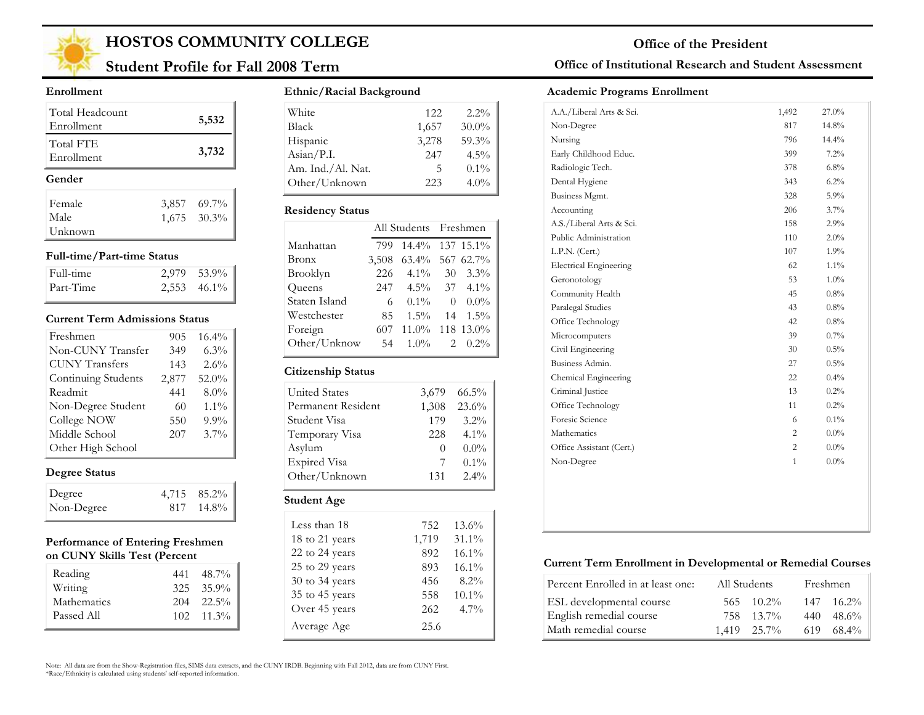

## **Student Profile for Fall 2008 Term**

#### **Enrollment**

| Total Headcount<br>Enrollment | 5,532                      |
|-------------------------------|----------------------------|
| Total FTE<br>Enrollment       | 3,732                      |
|                               |                            |
| Gender                        |                            |
| Female                        |                            |
| Male                          | 3,857 69.7%<br>1,675 30.3% |

#### **Full-time/Part-time Status**

| Full-time | 2.979 53.9%      |
|-----------|------------------|
| Part-Time | $2,553$ $46.1\%$ |

#### **Current Term Admissions Status**

| Freshmen              | 905   | $16.4\%$ |
|-----------------------|-------|----------|
| Non-CUNY Transfer     | 349   | $6.3\%$  |
| <b>CUNY Transfers</b> | 143   | 2.6%     |
| Continuing Students   | 2,877 | 52.0%    |
| Readmit               | 441   | $8.0\%$  |
| Non-Degree Student    | 60    | $1.1\%$  |
| College NOW           | 550   | $9.9\%$  |
| Middle School         | 207   | $3.7\%$  |
| Other High School     |       |          |

### **Degree Status**

| Degree     | 4,715 85.2% |
|------------|-------------|
| Non-Degree | 817 14.8%   |

#### **Performance of Entering Freshmen on CUNY Skills Test (Percent**

| Reading     | 441 | 48.7%              |
|-------------|-----|--------------------|
| Writing     |     | $325 \quad 35.9\%$ |
| Mathematics |     | $204$ $22.5\%$     |
| Passed All  |     | $102 \quad 11.3\%$ |

#### **Ethnic/Racial Background**

| White                        | 12.2. | $2.2\%$  |
|------------------------------|-------|----------|
| <b>Black</b>                 | 1,657 | $30.0\%$ |
| Hispanic                     | 3,278 | 59.3%    |
| $\text{Asian} / \text{P.I.}$ | 247   | $4.5\%$  |
| Am. Ind./Al. Nat.            | 5     | $0.1\%$  |
| Other/Unknown                | 223   | $4.0\%$  |

#### **Residency Status**

|               | All Students Freshmen |                 |          |                    |
|---------------|-----------------------|-----------------|----------|--------------------|
| Manhattan     | 799                   | 14.4% 137 15.1% |          |                    |
| Bronx         | 3,508                 | 63.4% 567 62.7% |          |                    |
| Brooklyn      | 226                   | $4.1\%$         | 30       | $3.3\%$            |
| Queens        | 247                   |                 |          | $4.5\%$ 37 $4.1\%$ |
| Staten Island | 6                     | $0.1\%$         | $\theta$ | $0.0\%$            |
| Westchester   | 85                    | $1.5\%$         | 14       | $1.5\%$            |
| Foreign       | 607                   | 11.0% 118 13.0% |          |                    |
| Other/Unknow  | 54                    | $1.0\%$         | 2        | $0.2\%$            |

#### **Citizenship Status**

| <b>United States</b> | 3,679    | $66.5\%$ |
|----------------------|----------|----------|
| Permanent Resident   | 1,308    | 23.6%    |
| Student Visa         | 179      | $3.2\%$  |
| Temporary Visa       | 228      | $4.1\%$  |
| Asylum               | $\theta$ | $0.0\%$  |
| Expired Visa         | 7        | $0.1\%$  |
| Other/Unknown        | 131      | $2.4\%$  |
| Student Age          |          |          |
|                      |          |          |

| Less than 18   | 752   | 13.6%    |
|----------------|-------|----------|
| 18 to 21 years | 1,719 | $31.1\%$ |
| 22 to 24 years | 892   | 16.1%    |
| 25 to 29 years | 893   | $16.1\%$ |
| 30 to 34 years | 456   | $8.2\%$  |
| 35 to 45 years | 558   | $10.1\%$ |
| Over 45 years  | 262   | $4.7\%$  |
| Average Age    | 25.6  |          |

#### **Office of Institutional Research and Student Assessment**

#### **Academic Programs Enrollment**

| A.A./Liberal Arts & Sci.      | 1,492          | 27.0%    |
|-------------------------------|----------------|----------|
| Non-Degree                    | 817            | 14.8%    |
| Nursing                       | 796            | $14.4\%$ |
| Early Childhood Educ.         | 399            | $7.2\%$  |
| Radiologic Tech.              | 378            | $6.8\%$  |
| Dental Hygiene                | 343            | $6.2\%$  |
| Business Mgmt.                | 328            | 5.9%     |
| Accounting                    | 206            | $3.7\%$  |
| A.S./Liberal Arts & Sci.      | 158            | 2.9%     |
| Public Administration         | 110            | $2.0\%$  |
| L.P.N. (Cert.)                | 107            | 1.9%     |
| <b>Electrical Engineering</b> | 62             | $1.1\%$  |
| Geronotology                  | 53             | $1.0\%$  |
| Community Health              | 45             | $0.8\%$  |
| Paralegal Studies             | 43             | 0.8%     |
| Office Technology             | 42             | $0.8\%$  |
| Microcomputers                | 39             | $0.7\%$  |
| Civil Engineering             | 30             | 0.5%     |
| Business Admin.               | 27             | $0.5\%$  |
| Chemical Engineering          | 22             | $0.4\%$  |
| Criminal Justice              | 13             | $0.2\%$  |
| Office Technology             | 11             | 0.2%     |
| Foresic Science               | 6              | $0.1\%$  |
| Mathematics                   | $\overline{c}$ | $0.0\%$  |
| Office Assistant (Cert.)      | 2              | $0.0\%$  |
| Non-Degree                    | $\mathbf{1}$   | $0.0\%$  |

#### **Current Term Enrollment in Developmental or Remedial Courses**

| Percent Enrolled in at least one: | All Students |                    |     | Freshmen       |
|-----------------------------------|--------------|--------------------|-----|----------------|
| ESL developmental course          |              | $565 \quad 10.2\%$ | 147 | $16.2\%$       |
| English remedial course           |              | 758 13.7%          | 440 | $48.6\%$       |
| Math remedial course              | 1,419 25.7%  |                    |     | $619$ $68.4\%$ |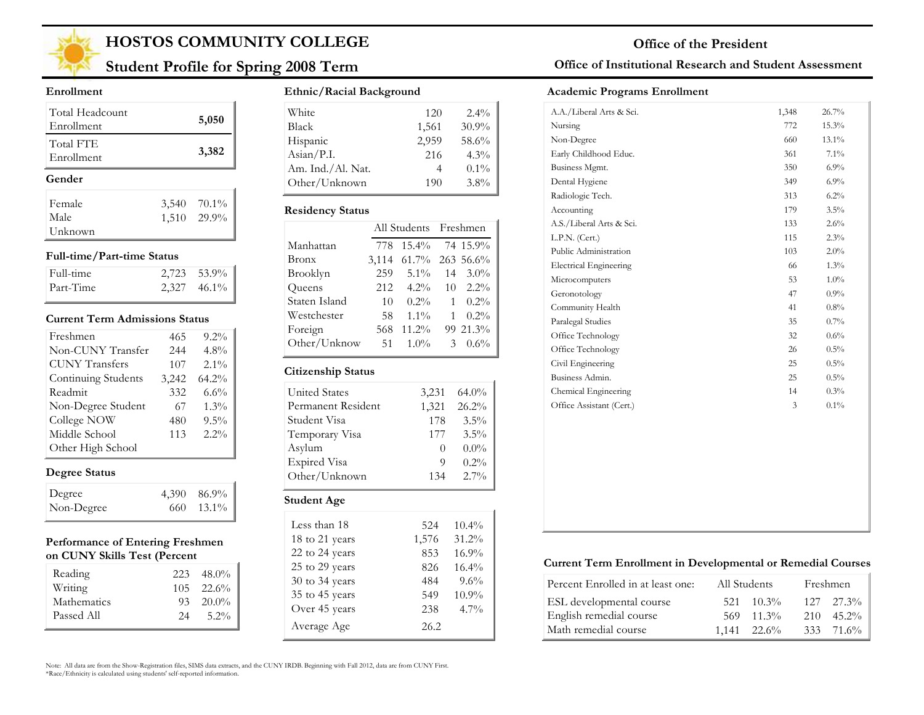

## **Student Profile for Spring 2008 Term**

#### **Enrollment**

| Total Headcount<br>Enrollment | 5,050       |
|-------------------------------|-------------|
| Total FTE<br>Enrollment       | 3,382       |
| Gender                        |             |
| Female                        | 3,540 70.1% |
| Male                          | 1,510 29.9% |
| Unknown                       |             |

#### **Full-time/Part-time Status**

| Full-time | $2,723$ 53.9% |
|-----------|---------------|
| Part-Time | $2,327$ 46.1% |

#### **Current Term Admissions Status**

| Freshmen              | 465   | $9.2\%$ |
|-----------------------|-------|---------|
| Non-CUNY Transfer     | 244   | 4.8%    |
| <b>CUNY Transfers</b> | 107   | $2.1\%$ |
| Continuing Students   | 3,242 | 64.2%   |
| Readmit               | 332   | $6.6\%$ |
| Non-Degree Student    | 67    | 1.3%    |
| College NOW           | 480   | 9.5%    |
| Middle School         | 113   | $2.2\%$ |
| Other High School     |       |         |

### **Degree Status**

| Degree     | 4,390 86.9% |
|------------|-------------|
| Non-Degree | 660 13.1%   |

#### **Performance of Entering Freshmen on CUNY Skills Test (Percent**

| Reading     | 223 | 48.0%              |
|-------------|-----|--------------------|
| Writing     |     | $105 \quad 22.6\%$ |
| Mathematics |     | $93 \quad 20.0\%$  |
| Passed All  | 24  | $5.2\%$            |

#### **Ethnic/Racial Background**

| White                        | 120   | $2.4\%$ |
|------------------------------|-------|---------|
| <b>Black</b>                 | 1,561 | 30.9%   |
| Hispanic                     | 2,959 | 58.6%   |
| $\text{Asian} / \text{P.I.}$ | 216   | $4.3\%$ |
| Am. Ind./Al. Nat.            |       | $0.1\%$ |
| Other/Unknown                | 190   | $3.8\%$ |

#### **Residency Status**

|               | All Students Freshmen |                    |              |                  |
|---------------|-----------------------|--------------------|--------------|------------------|
| Manhattan     | 778                   | 15.4% 74 15.9%     |              |                  |
| Bronx         | 3,114                 | $61.7\%$ 263 56.6% |              |                  |
| Brooklyn      | 259                   | $5.1\%$            |              | $14 \quad 3.0\%$ |
| Queens        | 212                   | $4.2\%$            | 10           | $2.2\%$          |
| Staten Island | 10                    | $0.2\%$            | 1            | $0.2\%$          |
| Westchester   | 58                    | $1.1\%$            | $\mathbf{1}$ | $0.2\%$          |
| Foreign       | 568                   | $11.2\%$           |              | 99 21.3%         |
| Other/Unknow  | 51                    | $1.0\%$            | 3            | $0.6\%$          |

#### **Citizenship Status**

| <b>United States</b> | 3,231    | 64.0%   |
|----------------------|----------|---------|
| Permanent Resident   | 1,321    | 26.2%   |
| Student Visa         | 178      | $3.5\%$ |
| Temporary Visa       | 177      | $3.5\%$ |
| Asylum               | $\theta$ | $0.0\%$ |
| <b>Expired Visa</b>  | 9        | 0.2%    |
| Other/Unknown        | 134      | $2.7\%$ |
| <b>Student Age</b>   |          |         |

| Less than 18   | 524   | $10.4\%$ |
|----------------|-------|----------|
| 18 to 21 years | 1,576 | 31.2%    |
| 22 to 24 years | 853   | 16.9%    |
| 25 to 29 years | 826   | 16.4%    |
| 30 to 34 years | 484   | 9.6%     |
| 35 to 45 years | 549   | $10.9\%$ |
| Over 45 years  | 238   | $4.7\%$  |
| Average Age    | 26.2  |          |

### **Office of Institutional Research and Student Assessment**

#### **Academic Programs Enrollment**

| A.A./Liberal Arts & Sci.      | 1,348 | 26.7%   |
|-------------------------------|-------|---------|
| Nursing                       | 772   | 15.3%   |
| Non-Degree                    | 660   | 13.1%   |
| Early Childhood Educ.         | 361   | 7.1%    |
| Business Mgmt.                | 350   | 6.9%    |
| Dental Hygiene                | 349   | 6.9%    |
| Radiologic Tech.              | 313   | 6.2%    |
| Accounting                    | 179   | 3.5%    |
| A.S./Liberal Arts & Sci.      | 133   | 2.6%    |
| L.P.N. (Cert.)                | 115   | 2.3%    |
| Public Administration         | 103   | 2.0%    |
| <b>Electrical Engineering</b> | 66    | 1.3%    |
| Microcomputers                | 53    | $1.0\%$ |
| Geronotology                  | 47    | 0.9%    |
| Community Health              | 41    | 0.8%    |
| Paralegal Studies             | 35    | 0.7%    |
| Office Technology             | 32    | $0.6\%$ |
| Office Technology             | 26    | 0.5%    |
| Civil Engineering             | 25    | $0.5\%$ |
| Business Admin.               | 25    | 0.5%    |
| Chemical Engineering          | 14    | 0.3%    |
| Office Assistant (Cert.)      | 3     | $0.1\%$ |
|                               |       |         |
|                               |       |         |
|                               |       |         |
|                               |       |         |
|                               |       |         |
|                               |       |         |
|                               |       |         |
|                               |       |         |

#### **Current Term Enrollment in Developmental or Remedial Courses**

| Percent Enrolled in at least one: | All Students         |     | Freshmen           |
|-----------------------------------|----------------------|-----|--------------------|
| ESL developmental course          | $10.3\%$<br>521      |     | $127 - 27.3\%$     |
| English remedial course           | $-11.3\%$<br>569.    | 210 | $45.2\%$           |
| Math remedial course              | $1.141 \quad 22.6\%$ |     | $333 \quad 71.6\%$ |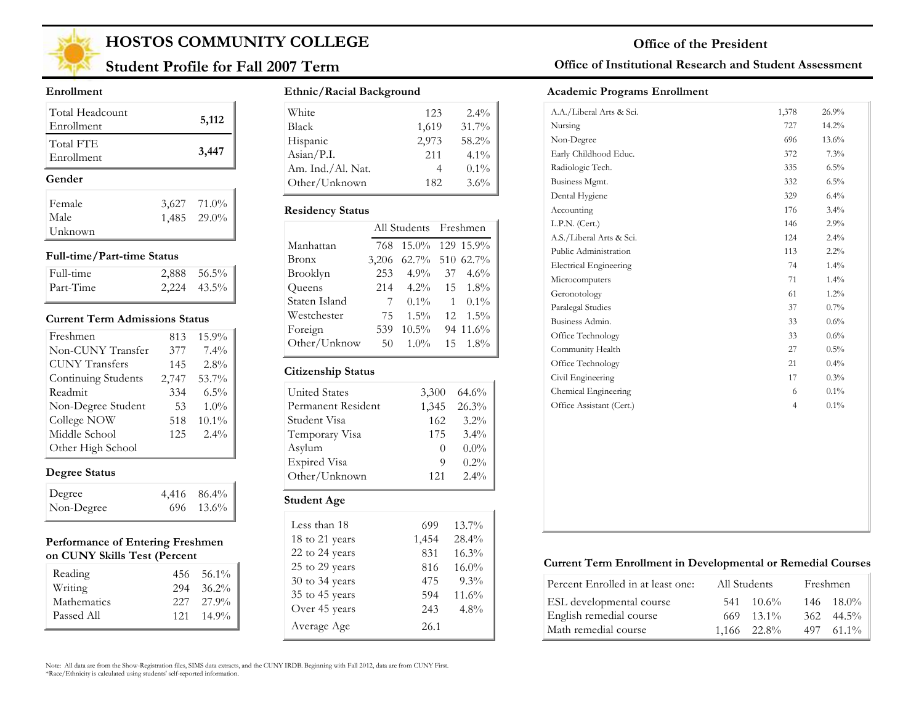

## **Student Profile for Fall 2007 Term**

#### **Enrollment**

| Total Headcount<br>Enrollment | 5,112       |
|-------------------------------|-------------|
| Total FTE<br>Enrollment       | 3,447       |
| Gender                        |             |
|                               |             |
| Female                        | 3,627 71.0% |
| Male                          | 1,485 29.0% |

#### **Full-time/Part-time Status**

| Full-time | $2,888$ 56.5%    |
|-----------|------------------|
| Part-Time | $2,224$ $43.5\%$ |

#### **Current Term Admissions Status**

| Freshmen              | 813   | 15.9%    |
|-----------------------|-------|----------|
| Non-CUNY Transfer     | 377   | $7.4\%$  |
| <b>CUNY Transfers</b> | 145   | 2.8%     |
| Continuing Students   | 2,747 | 53.7%    |
| Readmit               | 334   | $6.5\%$  |
| Non-Degree Student    | 53    | $1.0\%$  |
| College NOW           | 518   | $10.1\%$ |
| Middle School         | 125   | $2.4\%$  |
| Other High School     |       |          |

### **Degree Status**

| Degree     | $4,416$ $86.4\%$ |
|------------|------------------|
| Non-Degree | 696 13.6%        |

#### **Performance of Entering Freshmen on CUNY Skills Test (Percent**

| Reading     |     | $456 \quad 56.1\%$ |
|-------------|-----|--------------------|
| Writing     | 294 | $36.2\%$           |
| Mathematics |     | $227 - 27.9\%$     |
| Passed All  |     | $121 \quad 14.9\%$ |

#### **Ethnic/Racial Background**

| White                        | 123   | $2.4\%$ |
|------------------------------|-------|---------|
| <b>Black</b>                 | 1,619 | 31.7%   |
| Hispanic                     | 2,973 | 58.2%   |
| $\text{Asian} / \text{P.I.}$ | 2.11  | $4.1\%$ |
| Am. Ind./Al. Nat.            |       | $0.1\%$ |
| Other/Unknown                | 182   | 3.6%    |

#### **Residency Status**

| 768   |          |    | 129 15.9%                                                       |
|-------|----------|----|-----------------------------------------------------------------|
| 3,206 |          |    |                                                                 |
| 253   |          |    | $37 \quad 4.6\%$                                                |
| 214   | $4.2\%$  |    | 15 1.8%                                                         |
| 7     | $0.1\%$  | 1  | $0.1\%$                                                         |
| 75    | $1.5\%$  | 12 | $1.5\%$                                                         |
| 539   | $10.5\%$ |    | 94 11.6%                                                        |
| 50    | $1.0\%$  |    | 15 1.8%                                                         |
|       |          |    | All Students Freshmen<br>$15.0\%$<br>62.7% 510 62.7%<br>$4.9\%$ |

#### **Citizenship Status**

| <b>United States</b> | 3,300    | 64.6%   |
|----------------------|----------|---------|
| Permanent Resident   | 1,345    | 26.3%   |
| Student Visa         | 162      | $3.2\%$ |
| Temporary Visa       | 175      | $3.4\%$ |
| Asylum               | $\theta$ | $0.0\%$ |
| <b>Expired Visa</b>  | 9        | $0.2\%$ |
| Other/Unknown        | 121      | $2.4\%$ |
| Student Age          |          |         |

| Less than 18   | 699   | 13.7%    |
|----------------|-------|----------|
| 18 to 21 years | 1,454 | 28.4%    |
| 22 to 24 years | 831   | 16.3%    |
| 25 to 29 years | 816   | $16.0\%$ |
| 30 to 34 years | 475   | $9.3\%$  |
| 35 to 45 years | 594   | 11.6%    |
| Over 45 years  | 243   | $4.8\%$  |
| Average Age    | 26.1  |          |

### **Office of Institutional Research and Student Assessment**

#### **Academic Programs Enrollment**

| A.A./Liberal Arts & Sci.      | 1,378          | 26.9%    |
|-------------------------------|----------------|----------|
| Nursing                       | 727            | $14.2\%$ |
| Non-Degree                    | 696            | $13.6\%$ |
| Early Childhood Educ.         | 372            | 7.3%     |
| Radiologic Tech.              | 335            | 6.5%     |
| Business Mgmt.                | 332            | 6.5%     |
| Dental Hygiene                | 329            | 6.4%     |
| Accounting                    | 176            | $3.4\%$  |
| L.P.N. (Cert.)                | 146            | 2.9%     |
| A.S./Liberal Arts & Sci.      | 124            | 2.4%     |
| Public Administration         | 113            | 2.2%     |
| <b>Electrical Engineering</b> | 74             | $1.4\%$  |
| Microcomputers                | 71             | 1.4%     |
| Geronotology                  | 61             | $1.2\%$  |
| Paralegal Studies             | 37             | 0.7%     |
| Business Admin.               | 33             | 0.6%     |
| Office Technology             | 33             | $0.6\%$  |
| Community Health              | 27             | $0.5\%$  |
| Office Technology             | 21             | 0.4%     |
| Civil Engineering             | 17             | 0.3%     |
| Chemical Engineering          | 6              | $0.1\%$  |
| Office Assistant (Cert.)      | $\overline{4}$ | $0.1\%$  |
|                               |                |          |
|                               |                |          |
|                               |                |          |
|                               |                |          |
|                               |                |          |
|                               |                |          |
|                               |                |          |
|                               |                |          |

#### **Current Term Enrollment in Developmental or Remedial Courses**

| Percent Enrolled in at least one: | All Students |                    | Freshmen           |
|-----------------------------------|--------------|--------------------|--------------------|
| ESL developmental course          |              | $541 \quad 10.6\%$ | $146 - 18.0\%$     |
| English remedial course           |              | $669$ 13.1%        | $362 \quad 44.5\%$ |
| Math remedial course              |              | 1.166 22.8%        | 497 61.1%          |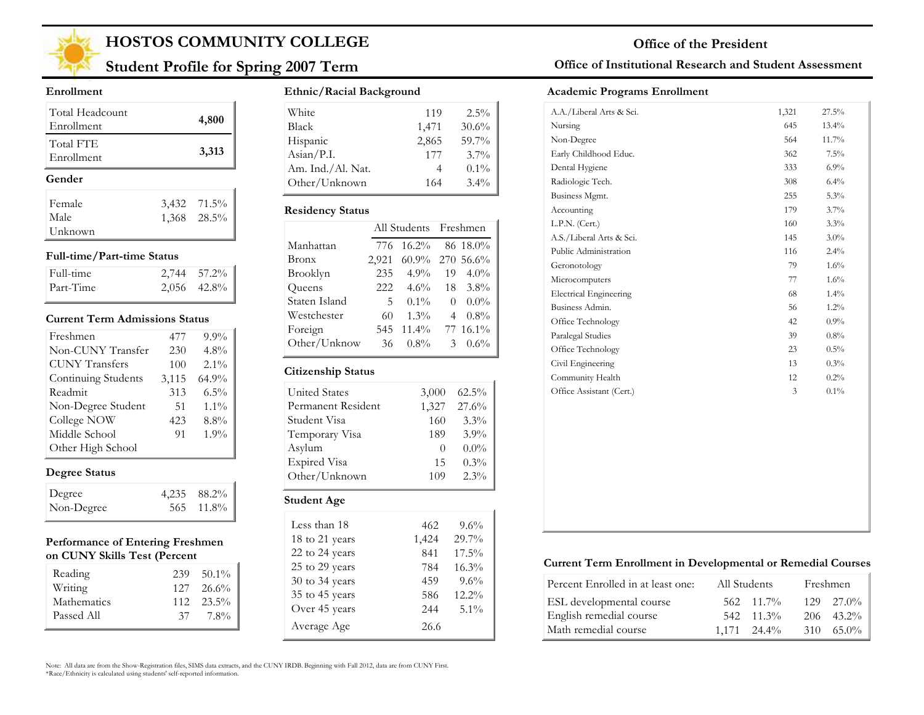

## **Student Profile for Spring 2007 Term**

#### **Enrollment**

| Total Headcount<br>Enrollment | 4,800       |
|-------------------------------|-------------|
| Total FTE<br>Enrollment       | 3,313       |
| Gender                        |             |
| Female                        | 3,432 71.5% |
| Male                          | 1,368 28.5% |
| Unknown                       |             |

#### **Full-time/Part-time Status**

| Full-time | $2,744$ 57.2% |
|-----------|---------------|
| Part-Time | $2,056$ 42.8% |

#### **Current Term Admissions Status**

| Freshmen              | 477   | $9.9\%$ |
|-----------------------|-------|---------|
| Non-CUNY Transfer     | 230   | $4.8\%$ |
| <b>CUNY Transfers</b> | 100   | $2.1\%$ |
| Continuing Students   | 3,115 | 64.9%   |
| Readmit               | 313   | $6.5\%$ |
| Non-Degree Student    | 51    | $1.1\%$ |
| College NOW           | 423   | $8.8\%$ |
| Middle School         | 91    | 1.9%    |
| Other High School     |       |         |

### **Degree Status**

| Degree     | 4,235 88.2% |
|------------|-------------|
| Non-Degree | 565 11.8%   |

#### **Performance of Entering Freshmen on CUNY Skills Test (Percent**

| Reading     | 239 | $50.1\%$           |
|-------------|-----|--------------------|
| Writing     |     | $127 \quad 26.6\%$ |
| Mathematics |     | $112 \quad 23.5\%$ |
| Passed All  | 37. | 7.8%               |

#### **Ethnic/Racial Background**

| White             | 119   | $2.5\%$ |
|-------------------|-------|---------|
| <b>Black</b>      | 1,471 | 30.6%   |
| Hispanic          | 2,865 | 59.7%   |
| Asian/P.I.        | 177   | $3.7\%$ |
| Am. Ind./Al. Nat. |       | $0.1\%$ |
| Other/Unknown     | 164   | $3.4\%$ |

#### **Residency Status**

|               | All Students Freshmen |                 |               |          |
|---------------|-----------------------|-----------------|---------------|----------|
| Manhattan     | 776                   | $16.2\%$        |               | 86 18.0% |
| Bronx         | 2,921                 | 60.9% 270 56.6% |               |          |
| Brooklyn      | 235                   | $4.9\%$         | 19            | $4.0\%$  |
| Queens        | 222.                  | $4.6\%$         |               | 18 3.8%  |
| Staten Island | 5                     | $0.1\%$         | $\theta$      | $0.0\%$  |
| Westchester   | 60                    | $1.3\%$         | 4             | $0.8\%$  |
| Foreign       | 545                   | $11.4\%$        |               | 77 16.1% |
| Other/Unknow  | 36                    | $0.8\%$         | $\mathcal{Z}$ | $0.6\%$  |
|               |                       |                 |               |          |

#### **Citizenship Status**

| <b>United States</b> | 3,000    | $62.5\%$ |
|----------------------|----------|----------|
| Permanent Resident   | 1,327    | 27.6%    |
| Student Visa         | 160      | 3.3%     |
| Temporary Visa       | 189      | $3.9\%$  |
| Asylum               | $\theta$ | $0.0\%$  |
| <b>Expired Visa</b>  | 15       | $0.3\%$  |
| Other/Unknown        | 109      | $2.3\%$  |
| <b>Student Age</b>   |          |          |

| Less than 18   | 462   | $9.6\%$  |
|----------------|-------|----------|
| 18 to 21 years | 1,424 | 29.7%    |
| 22 to 24 years | 841   | $17.5\%$ |
| 25 to 29 years | 784   | 16.3%    |
| 30 to 34 years | 459   | $9.6\%$  |
| 35 to 45 years | 586   | $12.2\%$ |
| Over 45 years  | 2.44  | $5.1\%$  |
| Average Age    | 26.6  |          |

### **Office of Institutional Research and Student Assessment**

#### **Academic Programs Enrollment**

| A.A./Liberal Arts & Sci.      | 1,321 | 27.5%    |
|-------------------------------|-------|----------|
| Nursing                       | 645   | $13.4\%$ |
| Non-Degree                    | 564   | 11.7%    |
| Early Childhood Educ.         | 362   | $7.5\%$  |
| Dental Hygiene                | 333   | $6.9\%$  |
| Radiologic Tech.              | 308   | 6.4%     |
| Business Mgmt.                | 255   | 5.3%     |
| Accounting                    | 179   | 3.7%     |
| L.P.N. (Cert.)                | 160   | 3.3%     |
| A.S./Liberal Arts & Sci.      | 145   | $3.0\%$  |
| Public Administration         | 116   | 2.4%     |
| Geronotology                  | 79    | 1.6%     |
| Microcomputers                | 77    | 1.6%     |
| <b>Electrical Engineering</b> | 68    | 1.4%     |
| Business Admin.               | 56    | $1.2\%$  |
| Office Technology             | 42    | 0.9%     |
| Paralegal Studies             | 39    | 0.8%     |
| Office Technology             | 23    | $0.5\%$  |
| Civil Engineering             | 13    | 0.3%     |
| Community Health              | 12    | 0.2%     |
| Office Assistant (Cert.)      | 3     | $0.1\%$  |
|                               |       |          |

### **Current Term Enrollment in Developmental or Remedial Courses**

| Percent Enrolled in at least one: | All Students         | Freshmen           |
|-----------------------------------|----------------------|--------------------|
| ESL developmental course          | $562 \quad 11.7\%$   | $129 \quad 27.0\%$ |
| English remedial course           | $542 \quad 11.3\%$   | $206 - 43.2\%$     |
| Math remedial course              | $1.171 \quad 24.4\%$ | $310\quad 65.0\%$  |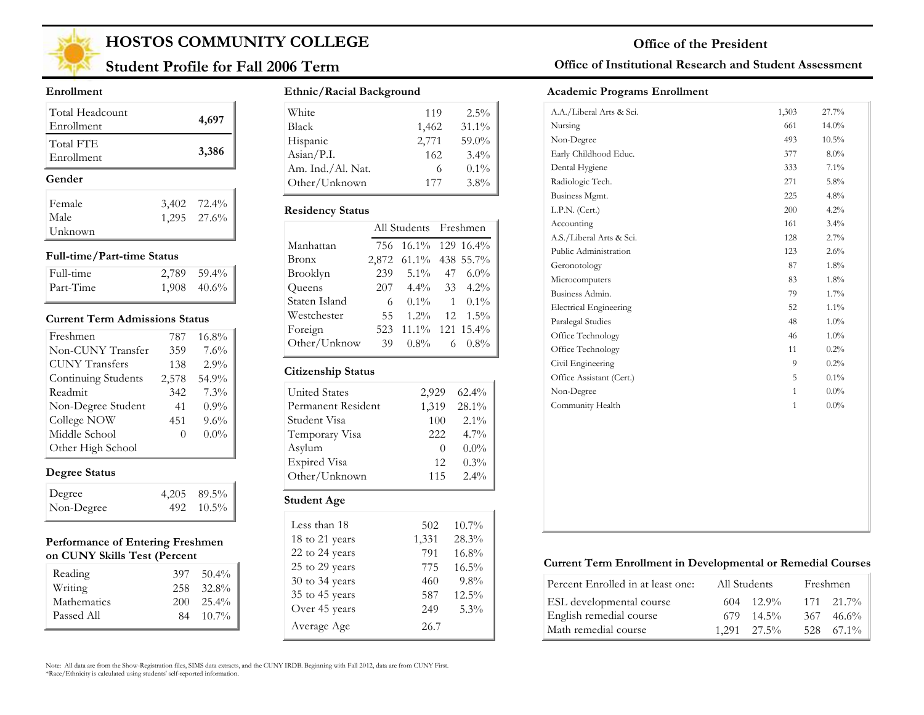

## **Student Profile for Fall 2006 Term**

#### **Enrollment**

| Total Headcount<br>Enrollment | 4,697                      |
|-------------------------------|----------------------------|
| Total FTE<br>Enrollment       | 3,386                      |
|                               |                            |
| Gender                        |                            |
| Female                        |                            |
| Male                          | 3,402 72.4%<br>1,295 27.6% |

#### **Full-time/Part-time Status**

| Full-time | $2.789$ 59.4% |
|-----------|---------------|
| Part-Time | $1,908$ 40.6% |

#### **Current Term Admissions Status**

| Freshmen              | 787   | 16.8%   |
|-----------------------|-------|---------|
| Non-CUNY Transfer     | 359   | 7.6%    |
| <b>CUNY Transfers</b> | 138   | 2.9%    |
| Continuing Students   | 2,578 | 54.9%   |
| Readmit               | 342   | 7.3%    |
| Non-Degree Student    | 41    | $0.9\%$ |
| College NOW           | 451   | 9.6%    |
| Middle School         | 0     | $0.0\%$ |
| Other High School     |       |         |

### **Degree Status**

| Degree     | $4,205$ $89.5\%$ |
|------------|------------------|
| Non-Degree | 492 10.5%        |

#### **Performance of Entering Freshmen on CUNY Skills Test (Percent**

| Reading<br>Writing | 397<br>258 | $50.4\%$<br>32.8% |
|--------------------|------------|-------------------|
| Mathematics        | 200        | $25.4\%$          |
| Passed All         | 84         | $10.7\%$          |

#### **Ethnic/Racial Background**

| White                        | 119   | $2.5\%$ |
|------------------------------|-------|---------|
| <b>Black</b>                 | 1,462 | 31.1%   |
| Hispanic                     | 2,771 | 59.0%   |
| $\text{Asian} / \text{P.I.}$ | 162   | $3.4\%$ |
| Am. Ind./Al. Nat.            |       | $0.1\%$ |
| Other/Unknown                | 177   | 3.8%    |

#### **Residency Status**

|               | All Students Freshmen |                       |   |                    |
|---------------|-----------------------|-----------------------|---|--------------------|
| Manhattan     | 756                   | $16.1\%$ 129 16.4%    |   |                    |
| Bronx         |                       | 2,872 61.1% 438 55.7% |   |                    |
| Brooklyn      | 239                   | $5.1\%$               |   | 47 $6.0\%$         |
| Queens        | 207                   |                       |   | $4.4\%$ 33 $4.2\%$ |
| Staten Island | 6                     | $0.1\%$               |   | $1 \quad 0.1\%$    |
| Westchester   | 55                    | $1.2\%$               |   | $12 \quad 1.5\%$   |
| Foreign       | 523                   | 11.1% 121 15.4%       |   |                    |
| Other/Unknow  | 39                    | $0.8\%$               | 6 | $0.8\%$            |
|               |                       |                       |   |                    |

### **Citizenship Status**

| <b>United States</b> |          |          |
|----------------------|----------|----------|
|                      | 2,929    | $62.4\%$ |
| Permanent Resident   | 1,319    | 28.1%    |
| Student Visa         | 100      | $2.1\%$  |
| Temporary Visa       | 222      | $4.7\%$  |
| Asylum               | $\Omega$ | $0.0\%$  |
| <b>Expired Visa</b>  | 12       | 0.3%     |
| Other/Unknown        | 115      | $2.4\%$  |
| Student Age          |          |          |

| Less than 18       | 502   | $10.7\%$ |
|--------------------|-------|----------|
| 18 to 21 years     | 1,331 | 28.3%    |
| 22 to 24 years     | 791   | 16.8%    |
| 25 to 29 years     | 775   | $16.5\%$ |
| $30$ to $34$ years | 460   | $9.8\%$  |
| 35 to 45 years     | 587   | $12.5\%$ |
| Over 45 years      | 249   | 5.3%     |
| Average Age        | 26.7  |          |

### **Office of Institutional Research and Student Assessment**

#### **Academic Programs Enrollment**

| 661<br>493<br>377<br>333 | $14.0\%$<br>$10.5\%$<br>$8.0\%$ |
|--------------------------|---------------------------------|
|                          |                                 |
|                          |                                 |
|                          |                                 |
|                          | 7.1%                            |
| 271                      | 5.8%                            |
| 225                      | 4.8%                            |
| 200                      | 4.2%                            |
| 161                      | 3.4%                            |
| 128                      | 2.7%                            |
| 123                      | 2.6%                            |
| 87                       | 1.8%                            |
| 83                       | 1.8%                            |
| 79                       | 1.7%                            |
| 52                       | $1.1\%$                         |
| 48                       | 1.0%                            |
| 46                       | $1.0\%$                         |
| 11                       | 0.2%                            |
| 9                        | 0.2%                            |
| 5                        | $0.1\%$                         |
| $\mathbf{1}$             | $0.0\%$                         |
| $\mathbf{1}$             | $0.0\%$                         |
|                          |                                 |
|                          |                                 |
|                          |                                 |
|                          |                                 |
|                          |                                 |
|                          |                                 |
|                          |                                 |
|                          |                                 |
|                          |                                 |

#### **Current Term Enrollment in Developmental or Remedial Courses**

| Percent Enrolled in at least one: | All Students         | Freshmen           |
|-----------------------------------|----------------------|--------------------|
| ESL developmental course          | $12.9\%$<br>604      | $171 \quad 21.7\%$ |
| English remedial course           | $14.5\%$<br>679.     | $367 \quad 46.6\%$ |
| Math remedial course              | $1.291 \quad 27.5\%$ | 528 67.1%          |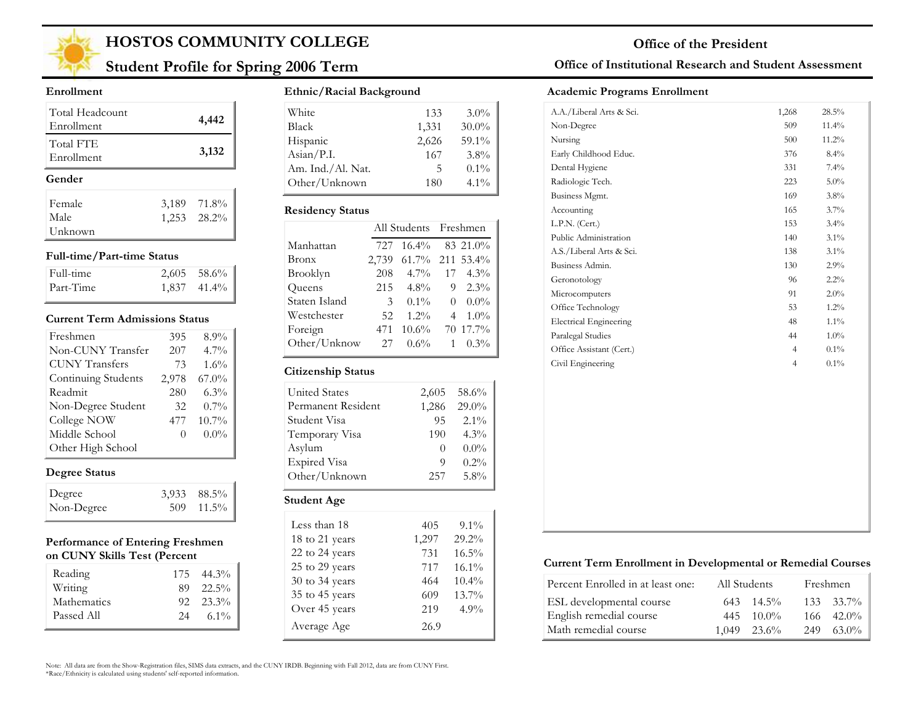

## **Student Profile for Spring 2006 Term**

#### **Enrollment**

| Total Headcount<br>Enrollment | 4,442       |
|-------------------------------|-------------|
| Total FTE<br>Enrollment       | 3,132       |
|                               |             |
| Gender                        |             |
| Female                        | 3,189 71.8% |
| Male                          | 1,253 28.2% |

#### **Full-time/Part-time Status**

| Full-time | $2,605$ 58.6% |
|-----------|---------------|
| Part-Time | 1,837 41.4%   |

#### **Current Term Admissions Status**

| Freshmen              | 395      | 8.9%     |
|-----------------------|----------|----------|
| Non-CUNY Transfer     | 207      | $4.7\%$  |
| <b>CUNY Transfers</b> | 73       | $1.6\%$  |
| Continuing Students   | 2,978    | $67.0\%$ |
| Readmit               | 280      | $6.3\%$  |
| Non-Degree Student    | 32       | $0.7\%$  |
| College NOW           | 477      | 10.7%    |
| Middle School         | $\Omega$ | $0.0\%$  |
| Other High School     |          |          |

### **Degree Status**

| Degree     | 3,933 88.5% |
|------------|-------------|
| Non-Degree | 509 11.5%   |

#### **Performance of Entering Freshmen on CUNY Skills Test (Percent**

| Reading     |    | $175 \quad 44.3\%$ |
|-------------|----|--------------------|
| Writing     |    | 89 22.5%           |
| Mathematics |    | $92 \quad 23.3\%$  |
| Passed All  | 24 | $6.1\%$            |

#### **Ethnic/Racial Background**

| White                        | 133   | $3.0\%$  |
|------------------------------|-------|----------|
| <b>Black</b>                 | 1,331 | $30.0\%$ |
| Hispanic                     | 2,626 | 59.1%    |
| $\text{Asian} / \text{P.I.}$ | 167   | $3.8\%$  |
| Am. Ind./Al. Nat.            | ר     | $0.1\%$  |
| Other/Unknown                | 180   | $4.1\%$  |

#### **Residency Status**

|               | All Students Freshmen |                    |                |                 |
|---------------|-----------------------|--------------------|----------------|-----------------|
| Manhattan     | 727                   | $16.4\%$ 83 21.0%  |                |                 |
| Bronx         | 2,739                 | $61.7\%$ 211 53.4% |                |                 |
| Brooklyn      | 208                   | $4.7\%$            | 17             | $4.3\%$         |
| Queens        | 215                   | $4.8\%$            |                | $9 \quad 2.3\%$ |
| Staten Island | 3                     | $0.1\%$            | $\Omega$       | $0.0\%$         |
| Westchester   | 52                    | $1.2\%$            | $\overline{4}$ | $1.0\%$         |
| Foreign       | 471                   | $10.6\%$           |                | 70 17.7%        |
| Other/Unknow  | 27                    | $0.6\%$            | $\mathbf{1}$   | $0.3\%$         |

#### **Citizenship Status**

| <b>United States</b> | 2,605    | 58.6%    |
|----------------------|----------|----------|
| Permanent Resident   | 1,286    | $29.0\%$ |
| Student Visa         | 95       | $2.1\%$  |
| Temporary Visa       | 190      | $4.3\%$  |
| Asylum               | $\theta$ | $0.0\%$  |
| Expired Visa         | 9        | $0.2\%$  |
| Other/Unknown        | 257      | $5.8\%$  |
| <b>Student Age</b>   |          |          |
| Less than 18         |          | $9.1\%$  |

| тсээ ишиг то   | T(1,1) | 2.IZU    |
|----------------|--------|----------|
| 18 to 21 years | 1,297  | 29.2%    |
| 22 to 24 years | 731    | 16.5%    |
| 25 to 29 years | 717    | 16.1%    |
| 30 to 34 years | 464    | $10.4\%$ |
| 35 to 45 years | 609    | 13.7%    |
| Over 45 years  | 219    | 4.9%     |
| Average Age    | 26.9   |          |

### **Office of Institutional Research and Student Assessment**

#### **Academic Programs Enrollment**

| A.A./Liberal Arts & Sci.      | 1,268          | 28.5%   |
|-------------------------------|----------------|---------|
| Non-Degree                    | 509            | 11.4%   |
| Nursing                       | 500            | 11.2%   |
| Early Childhood Educ.         | 376            | 8.4%    |
| Dental Hygiene                | 331            | 7.4%    |
| Radiologic Tech.              | 223            | $5.0\%$ |
| Business Mgmt.                | 169            | 3.8%    |
| Accounting                    | 165            | $3.7\%$ |
| L.P.N. (Cert.)                | 153            | 3.4%    |
| Public Administration         | 140            | $3.1\%$ |
| A.S./Liberal Arts & Sci.      | 138            | $3.1\%$ |
| Business Admin.               | 130            | 2.9%    |
| Geronotology                  | 96             | 2.2%    |
| Microcomputers                | 91             | 2.0%    |
| Office Technology             | 53             | $1.2\%$ |
| <b>Electrical Engineering</b> | 48             | $1.1\%$ |
| Paralegal Studies             | 44             | $1.0\%$ |
| Office Assistant (Cert.)      | $\overline{4}$ | $0.1\%$ |
| Civil Engineering             | $\overline{4}$ | $0.1\%$ |
|                               |                |         |
|                               |                |         |
|                               |                |         |
|                               |                |         |
|                               |                |         |
|                               |                |         |
|                               |                |         |
|                               |                |         |
|                               |                |         |
|                               |                |         |
|                               |                |         |

#### **Current Term Enrollment in Developmental or Remedial Courses**

| Percent Enrolled in at least one: | All Students |                    | Freshmen |                    |
|-----------------------------------|--------------|--------------------|----------|--------------------|
| ESL developmental course          |              | $643 \quad 14.5\%$ |          | $133 \quad 33.7\%$ |
| English remedial course           |              | $445 \quad 10.0\%$ |          | $166 - 42.0\%$     |
| Math remedial course              |              | $1.049$ $23.6\%$   | 249      | $63.0\%$           |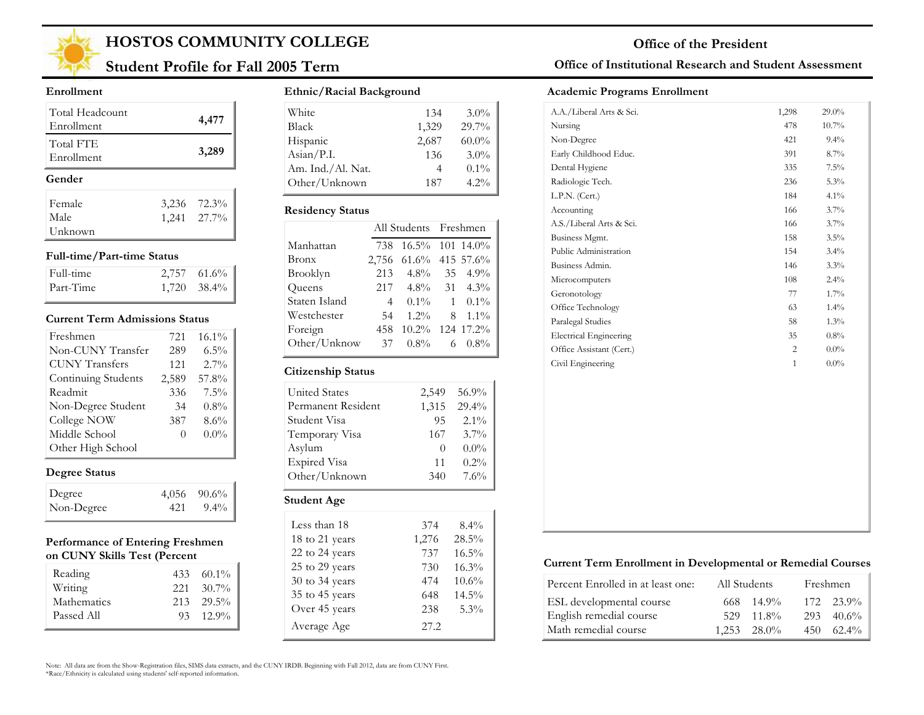

## **Student Profile for Fall 2005 Term**

#### **Enrollment**

| Total Headcount<br>Enrollment | 4,477         |
|-------------------------------|---------------|
| Total FTE<br>Enrollment       | 3,289         |
|                               |               |
| Gender                        |               |
| Female                        | 3,236 72.3%   |
| Male                          | $1,241$ 27.7% |

#### **Full-time/Part-time Status**

| Full-time | $2,757$ 61.6%    |
|-----------|------------------|
| Part-Time | $1,720$ $38.4\%$ |

#### **Current Term Admissions Status**

| Freshmen              | 721   | 16.1%   |
|-----------------------|-------|---------|
| Non-CUNY Transfer     | 289   | $6.5\%$ |
| <b>CUNY Transfers</b> | 121   | $2.7\%$ |
| Continuing Students   | 2,589 | 57.8%   |
| Readmit               | 336   | $7.5\%$ |
| Non-Degree Student    | 34    | $0.8\%$ |
| College NOW           | 387   | 8.6%    |
| Middle School         | 0     | $0.0\%$ |
| Other High School     |       |         |

### **Degree Status**

| Degree     | $4,056$ $90.6\%$  |
|------------|-------------------|
| Non-Degree | $421 \quad 9.4\%$ |

#### **Performance of Entering Freshmen on CUNY Skills Test (Percent**

| Reading     |      | $433\quad 60.1\%$ |
|-------------|------|-------------------|
| Writing     | 22.1 | $30.7\%$          |
| Mathematics |      | $213$ $29.5\%$    |
| Passed All  |      | $93 \quad 12.9\%$ |
|             |      |                   |

#### **Ethnic/Racial Background**

| White             | 134   | $3.0\%$  |
|-------------------|-------|----------|
| <b>Black</b>      | 1,329 | 29.7%    |
| Hispanic          | 2,687 | $60.0\%$ |
| Asian/P.I.        | 136   | $3.0\%$  |
| Am. Ind./Al. Nat. |       | $0.1\%$  |
| Other/Unknown     | 187   | $4.2\%$  |

#### **Residency Status**

|               |                | All Students Freshmen |   |                    |
|---------------|----------------|-----------------------|---|--------------------|
| Manhattan     | 738            | 16.5% 101 14.0%       |   |                    |
| Bronx         |                | 2,756 61.6% 415 57.6% |   |                    |
| Brooklyn      | 213            | $4.8\%$               |   | $35 \quad 4.9\%$   |
| Queens        | 217            |                       |   | $4.8\%$ 31 $4.3\%$ |
| Staten Island | $\overline{4}$ | $0.1\%$               |   | $1 \quad 0.1\%$    |
| Westchester   | 54             | $1.2\%$               | 8 | $1.1\%$            |
| Foreign       | 458            | 10.2% 124 17.2%       |   |                    |
| Other/Unknow  | 37             | $0.8\%$               | 6 | $0.8\%$            |

#### **Citizenship Status**

|                      |                  | 56.9%   |
|----------------------|------------------|---------|
| <b>United States</b> | 2,549            |         |
| Permanent Resident   | 1,315            | 29.4%   |
| Student Visa         | 95               | $2.1\%$ |
| Temporary Visa       | 167              | $3.7\%$ |
| Asylum               | $\left( \right)$ | $0.0\%$ |
| <b>Expired Visa</b>  | 11               | $0.2\%$ |
| Other/Unknown        | 340              | 7.6%    |
| Student Age          |                  |         |

| Less than 18   | 374   | $8.4\%$  |
|----------------|-------|----------|
| 18 to 21 years | 1,276 | $28.5\%$ |
| 22 to 24 years | 737   | $16.5\%$ |
| 25 to 29 years | 730   | 16.3%    |
| 30 to 34 years | 474   | 10.6%    |
| 35 to 45 years | 648   | $14.5\%$ |
| Over 45 years  | 238   | 5.3%     |
| Average Age    | 27.2  |          |

#### **Office of Institutional Research and Student Assessment**

#### **Academic Programs Enrollment**

| A.A./Liberal Arts & Sci.      | 1,298        | $29.0\%$ |
|-------------------------------|--------------|----------|
| Nursing                       | 478          | $10.7\%$ |
| Non-Degree                    | 421          | $9.4\%$  |
| Early Childhood Educ.         | 391          | 8.7%     |
| Dental Hygiene                | 335          | $7.5\%$  |
| Radiologic Tech.              | 236          | 5.3%     |
| L.P.N. (Cert.)                | 184          | $4.1\%$  |
| Accounting                    | 166          | 3.7%     |
| A.S./Liberal Arts & Sci.      | 166          | 3.7%     |
| Business Mgmt.                | 158          | $3.5\%$  |
| Public Administration         | 154          | $3.4\%$  |
| Business Admin.               | 146          | 3.3%     |
| Microcomputers                | 108          | $2.4\%$  |
| Geronotology                  | 77           | $1.7\%$  |
| Office Technology             | 63           | $1.4\%$  |
| Paralegal Studies             | 58           | $1.3\%$  |
| <b>Electrical Engineering</b> | 35           | 0.8%     |
| Office Assistant (Cert.)      | 2            | $0.0\%$  |
| Civil Engineering             | $\mathbf{1}$ | $0.0\%$  |
|                               |              |          |
|                               |              |          |

#### **Current Term Enrollment in Developmental or Remedial Courses**

| Percent Enrolled in at least one: | All Students |                      | Freshmen           |
|-----------------------------------|--------------|----------------------|--------------------|
| ESL developmental course          | 668          | $14.9\%$             | $172 \quad 23.9\%$ |
| English remedial course           | 529          | $-11.8\%$            | $293 - 40.6\%$     |
| Math remedial course              |              | $1.253 \quad 28.0\%$ | $450\quad 62.4\%$  |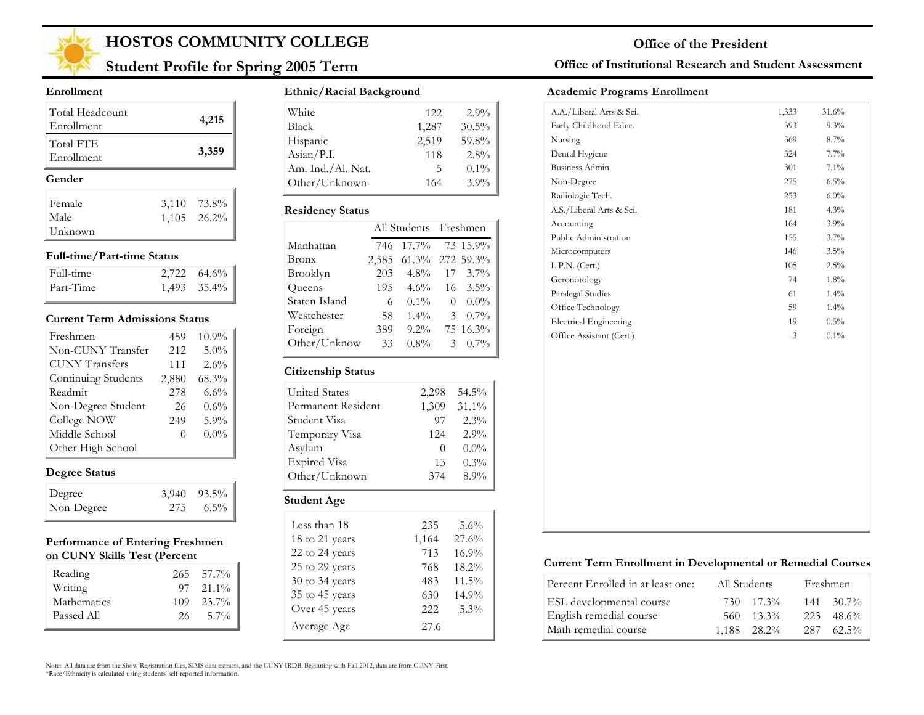

## **Student Profile for Spring 2005 Term**

#### **Enrollment**

| Total Headcount<br>Enrollment | 4,215         |
|-------------------------------|---------------|
| Total FTE<br>Enrollment       | 3,359         |
|                               |               |
| Gender                        |               |
| Female                        | 3,110 73.8%   |
| Male                          | $1,105$ 26.2% |

#### **Full-time/Part-time Status**

| Full-time | $2,722$ 64.6%    |
|-----------|------------------|
| Part-Time | $1,493$ $35.4\%$ |

#### **Current Term Admissions Status**

| Freshmen              | 459   | 10.9%   |
|-----------------------|-------|---------|
| Non-CUNY Transfer     | 212   | 5.0%    |
| <b>CUNY Transfers</b> | 111   | 2.6%    |
| Continuing Students   | 2,880 | 68.3%   |
| Readmit               | 278   | $6.6\%$ |
| Non-Degree Student    | 26    | 0.6%    |
| College NOW           | 249   | 5.9%    |
| Middle School         | 0     | $0.0\%$ |
| Other High School     |       |         |

### **Degree Status**

| Degree     | $3,940$ $93.5\%$  |
|------------|-------------------|
| Non-Degree | $275\qquad 6.5\%$ |

#### **Performance of Entering Freshmen on CUNY Skills Test (Percent**

| Reading     |     | $265 - 57.7\%$    |
|-------------|-----|-------------------|
| Writing     |     | $97 \quad 21.1\%$ |
| Mathematics | 109 | 23.7%             |
| Passed All  | 26. | $5.7\%$           |
|             |     |                   |

#### **Ethnic/Racial Background**

| White                        | 122            | $2.9\%$  |
|------------------------------|----------------|----------|
| <b>Black</b>                 | 1,287          | $30.5\%$ |
| Hispanic                     | 2,519          | 59.8%    |
| $\text{Asian} / \text{P.I.}$ | 118            | $2.8\%$  |
| Am. Ind./Al. Nat.            | $\overline{ }$ | $0.1\%$  |
| Other/Unknown                | 164            | $3.9\%$  |

#### **Residency Status**

|               | All Students Freshmen |                 |    |                  |
|---------------|-----------------------|-----------------|----|------------------|
| Manhattan     | 746                   | $17.7\%$        |    | 73 15.9%         |
| Bronx         | 2,585                 | 61.3% 272 59.3% |    |                  |
| Brooklyn      | 203                   | $4.8\%$         | 17 | $3.7\%$          |
| Queens        | 195                   | $4.6\%$         |    | $16 \quad 3.5\%$ |
| Staten Island | 6                     | $0.1\%$         | 0  | $0.0\%$          |
| Westchester   | 58                    | $1.4\%$         | 3  | $0.7\%$          |
| Foreign       | 389                   | $9.2\%$         |    | 75 16.3%         |
| Other/Unknow  | 33                    | $0.8\%$         | 3  | $0.7\%$          |
|               |                       |                 |    |                  |

#### **Citizenship Status**

| <b>United States</b> | 2,298            | 54.5%    |
|----------------------|------------------|----------|
| Permanent Resident   | 1,309            | $31.1\%$ |
| Student Visa         | 97               | 2.3%     |
| Temporary Visa       | 124              | 2.9%     |
| Asylum               | $\left( \right)$ | $0.0\%$  |
| Expired Visa         | 13               | $0.3\%$  |
| Other/Unknown        | 374              | 8.9%     |
|                      |                  |          |

### **Student Age**

| Less than 18   | 235   | 5.6%     |
|----------------|-------|----------|
| 18 to 21 years | 1,164 | 27.6%    |
| 22 to 24 years | 713   | 16.9%    |
| 25 to 29 years | 768   | 18.2%    |
| 30 to 34 years | 483   | $11.5\%$ |
| 35 to 45 years | 630   | 14.9%    |
| Over 45 years  | 222   | 5.3%     |
| Average Age    | 27.6  |          |

#### **Office of Institutional Research and Student Assessment**

#### **Academic Programs Enrollment**

| A.A./Liberal Arts & Sci.      | 1,333 | 31.6%   |
|-------------------------------|-------|---------|
| Early Childhood Educ.         | 393   | 9.3%    |
| Nursing                       | 369   | 8.7%    |
| Dental Hygiene                | 324   | 7.7%    |
| Business Admin.               | 301   | 7.1%    |
| Non-Degree                    | 275   | 6.5%    |
| Radiologic Tech.              | 253   | $6.0\%$ |
| A.S./Liberal Arts & Sci.      | 181   | 4.3%    |
| Accounting                    | 164   | 3.9%    |
| Public Administration         | 155   | $3.7\%$ |
| Microcomputers                | 146   | $3.5\%$ |
| L.P.N. (Cert.)                | 105   | 2.5%    |
| Geronotology                  | 74    | 1.8%    |
| Paralegal Studies             | 61    | 1.4%    |
| Office Technology             | 59    | $1.4\%$ |
| <b>Electrical Engineering</b> | 19    | 0.5%    |
| Office Assistant (Cert.)      | 3     | $0.1\%$ |

#### **Current Term Enrollment in Developmental or Remedial Courses**

| Percent Enrolled in at least one: | All Students |             | Freshmen           |
|-----------------------------------|--------------|-------------|--------------------|
| ESL developmental course          |              | 730 17.3%   | $141 \quad 30.7\%$ |
| English remedial course           | 560-         | $13.3\%$    | $223 \quad 48.6\%$ |
| Math remedial course              |              | 1.188 28.2% | $287 \quad 62.5\%$ |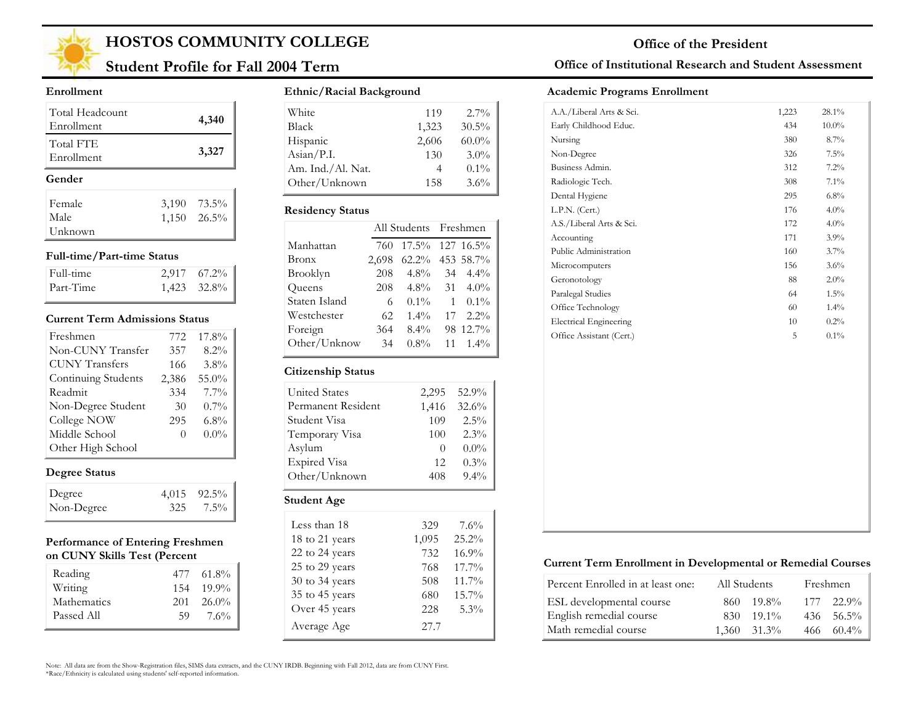

## **Student Profile for Fall 2004 Term**

#### **Enrollment**

| Total Headcount<br>Enrollment | 4,340            |
|-------------------------------|------------------|
| Total FTE<br>Enrollment       | 3,327            |
| Gender                        |                  |
| Female                        | 3,190 73.5%      |
| Male                          | $1,150$ $26.5\%$ |
| Unknown                       |                  |

#### **Full-time/Part-time Status**

| Full-time | $2,917$ $67.2\%$ |
|-----------|------------------|
| Part-Time | 1,423 32.8%      |

#### **Current Term Admissions Status**

| Freshmen              | 772   | 17.8%   |
|-----------------------|-------|---------|
| Non-CUNY Transfer     | 357   | 8.2%    |
| <b>CUNY Transfers</b> | 166   | $3.8\%$ |
| Continuing Students   | 2,386 | 55.0%   |
| Readmit               | 334   | 7.7%    |
| Non-Degree Student    | 30    | $0.7\%$ |
| College NOW           | 295   | $6.8\%$ |
| Middle School         | 0     | $0.0\%$ |
| Other High School     |       |         |

### **Degree Status**

| Degree     | $4,015$ $92.5\%$ |
|------------|------------------|
| Non-Degree | $325$ $7.5\%$    |

#### **Performance of Entering Freshmen on CUNY Skills Test (Percent**

| Reading     | 477 | $61.8\%$ |
|-------------|-----|----------|
| Writing     | 154 | $19.9\%$ |
| Mathematics | 201 | $26.0\%$ |
| Passed All  | 59  | $7.6\%$  |

### **Ethnic/Racial Background**

| White                        | 119   | $2.7\%$  |
|------------------------------|-------|----------|
| <b>Black</b>                 | 1,323 | $30.5\%$ |
| Hispanic                     | 2,606 | $60.0\%$ |
| $\text{Asian} / \text{P.I.}$ | 130   | $3.0\%$  |
| Am. Ind./Al. Nat.            |       | $0.1\%$  |
| Other/Unknown                | 158   | 3.6%     |

#### **Residency Status**

|               |       | All Students Freshmen |              |           |
|---------------|-------|-----------------------|--------------|-----------|
| Manhattan     | 760   | $17.5\%$              |              | 127 16.5% |
| Bronx         | 2,698 | $62.2\%$              |              | 453 58.7% |
| Brooklyn      | 208   | $4.8\%$               | 34           | $4.4\%$   |
| Queens        | 208   | $4.8\%$               | 31           | $4.0\%$   |
| Staten Island | 6     | $0.1\%$               | $\mathbf{1}$ | $0.1\%$   |
| Westchester   | 62    | $1.4\%$               | 17           | $2.2\%$   |
| Foreign       | 364   | $8.4\%$               |              | 98 12.7%  |
| Other/Unknow  | 34    | $0.8\%$               | 11           | $1.4\%$   |

#### **Citizenship Status**

| <b>United States</b> | 2,295    | 52.9%   |  |
|----------------------|----------|---------|--|
| Permanent Resident   | 1,416    | 32.6%   |  |
| Student Visa         | 109      | $2.5\%$ |  |
| Temporary Visa       | 100      | 2.3%    |  |
| Asylum               | $\theta$ | $0.0\%$ |  |
| <b>Expired Visa</b>  | 12       | $0.3\%$ |  |
| Other/Unknown        | 408      | $9.4\%$ |  |
|                      |          |         |  |
| <b>Student Age</b>   |          |         |  |

| Less than 18   | 329   | 7.6%  |
|----------------|-------|-------|
| 18 to 21 years | 1,095 | 25.2% |
| 22 to 24 years | 732   | 16.9% |
| 25 to 29 years | 768   | 17.7% |
| 30 to 34 years | 508   | 11.7% |
| 35 to 45 years | 680   | 15.7% |
| Over 45 years  | 228   | 5.3%  |
| Average Age    | 27.7  |       |

### **Office of Institutional Research and Student Assessment**

#### **Academic Programs Enrollment**

| A.A./Liberal Arts & Sci.      | 1,223 | 28.1%    |
|-------------------------------|-------|----------|
| Early Childhood Educ.         | 434   | $10.0\%$ |
| Nursing                       | 380   | 8.7%     |
| Non-Degree                    | 326   | 7.5%     |
| Business Admin.               | 312   | 7.2%     |
| Radiologic Tech.              | 308   | 7.1%     |
| Dental Hygiene                | 295   | 6.8%     |
| L.P.N. (Cert.)                | 176   | $4.0\%$  |
| A.S./Liberal Arts & Sci.      | 172   | 4.0%     |
| Accounting                    | 171   | 3.9%     |
| Public Administration         | 160   | 3.7%     |
| Microcomputers                | 156   | 3.6%     |
| Geronotology                  | 88    | 2.0%     |
| Paralegal Studies             | 64    | $1.5\%$  |
| Office Technology             | 60    | 1.4%     |
| <b>Electrical Engineering</b> | 10    | 0.2%     |
| Office Assistant (Cert.)      | 5     | $0.1\%$  |

### **Current Term Enrollment in Developmental or Remedial Courses**

| Percent Enrolled in at least one: | All Students     | Freshmen           |
|-----------------------------------|------------------|--------------------|
| ESL developmental course          | $19.8\%$<br>860  | $177 \quad 22.9\%$ |
| English remedial course           | $19.1\%$<br>830. | $436 - 56.5\%$     |
| Math remedial course              | $1,360$ $31.3\%$ | $466 \quad 60.4\%$ |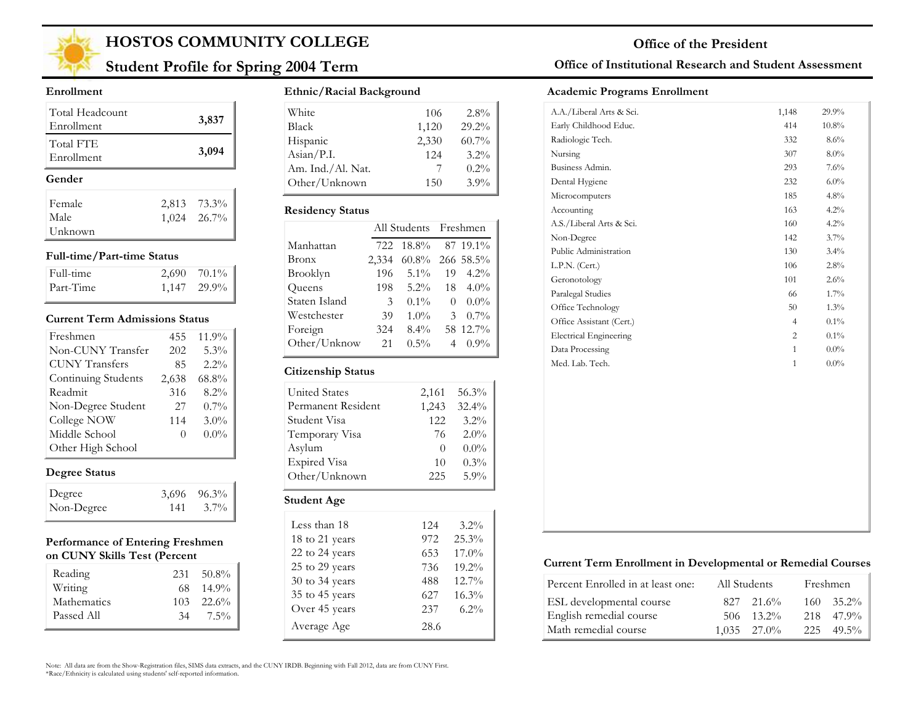

## **Student Profile for Spring 2004 Term**

#### **Enrollment**

| Total Headcount<br>Enrollment | 3,837                      |
|-------------------------------|----------------------------|
| Total FTE<br>Enrollment       | 3,094                      |
| Gender                        |                            |
|                               |                            |
| Female                        |                            |
| Male                          | 2,813 73.3%<br>1,024 26.7% |

#### **Full-time/Part-time Status**

| Full-time | $2,690$ 70.1% |
|-----------|---------------|
| Part-Time | 1,147 29.9%   |

#### **Current Term Admissions Status**

| Freshmen              | 455   | 11.9%   |
|-----------------------|-------|---------|
| Non-CUNY Transfer     | 202   | 5.3%    |
| <b>CUNY Transfers</b> | 85    | $2.2\%$ |
| Continuing Students   | 2,638 | 68.8%   |
| Readmit               | 316   | 8.2%    |
| Non-Degree Student    | 27    | $0.7\%$ |
| College NOW           | 114   | 3.0%    |
| Middle School         | 0     | $0.0\%$ |
| Other High School     |       |         |

### **Degree Status**

| Degree     |     | $3,696$ $96.3\%$ |
|------------|-----|------------------|
| Non-Degree | 141 | $3.7\%$          |

#### **Performance of Entering Freshmen on CUNY Skills Test (Percent**

| Reading     | 231  | 50.8%     |
|-------------|------|-----------|
| Writing     | 68.  | $14.9\%$  |
| Mathematics | 103. | $-22.6\%$ |
| Passed All  | 34   | 7.5%      |

### **Ethnic/Racial Background**

| White                        | 106   | $2.8\%$  |
|------------------------------|-------|----------|
| <b>Black</b>                 | 1,120 | 29.2%    |
| Hispanic                     | 2,330 | $60.7\%$ |
| $\text{Asian} / \text{P.I.}$ | 12.4  | $3.2\%$  |
| Am. Ind./Al. Nat.            |       | $0.2\%$  |
| Other/Unknown                | 150   | $3.9\%$  |

#### **Residency Status**

|               | All Students Freshmen |                 |          |          |
|---------------|-----------------------|-----------------|----------|----------|
| Manhattan     | 722                   | $18.8\%$        |          | 87 19.1% |
| Bronx         | 2,334                 | 60.8% 266 58.5% |          |          |
| Brooklyn      | 196                   | $5.1\%$         | 19       | $4.2\%$  |
| Queens        | 198                   | $5.2\%$         | 18       | $4.0\%$  |
| Staten Island | 3                     | $0.1\%$         | $\Omega$ | $0.0\%$  |
| Westchester   | 39                    | $1.0\%$         | 3        | $0.7\%$  |
| Foreign       | 324                   | $8.4\%$         |          | 58 12.7% |
| Other/Unknow  | 21                    | $0.5\%$         |          | $0.9\%$  |

#### **Citizenship Status**

| <b>United States</b> | 2,161    | 56.3%    |
|----------------------|----------|----------|
|                      |          |          |
| Permanent Resident   | 1,243    | $32.4\%$ |
| Student Visa         | 12.2.    | $3.2\%$  |
| Temporary Visa       | 76       | $2.0\%$  |
| Asylum               | $\theta$ | $0.0\%$  |
| <b>Expired Visa</b>  | 10       | 0.3%     |
| Other/Unknown        | 225      | $5.9\%$  |
| <b>Student Age</b>   |          |          |

| 124  | $3.2\%$  |
|------|----------|
| 972  | 25.3%    |
| 653  | $17.0\%$ |
| 736  | $19.2\%$ |
| 488  | $12.7\%$ |
| 627  | 16.3%    |
| 237  | $6.2\%$  |
| 28.6 |          |
|      |          |

### **Office of Institutional Research and Student Assessment**

#### **Academic Programs Enrollment**

| 414<br>332<br>307<br>293<br>232<br>185<br>163<br>160<br>142<br>130<br>106<br>101<br>66<br>50 | $10.8\%$<br>8.6%<br>$8.0\%$<br>7.6%<br>$6.0\%$<br>4.8%<br>4.2%<br>4.2%<br>3.7%<br>3.4%<br>2.8%<br>2.6%<br>1.7% |
|----------------------------------------------------------------------------------------------|----------------------------------------------------------------------------------------------------------------|
|                                                                                              |                                                                                                                |
|                                                                                              |                                                                                                                |
|                                                                                              |                                                                                                                |
|                                                                                              |                                                                                                                |
|                                                                                              |                                                                                                                |
|                                                                                              |                                                                                                                |
|                                                                                              |                                                                                                                |
|                                                                                              |                                                                                                                |
|                                                                                              |                                                                                                                |
|                                                                                              |                                                                                                                |
|                                                                                              |                                                                                                                |
|                                                                                              |                                                                                                                |
|                                                                                              |                                                                                                                |
|                                                                                              | 1.3%                                                                                                           |
| $\overline{4}$                                                                               | $0.1\%$                                                                                                        |
| $\overline{c}$                                                                               | $0.1\%$                                                                                                        |
| $\mathbf{1}$                                                                                 | $0.0\%$                                                                                                        |
| $\mathbf{1}$                                                                                 | $0.0\%$                                                                                                        |
|                                                                                              |                                                                                                                |
|                                                                                              |                                                                                                                |

#### **Current Term Enrollment in Developmental or Remedial Courses**

| Percent Enrolled in at least one: | All Students |                    | Freshmen           |
|-----------------------------------|--------------|--------------------|--------------------|
| ESL developmental course          |              | $827$ $21.6\%$     | $160 - 35.2\%$     |
| English remedial course           |              | $506 \quad 13.2\%$ | 218 47.9%          |
| Math remedial course              |              | $1.035$ $27.0\%$   | $225 \quad 49.5\%$ |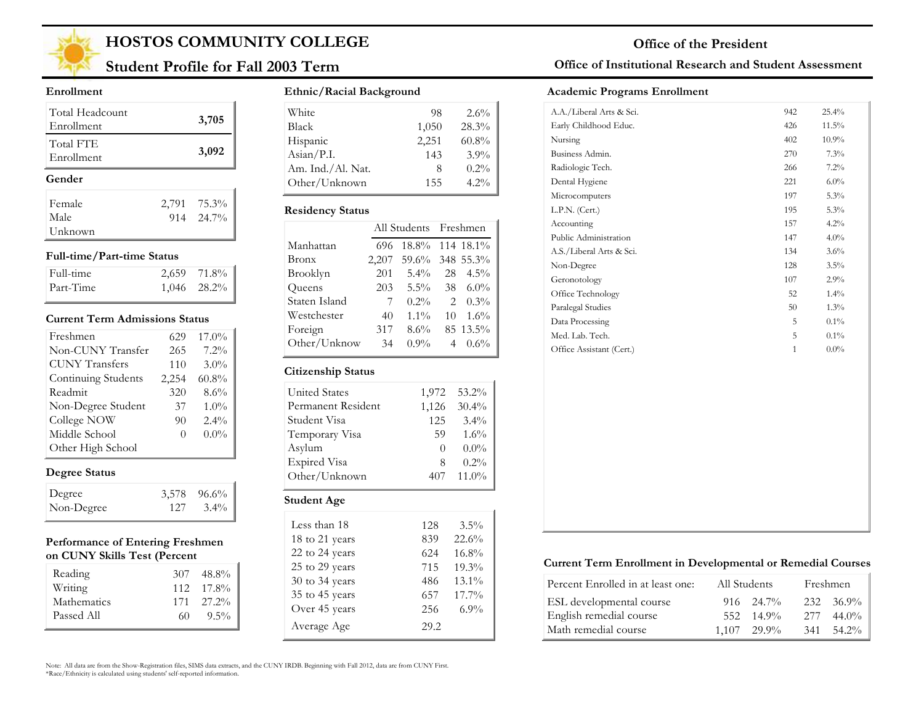

## **Student Profile for Fall 2003 Term**

#### **Enrollment**

| Total Headcount<br>Enrollment | 3,705       |
|-------------------------------|-------------|
| Total FTE<br>Enrollment       | 3,092       |
| Gender                        |             |
| Female                        | 2,791 75.3% |
|                               |             |
| Male                          | 914 24.7%   |

#### **Full-time/Part-time Status**

| Full-time | 2,659 71.8%      |
|-----------|------------------|
| Part-Time | $1,046$ $28.2\%$ |

#### **Current Term Admissions Status**

| Freshmen              | 629      | $17.0\%$ |
|-----------------------|----------|----------|
| Non-CUNY Transfer     | 265      | 7.2%     |
| <b>CUNY Transfers</b> | 110      | 3.0%     |
| Continuing Students   | 2,254    | 60.8%    |
| Readmit               | 320      | 8.6%     |
| Non-Degree Student    | 37       | $1.0\%$  |
| College NOW           | 90       | 2.4%     |
| Middle School         | $\Omega$ | $0.0\%$  |
| Other High School     |          |          |

### **Degree Status**

| Degree     | $3,578$ $96.6\%$  |
|------------|-------------------|
| Non-Degree | $127 \quad 3.4\%$ |

#### **Performance of Entering Freshmen on CUNY Skills Test (Percent**

| Reading     | 307 | 48.8%              |
|-------------|-----|--------------------|
| Writing     |     | $112 \quad 17.8\%$ |
| Mathematics |     | $171 \quad 27.2\%$ |
| Passed All  | 60  | $9.5\%$            |

### **Ethnic/Racial Background**

| White             | 98    | $2.6\%$ |
|-------------------|-------|---------|
| <b>Black</b>      | 1,050 | 28.3%   |
| Hispanic          | 2,251 | 60.8%   |
| Asian/P.I.        | 143   | $3.9\%$ |
| Am. Ind./Al. Nat. |       | $0.2\%$ |
| Other/Unknown     | 155   | $4.2\%$ |

#### **Residency Status**

|               |       | All Students Freshmen |    |           |
|---------------|-------|-----------------------|----|-----------|
| Manhattan     | 696   | 18.8% 114 18.1%       |    |           |
| Bronx         | 2,207 | 59.6%                 |    | 348 55.3% |
| Brooklyn      | 201   | $5.4\%$               | 28 | $4.5\%$   |
| Queens        | 203   | $5.5\%$               | 38 | $6.0\%$   |
| Staten Island | 7     | $0.2\%$               | 2  | $0.3\%$   |
| Westchester   | 40    | $1.1\%$               | 10 | $1.6\%$   |
| Foreign       | 317   | $8.6\%$               |    | 85 13.5%  |
| Other/Unknow  | 34    | $0.9\%$               | 4  | $0.6\%$   |

### **Citizenship Status**

| <b>United States</b> | 1,972    | 53.2%   |
|----------------------|----------|---------|
| Permanent Resident   | 1,126    | 30.4%   |
| Student Visa         | 125      | $3.4\%$ |
| Temporary Visa       | 59       | 1.6%    |
| Asylum               | $\theta$ | $0.0\%$ |
| <b>Expired Visa</b>  | 8        | $0.2\%$ |
| Other/Unknown        | 407      | 11.0%   |
| Student Age          |          |         |

| Less than 18       | 128  | $3.5\%$  |
|--------------------|------|----------|
| 18 to 21 years     | 839  | 22.6%    |
| 22 to 24 years     | 624  | 16.8%    |
| 25 to 29 years     | 715  | 19.3%    |
| $30$ to $34$ years | 486  | 13.1%    |
| 35 to 45 years     | 657  | $17.7\%$ |
| Over 45 years      | 256  | $6.9\%$  |
| Average Age        | 29.2 |          |

### **Office of Institutional Research and Student Assessment**

#### **Academic Programs Enrollment**

| Early Childhood Educ.<br>Nursing<br>Business Admin.<br>Radiologic Tech. | 426<br>402<br>270 | 11.5%<br>10.9% |
|-------------------------------------------------------------------------|-------------------|----------------|
|                                                                         |                   |                |
|                                                                         |                   |                |
|                                                                         |                   | 7.3%           |
|                                                                         | 266               | 7.2%           |
| Dental Hygiene                                                          | 221               | $6.0\%$        |
| Microcomputers                                                          | 197               | 5.3%           |
| L.P.N. (Cert.)                                                          | 195               | 5.3%           |
| Accounting                                                              | 157               | 4.2%           |
| Public Administration                                                   | 147               | $4.0\%$        |
| A.S./Liberal Arts & Sci.                                                | 134               | 3.6%           |
| Non-Degree                                                              | 128               | 3.5%           |
| Geronotology                                                            | 107               | 2.9%           |
| Office Technology                                                       | 52                | 1.4%           |
| Paralegal Studies                                                       | 50                | 1.3%           |
| Data Processing                                                         | 5                 | 0.1%           |
| Med. Lab. Tech.                                                         | 5                 | 0.1%           |
| Office Assistant (Cert.)                                                | $\mathbf{1}$      | $0.0\%$        |

#### **Current Term Enrollment in Developmental or Remedial Courses**

| Percent Enrolled in at least one: | All Students  |                |     | Freshmen           |
|-----------------------------------|---------------|----------------|-----|--------------------|
| ESL developmental course          |               | $916$ $24.7\%$ |     | $232 \quad 36.9\%$ |
| English remedial course           |               | 552 14.9%      | 277 | $44.0\%$           |
| Math remedial course              | $1.107$ 29.9% |                | 341 | 54.2%              |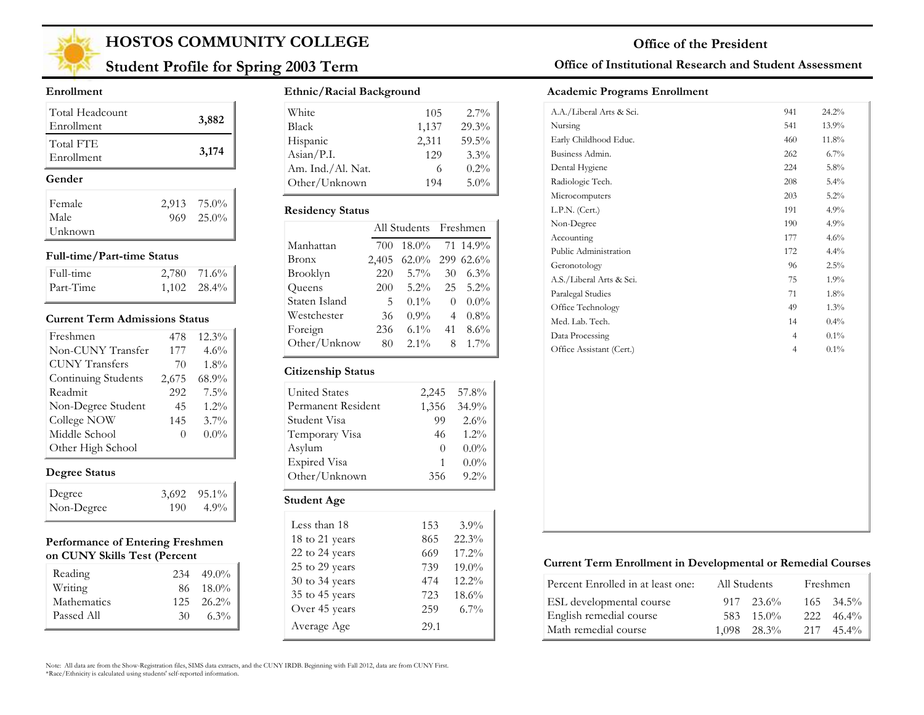

## **Student Profile for Spring 2003 Term**

#### **Enrollment**

| Total Headcount<br>Enrollment | 3,882          |
|-------------------------------|----------------|
| Total FTE<br>Enrollment       | 3,174          |
| Gender                        |                |
| Female                        | 2,913 75.0%    |
| Male                          | $969 - 25.0\%$ |
| Unknown                       |                |

#### **Full-time/Part-time Status**

| Full-time | $2,780$ 71.6%    |
|-----------|------------------|
| Part-Time | $1,102$ $28.4\%$ |

#### **Current Term Admissions Status**

| Freshmen              | 478   | $12.3\%$ |
|-----------------------|-------|----------|
| Non-CUNY Transfer     | 177   | 4.6%     |
| <b>CUNY Transfers</b> | 70    | $1.8\%$  |
| Continuing Students   | 2,675 | 68.9%    |
| Readmit               | 292   | 7.5%     |
| Non-Degree Student    | 45    | $1.2\%$  |
| College NOW           | 145   | $3.7\%$  |
| Middle School         | 0     | $0.0\%$  |
| Other High School     |       |          |

### **Degree Status**

| Degree     |     | $3,692$ $95.1\%$ |
|------------|-----|------------------|
| Non-Degree | 190 | $4.9\%$          |

#### **Performance of Entering Freshmen on CUNY Skills Test (Percent**

| Reading     |    | $234$ 49.0%    |
|-------------|----|----------------|
| Writing     |    | 86 18.0%       |
| Mathematics |    | $125 - 26.2\%$ |
| Passed All  | 30 | $6.3\%$        |

#### **Ethnic/Racial Background**

| 105   | $2.7\%$ |
|-------|---------|
| 1,137 | 29.3%   |
| 2,311 | 59.5%   |
| 129   | 3.3%    |
|       | $0.2\%$ |
| 194   | $5.0\%$ |
|       |         |

#### **Residency Status**

|               |       | All Students Freshmen |    |          |
|---------------|-------|-----------------------|----|----------|
| Manhattan     | 700   | $18.0\%$              |    | 71 14.9% |
| Bronx         | 2,405 | 62.0% 299 62.6%       |    |          |
| Brooklyn      | 220   | $5.7\%$               | 30 | $6.3\%$  |
| Queens        | 200   | $5.2\%$               | 25 | $5.2\%$  |
| Staten Island | 5     | $0.1\%$               | 0  | $0.0\%$  |
| Westchester   | 36    | $0.9\%$               | 4  | $0.8\%$  |
| Foreign       | 236   | $6.1\%$               | 41 | 8.6%     |
| Other/Unknow  | 80    | $2.1\%$               | 8  | $1.7\%$  |

### **Citizenship Status**

| Student Age          |          |         |
|----------------------|----------|---------|
| Other/Unknown        | 356      | $9.2\%$ |
| <b>Expired Visa</b>  |          | $0.0\%$ |
| Asylum               | $\theta$ | $0.0\%$ |
| Temporary Visa       | 46       | $1.2\%$ |
| Student Visa         | 99       | 2.6%    |
| Permanent Resident   | 1,356    | 34.9%   |
| <b>United States</b> | 2,245    | 57.8%   |

| Less than 18   | 153  | $3.9\%$  |
|----------------|------|----------|
| 18 to 21 years | 865  | 22.3%    |
| 22 to 24 years | 669  | 17.2%    |
| 25 to 29 years | 739  | $19.0\%$ |
| 30 to 34 years | 474  | $12.2\%$ |
| 35 to 45 years | 723  | 18.6%    |
| Over 45 years  | 259  | $6.7\%$  |
| Average Age    | 29.1 |          |

#### **Office of Institutional Research and Student Assessment**

#### **Academic Programs Enrollment**

| A.A./Liberal Arts & Sci. | 941            | 24.2%   |
|--------------------------|----------------|---------|
| Nursing                  | 541            | 13.9%   |
| Early Childhood Educ.    | 460            | 11.8%   |
| Business Admin.          | 262            | 6.7%    |
| Dental Hygiene           | 224            | 5.8%    |
| Radiologic Tech.         | 208            | 5.4%    |
| Microcomputers           | 203            | 5.2%    |
| L.P.N. (Cert.)           | 191            | 4.9%    |
| Non-Degree               | 190            | 4.9%    |
| Accounting               | 177            | 4.6%    |
| Public Administration    | 172            | 4.4%    |
| Geronotology             | 96             | 2.5%    |
| A.S./Liberal Arts & Sci. | 75             | 1.9%    |
| Paralegal Studies        | 71             | $1.8\%$ |
| Office Technology        | 49             | 1.3%    |
| Med. Lab. Tech.          | 14             | 0.4%    |
| Data Processing          | $\overline{4}$ | 0.1%    |
| Office Assistant (Cert.) | $\overline{4}$ | 0.1%    |
|                          |                |         |
|                          |                |         |
|                          |                |         |
|                          |                |         |
|                          |                |         |
|                          |                |         |
|                          |                |         |

#### **Current Term Enrollment in Developmental or Remedial Courses**

| Percent Enrolled in at least one: | All Students |                    |      | Freshmen           |
|-----------------------------------|--------------|--------------------|------|--------------------|
| ESL developmental course          |              | $917 \quad 23.6\%$ |      | $165 \quad 34.5\%$ |
| English remedial course           | 583.         | $15.0\%$           | 222. | $46.4\%$           |
| Math remedial course              |              | $1,098$ $28.3\%$   |      | $217 \quad 45.4\%$ |